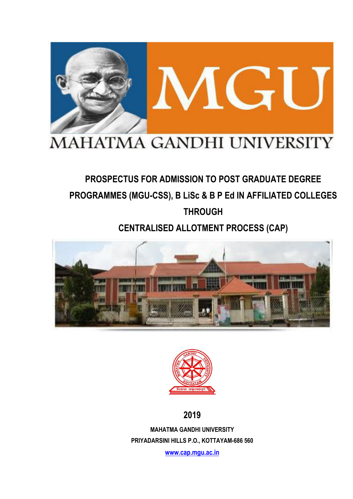

# MAHATMA GANDHI UNIVERSITY

# **PROSPECTUS FOR ADMISSION TO POST GRADUATE DEGREE PROGRAMMES (MGU-CSS), B LiSc & B P Ed IN AFFILIATED COLLEGES THROUGH**

**CENTRALISED ALLOTMENT PROCESS (CAP)** 





**2019** 

**MAHATMA GANDHI UNIVERSITY PRIYADARSINI HILLS P.O., KOTTAYAM-686 560** 

**www.cap.mgu.ac.in**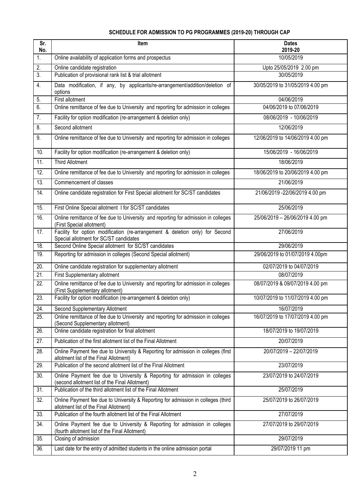# **SCHEDULE FOR ADMISSION TO PG PROGRAMMES (2019-20) THROUGH CAP**

| Sr.<br>No.        | Item                                                                                                                         | <b>Dates</b><br>2019-20          |
|-------------------|------------------------------------------------------------------------------------------------------------------------------|----------------------------------|
| 1 <sub>1</sub>    | Online availability of application forms and prospectus                                                                      | 10/05/2019                       |
| 2.                | Online candidate registration                                                                                                | Upto 25/05/2019 2.00 pm          |
| $\overline{3}$ .  | Publication of provisional rank list & trial allotment                                                                       | 30/05/2019                       |
| 4.                | Data modification, if any, by applicants/re-arrangement/addition/deletion of<br>options                                      | 30/05/2019 to 31/05/2019 4.00 pm |
| 5.                | First allotment                                                                                                              | 04/06/2019                       |
| 6.                | Online remittance of fee due to University and reporting for admission in colleges                                           | 04/06/2019 to 07/06/2019         |
| $\overline{7}$ .  | Facility for option modification (re-arrangement & deletion only)                                                            | 08/06/2019 - 10/06/2019          |
| 8.                | Second allotment                                                                                                             | 12/06/2019                       |
| 9.                | Online remittance of fee due to University and reporting for admission in colleges                                           | 12/06/2019 to 14/06/2019 4.00 pm |
| 10.               | Facility for option modification (re-arrangement & deletion only)                                                            | 15/06/2019 - 16/06/2019          |
| 11.               | <b>Third Allotment</b>                                                                                                       | 18/06/2019                       |
| 12.               | Online remittance of fee due to University and reporting for admission in colleges                                           | 18/06/2019 to 20/06/2019 4.00 pm |
| 13.               | Commencement of classes                                                                                                      | 21/06/2019                       |
| 14.               | Online candidate registration for First Special allotment for SC/ST candidates                                               | 21/06/2019 -22/06/2019 4.00 pm   |
| 15.               | First Online Special allotment I for SC/ST candidates                                                                        | 25/06/2019                       |
| 16.               | Online remittance of fee due to University and reporting for admission in colleges<br>(First Special allotment)              | 25/06/2019 - 26/06/2019 4.00 pm  |
| 17.               | Facility for option modification (re-arrangement & deletion only) for Second<br>Special allotment for SC/ST candidates       | 27/06/2019                       |
| 18.               | Second Online Special allotment for SC/ST candidates                                                                         | 29/06/2019                       |
| 19.               | Reporting for admission in colleges (Second Special allotment)                                                               | 29/06/2019 to 01/07/2019 4.00pm  |
| 20.               | Online candidate registration for supplementary allotment                                                                    | 02/07/2019 to 04/07/2019         |
| $\overline{21}$ . | First Supplementary allotment                                                                                                | 08/07/2019                       |
| 22.               | Online remittance of fee due to University and reporting for admission in colleges<br>(First Supplementary allotment)        | 08/07/2019 & 09/07/2019 4.00 pm  |
| 23.               | Facility for option modification (re-arrangement & deletion only)                                                            | 10/07/2019 to 11/07/2019 4.00 pm |
| $\overline{24}$ . | Second Supplementary Allotment                                                                                               | 16/07/2019                       |
| 25.               | Online remittance of fee due to University and reporting for admission in colleges<br>(Second Supplementary allotment)       | 16/07/2019 to 17/07/2019 4.00 pm |
| 26.               | Online candidate registration for final allotment                                                                            | 18/07/2019 to 19/07/2019         |
| 27.               | Publication of the first allotment list of the Final Allotment                                                               | 20/07/2019                       |
| 28.               | Online Payment fee due to University & Reporting for admission in colleges (first<br>allotment list of the Final Allotment)  | 20/07/2019 - 22/07/2019          |
| 29.               | Publication of the second allotment list of the Final Allotment                                                              | 23/07/2019                       |
| 30.               | Online Payment fee due to University & Reporting for admission in colleges<br>(second allotment list of the Final Allotment) | 23/07/2019 to 24/07/2019         |
| 31.               | Publication of the third allotment list of the Final Allotment                                                               | 25/07/2019                       |
| 32.               | Online Payment fee due to University & Reporting for admission in colleges (third<br>allotment list of the Final Allotment)  | 25/07/2019 to 26/07/2019         |
| 33.               | Publication of the fourth allotment list of the Final Allotment                                                              | 27/07/2019                       |
| 34.               | Online Payment fee due to University & Reporting for admission in colleges<br>(fourth allotment list of the Final Allotment) | 27/07/2019 to 29/07/2019         |
| 35.               | Closing of admission                                                                                                         | 29/07/2019                       |
| 36.               | Last date for the entry of admitted students in the online admission portal                                                  | 29/07/2019 11 pm                 |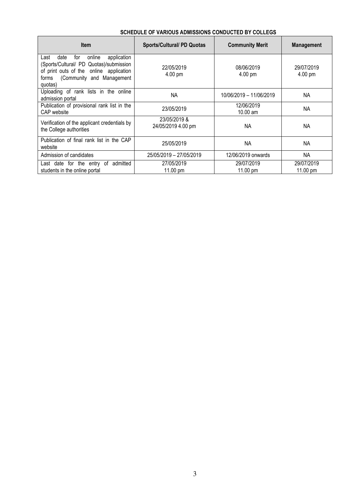| <b>Item</b>                                                                                                                                                                         | <b>Sports/Cultural/ PD Quotas</b>  | <b>Community Merit</b>   | <b>Management</b>      |  |
|-------------------------------------------------------------------------------------------------------------------------------------------------------------------------------------|------------------------------------|--------------------------|------------------------|--|
| date<br>for<br>online<br>application<br>Last<br>(Sports/Cultural/ PD Quotas)/submission<br>of print outs of the online application<br>(Community and Management<br>forms<br>quotas) | 22/05/2019<br>4.00 pm              | 08/06/2019<br>4.00 pm    | 29/07/2019<br>4.00 pm  |  |
| Uploading of rank lists in the online<br>admission portal                                                                                                                           | <b>NA</b>                          | 10/06/2019 - 11/06/2019  | ΝA                     |  |
| Publication of provisional rank list in the<br>CAP website                                                                                                                          | 23/05/2019                         | 12/06/2019<br>$10.00$ am | NA.                    |  |
| Verification of the applicant credentials by<br>the College authorities                                                                                                             | 23/05/2019 &<br>24/05/2019 4.00 pm | NA.                      | ΝA                     |  |
| Publication of final rank list in the CAP<br>website                                                                                                                                | 25/05/2019                         | <b>NA</b>                | NA.                    |  |
| Admission of candidates                                                                                                                                                             | 25/05/2019 - 27/05/2019            | 12/06/2019 onwards       | NA.                    |  |
| Last date for the entry of<br>admitted<br>students in the online portal                                                                                                             | 27/05/2019<br>11.00 pm             | 29/07/2019<br>11.00 pm   | 29/07/2019<br>11.00 pm |  |

#### **SCHEDULE OF VARIOUS ADMISSIONS CONDUCTED BY COLLEGS**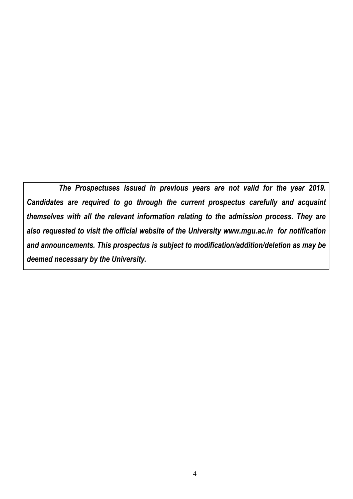*The Prospectuses issued in previous years are not valid for the year 2019. Candidates are required to go through the current prospectus carefully and acquaint themselves with all the relevant information relating to the admission process. They are also requested to visit the official website of the University www.mgu.ac.in for notification and announcements. This prospectus is subject to modification/addition/deletion as may be deemed necessary by the University.*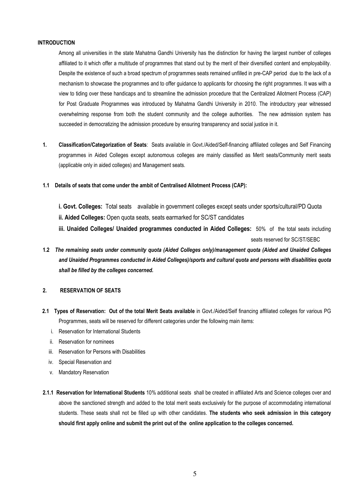#### **INTRODUCTION**

Among all universities in the state Mahatma Gandhi University has the distinction for having the largest number of colleges affiliated to it which offer a multitude of programmes that stand out by the merit of their diversified content and employability. Despite the existence of such a broad spectrum of programmes seats remained unfilled in pre-CAP period due to the lack of a mechanism to showcase the programmes and to offer guidance to applicants for choosing the right programmes. It was with a view to tiding over these handicaps and to streamline the admission procedure that the Centralized Allotment Process (CAP) for Post Graduate Programmes was introduced by Mahatma Gandhi University in 2010. The introductory year witnessed overwhelming response from both the student community and the college authorities. The new admission system has succeeded in democratizing the admission procedure by ensuring transparency and social justice in it.

- **1. Classification/Categorization of Seats**: Seats available in Govt./Aided/Self-financing affiliated colleges and Self Financing programmes in Aided Colleges except autonomous colleges are mainly classified as Merit seats/Community merit seats (applicable only in aided colleges) and Management seats.
- **1.1 Details of seats that come under the ambit of Centralised Allotment Process (CAP):**

**i. Govt. Colleges:** Total seats available in government colleges except seats under sports/cultural/PD Quota **ii. Aided Colleges:** Open quota seats, seats earmarked for SC/ST candidates

**iii. Unaided Colleges/ Unaided programmes conducted in Aided Colleges:** 50% of the total seats including seats reserved for SC/ST/SEBC

**1.2** *The remaining seats under community quota (Aided Colleges only)/management quota (Aided and Unaided Colleges and Unaided Programmes conducted in Aided Colleges)/sports and cultural quota and persons with disabilities quota shall be filled by the colleges concerned.* 

#### **2. RESERVATION OF SEATS**

- **2.1 Types of Reservation: Out of the total Merit Seats available** in Govt./Aided/Self financing affiliated colleges for various PG Programmes, seats will be reserved for different categories under the following main items:
	- i. Reservation for International Students
	- ii. Reservation for nominees
	- iii. Reservation for Persons with Disabilities
	- iv. Special Reservation and
	- v. Mandatory Reservation
- **2.1.1 Reservation for International Students** 10% additional seats shall be created in affiliated Arts and Science colleges over and above the sanctioned strength and added to the total merit seats exclusively for the purpose of accommodating international students. These seats shall not be filled up with other candidates. **The students who seek admission in this category should first apply online and submit the print out of the online application to the colleges concerned.**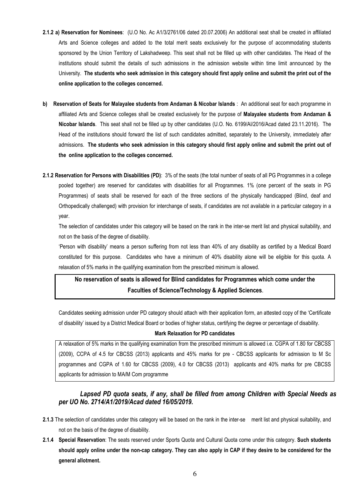- **2.1.2 a) Reservation for Nominees**: (U.O No. Ac A1/3/2761/06 dated 20.07.2006) An additional seat shall be created in affiliated Arts and Science colleges and added to the total merit seats exclusively for the purpose of accommodating students sponsored by the Union Territory of Lakshadweep. This seat shall not be filled up with other candidates. The Head of the institutions should submit the details of such admissions in the admission website within time limit announced by the University. **The students who seek admission in this category should first apply online and submit the print out of the online application to the colleges concerned.**
- **b) Reservation of Seats for Malayalee students from Andaman & Nicobar Islands** : An additional seat for each programme in affiliated Arts and Science colleges shall be created exclusively for the purpose of **Malayalee students from Andaman & Nicobar Islands**. This seat shall not be filled up by other candidates (U.O. No. 6199/AI/2016/Acad dated 23.11.2016). The Head of the institutions should forward the list of such candidates admitted, separately to the University, immediately after admissions. **The students who seek admission in this category should first apply online and submit the print out of the online application to the colleges concerned.**
- **2.1.2 Reservation for Persons with Disabilities (PD)**: 3% of the seats (the total number of seats of all PG Programmes in a college pooled together) are reserved for candidates with disabilities for all Programmes. 1% (one percent of the seats in PG Programmes) of seats shall be reserved for each of the three sections of the physically handicapped (Blind, deaf and Orthopedically challenged) with provision for interchange of seats, if candidates are not available in a particular category in a year.

The selection of candidates under this category will be based on the rank in the inter-se merit list and physical suitability, and not on the basis of the degree of disability.

'Person with disability' means a person suffering from not less than 40% of any disability as certified by a Medical Board constituted for this purpose. Candidates who have a minimum of 40% disability alone will be eligible for this quota. A relaxation of 5% marks in the qualifying examination from the prescribed minimum is allowed.

**No reservation of seats is allowed for Blind candidates for Programmes which come under the Faculties of Science/Technology & Applied Sciences**.

Candidates seeking admission under PD category should attach with their application form, an attested copy of the 'Certificate of disability' issued by a District Medical Board or bodies of higher status, certifying the degree or percentage of disability.

#### **Mark Relaxation for PD candidates**

A relaxation of 5% marks in the qualifying examination from the prescribed minimum is allowed i.e. CGPA of 1.80 for CBCSS (2009), CCPA of 4.5 for CBCSS (2013) applicants and 45% marks for pre - CBCSS applicants for admission to M Sc programmes and CGPA of 1.60 for CBCSS (2009), 4.0 for CBCSS (2013) applicants and 40% marks for pre CBCSS applicants for admission to MA/M Com programme

# *Lapsed PD quota seats, if any, shall be filled from among Children with Special Needs as per UO No. 2714/A1/2019/Acad dated 16/05/2019.*

- **2.1.3** The selection of candidates under this category will be based on the rank in the inter-se merit list and physical suitability, and not on the basis of the degree of disability.
- **2.1.4 Special Reservation**: The seats reserved under Sports Quota and Cultural Quota come under this category. **Such students should apply online under the non-cap category. They can also apply in CAP if they desire to be considered for the general allotment.**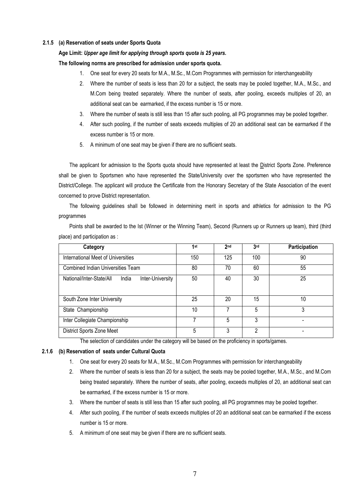#### **2.1.5 (a) Reservation of seats under Sports Quota**

#### **Age Limit:** *Upper age limit for applying through sports quota is 25 years.*

#### **The following norms are prescribed for admission under sports quota.**

- 1. One seat for every 20 seats for M.A., M.Sc., M.Com Programmes with permission for interchangeability
- 2. Where the number of seats is less than 20 for a subject, the seats may be pooled together, M.A., M.Sc., and M.Com being treated separately. Where the number of seats, after pooling, exceeds multiples of 20, an additional seat can be earmarked, if the excess number is 15 or more.
- 3. Where the number of seats is still less than 15 after such pooling, all PG programmes may be pooled together.
- 4. After such pooling, if the number of seats exceeds multiples of 20 an additional seat can be earmarked if the excess number is 15 or more.
- 5. A minimum of one seat may be given if there are no sufficient seats.

The applicant for admission to the Sports quota should have represented at least the District Sports Zone. Preference shall be given to Sportsmen who have represented the State/University over the sportsmen who have represented the District/College. The applicant will produce the Certificate from the Honorary Secretary of the State Association of the event concerned to prove District representation.

The following guidelines shall be followed in determining merit in sports and athletics for admission to the PG programmes

Points shall be awarded to the Ist (Winner or the Winning Team), Second (Runners up or Runners up team), third (third place) and participation as :

| Category                                              | 1st | 2 <sub>nd</sub>          | 3rd | Participation |
|-------------------------------------------------------|-----|--------------------------|-----|---------------|
| International Meet of Universities                    | 150 | 125                      | 100 | 90            |
| <b>Combined Indian Universities Team</b>              | 80  | 70                       | 60  | 55            |
| National/Inter-State/All<br>Inter-University<br>India | 50  | 40                       | 30  | 25            |
| South Zone Inter University                           | 25  | 20                       | 15  | 10            |
| State Championship                                    | 10  | $\overline{\phantom{a}}$ | 5   | 3             |
| Inter Collegiate Championship                         |     | 5                        | 3   |               |
| District Sports Zone Meet                             | 5   | 3                        | C   |               |

The selection of candidates under the category will be based on the proficiency in sports/games.

#### **2.1.6 (b) Reservation of seats under Cultural Quota**

- 1. One seat for every 20 seats for M.A., M.Sc., M.Com Programmes with permission for interchangeability
- 2. Where the number of seats is less than 20 for a subject, the seats may be pooled together, M.A., M.Sc., and M.Com being treated separately. Where the number of seats, after pooling, exceeds multiples of 20, an additional seat can be earmarked, if the excess number is 15 or more.
- 3. Where the number of seats is still less than 15 after such pooling, all PG programmes may be pooled together.
- 4. After such pooling, if the number of seats exceeds multiples of 20 an additional seat can be earmarked if the excess number is 15 or more.
- 5. A minimum of one seat may be given if there are no sufficient seats.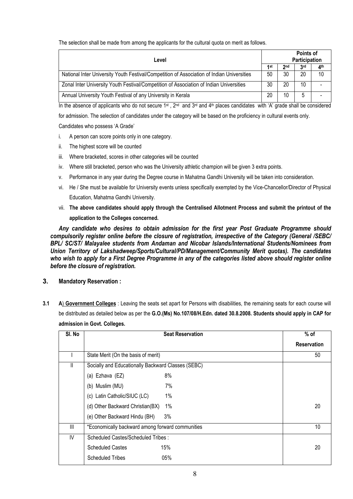The selection shall be made from among the applicants for the cultural quota on merit as follows.

| Level                                                                                      |     | Points of<br>Participation |                 |                 |  |
|--------------------------------------------------------------------------------------------|-----|----------------------------|-----------------|-----------------|--|
|                                                                                            | 1st | 2 <sub>nd</sub>            | 3 <sub>rd</sub> | 4 <sup>th</sup> |  |
| National Inter University Youth Festival/Competition of Association of Indian Universities | 50  | 30                         | 20              | 10              |  |
| Zonal Inter University Youth Festival/Competition of Association of Indian Universities    | 30  | 20                         | 10              |                 |  |
| Annual University Youth Festival of any University in Kerala                               | 20  | 10                         | ხ               |                 |  |

In the absence of applicants who do not secure 1<sup>st</sup>, 2<sup>nd</sup> and 3<sup>rd</sup> and 4<sup>th</sup> places candidates with 'A' grade shall be considered

for admission. The selection of candidates under the category will be based on the proficiency in cultural events only.

Candidates who possess 'A Grade'

- i. A person can score points only in one category.
- ii. The highest score will be counted
- iii. Where bracketed, scores in other categories will be counted
- iv. Where still bracketed, person who was the University athletic champion will be given 3 extra points.
- v. Performance in any year during the Degree course in Mahatma Gandhi University will be taken into consideration.
- vi. He / She must be available for University events unless specifically exempted by the Vice-Chancellor/Director of Physical Education, Mahatma Gandhi University.
- vii. **The above candidates should apply through the Centralised Allotment Process and submit the printout of the application to the Colleges concerned.**

*Any candidate who desires to obtain admission for the first year Post Graduate Programme should compulsorily register online before the closure of registration, irrespective of the Category (General /SEBC/ BPL/ SC/ST/ Malayalee students from Andaman and Nicobar Islands/International Students/Nominees from Union Territory of Lakshadweep/Sports/Cultural/PD/Management/Community Merit quotas). The candidates*  who wish to apply for a First Degree Programme in any of the categories listed above should register online *before the closure of registration.* 

- **3. Mandatory Reservation :**
- **3.1 A**) **Government Colleges** : Leaving the seats set apart for Persons with disabilities, the remaining seats for each course will be distributed as detailed below as per the **G.O.(Ms) No.107/08/H.Edn. dated 30.8.2008. Students should apply in CAP for admission in Govt. Colleges.**

| SI. No         |                                                    | <b>Seat Reservation</b> | $%$ of             |
|----------------|----------------------------------------------------|-------------------------|--------------------|
|                |                                                    |                         | <b>Reservation</b> |
|                | State Merit (On the basis of merit)                |                         | 50                 |
| Ш              | Socially and Educationally Backward Classes (SEBC) |                         |                    |
|                | (a) Ezhava (EZ)                                    | 8%                      |                    |
|                | (b) Muslim (MU)                                    | 7%                      |                    |
|                | (c) Latin Catholic/SIUC (LC)                       | 1%                      |                    |
|                | (d) Other Backward Christian(BX)                   | 1%                      | 20                 |
|                | (e) Other Backward Hindu (BH)                      | 3%                      |                    |
| $\mathbf{III}$ | *Economically backward among forward communities   |                         | 10                 |
| IV             | Scheduled Castes/Scheduled Tribes:                 |                         |                    |
|                | <b>Scheduled Castes</b>                            | 15%                     | 20                 |
|                | <b>Scheduled Tribes</b>                            | 05%                     |                    |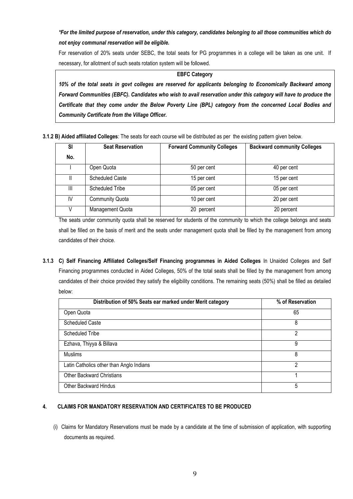# *\*For the limited purpose of reservation, under this category, candidates belonging to all those communities which do not enjoy communal reservation will be eligible.*

For reservation of 20% seats under SEBC, the total seats for PG programmes in a college will be taken as one unit. If necessary, for allotment of such seats rotation system will be followed.

#### **EBFC Category**

*10% of the total seats in govt colleges are reserved for applicants belonging to Economically Backward among Forward Communities (EBFC). Candidates who wish to avail reservation under this category will have to produce the Certificate that they come under the Below Poverty Line (BPL) category from the concerned Local Bodies and Community Certificate from the Village Officer.* 

**3.1.2 B) Aided affiliated Colleges**: The seats for each course will be distributed as per the existing pattern given below.

| SI  | <b>Seat Reservation</b> | <b>Forward Community Colleges</b> | <b>Backward community Colleges</b> |
|-----|-------------------------|-----------------------------------|------------------------------------|
| No. |                         |                                   |                                    |
|     | Open Quota              | 50 per cent                       | 40 per cent                        |
|     | <b>Scheduled Caste</b>  | 15 per cent                       | 15 per cent                        |
| Ш   | <b>Scheduled Tribe</b>  | 05 per cent                       | 05 per cent                        |
| IV  | <b>Community Quota</b>  | 10 per cent                       | 20 per cent                        |
| V   | Management Quota        | 20 percent                        | 20 percent                         |

The seats under community quota shall be reserved for students of the community to which the college belongs and seats shall be filled on the basis of merit and the seats under management quota shall be filled by the management from among candidates of their choice.

**3.1.3 C) Self Financing Affiliated Colleges/Self Financing programmes in Aided Colleges** In Unaided Colleges and Self Financing programmes conducted in Aided Colleges, 50% of the total seats shall be filled by the management from among candidates of their choice provided they satisfy the eligibility conditions. The remaining seats (50%) shall be filled as detailed below:

| Distribution of 50% Seats ear marked under Merit category | % of Reservation |
|-----------------------------------------------------------|------------------|
| Open Quota                                                | 65               |
| <b>Scheduled Caste</b>                                    | 8                |
| <b>Scheduled Tribe</b>                                    | 2                |
| Ezhava, Thiyya & Billava                                  | 9                |
| <b>Muslims</b>                                            | 8                |
| Latin Catholics other than Anglo Indians                  | ∩                |
| <b>Other Backward Christians</b>                          |                  |
| <b>Other Backward Hindus</b>                              | 5                |

### **4. CLAIMS FOR MANDATORY RESERVATION AND CERTIFICATES TO BE PRODUCED**

(i) Claims for Mandatory Reservations must be made by a candidate at the time of submission of application, with supporting documents as required.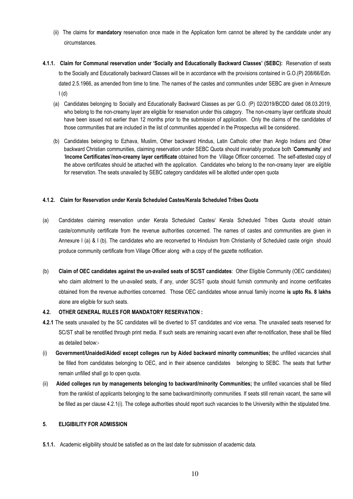- (ii) The claims for **mandatory** reservation once made in the Application form cannot be altered by the candidate under any circumstances.
- **4.1.1. Claim for Communal reservation under 'Socially and Educationally Backward Classes' (SEBC):** Reservation of seats to the Socially and Educationally backward Classes will be in accordance with the provisions contained in G.O.(P) 208/66/Edn. dated 2.5.1966, as amended from time to time. The names of the castes and communities under SEBC are given in Annexure I (d)
	- (a) Candidates belonging to Socially and Educationally Backward Classes as per G.O. (P) 02/2019/BCDD dated 08.03.2019, who belong to the non-creamy layer are eligible for reservation under this category. The non-creamy layer certificate should have been issued not earlier than 12 months prior to the submission of application. Only the claims of the candidates of those communities that are included in the list of communities appended in the Prospectus will be considered.
	- (b) Candidates belonging to Ezhava, Muslim, Other backward Hindus, Latin Catholic other than Anglo Indians and Other backward Christian communities, claiming reservation under SEBC Quota should invariably produce both '**Community**' and '**Income Certificates**'**/non-creamy layer certificate** obtained from the Village Officer concerned. The self-attested copy of the above certificates should be attached with the application. Candidates who belong to the non-creamy layer are eligible for reservation. The seats unavailed by SEBC category candidates will be allotted under open quota

#### **4.1.2. Claim for Reservation under Kerala Scheduled Castes/Kerala Scheduled Tribes Quota**

- (a) Candidates claiming reservation under Kerala Scheduled Castes/ Kerala Scheduled Tribes Quota should obtain caste/community certificate from the revenue authorities concerned. The names of castes and communities are given in Annexure I (a) & I (b). The candidates who are reconverted to Hinduism from Christianity of Scheduled caste origin should produce community certificate from Village Officer along with a copy of the gazette notification.
- (b) **Claim of OEC candidates against the un-availed seats of SC/ST candidates**: Other Eligible Community (OEC candidates) who claim allotment to the un-availed seats, if any, under SC/ST quota should furnish community and income certificates obtained from the revenue authorities concerned. Those OEC candidates whose annual family income **is upto Rs. 8 lakhs** alone are eligible for such seats.

#### **4.2. OTHER GENERAL RULES FOR MANDATORY RESERVATION :**

- **4.2.1** The seats unavailed by the SC candidates will be diverted to ST candidates and vice versa. The unavailed seats reserved for SC/ST shall be renotified through print media. If such seats are remaining vacant even after re-notification, these shall be filled as detailed below:-
- (i) **Government/Unaided/Aided/ except colleges run by Aided backward minority communities;** the unfilled vacancies shall be filled from candidates belonging to OEC, and in their absence candidates belonging to SEBC. The seats that further remain unfilled shall go to open quota.
- (ii) **Aided colleges run by managements belonging to backward/minority Communities;** the unfilled vacancies shall be filled from the ranklist of applicants belonging to the same backward/minority communities. If seats still remain vacant, the same will be filled as per clause 4.2.1(i). The college authorities should report such vacancies to the University within the stipulated time.

#### **5. ELIGIBILITY FOR ADMISSION**

**5.1.1.** Academic eligibility should be satisfied as on the last date for submission of academic data.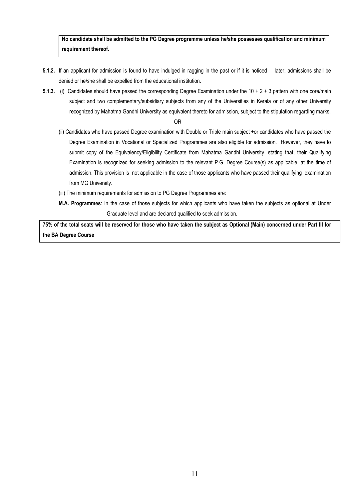**No candidate shall be admitted to the PG Degree programme unless he/she possesses qualification and minimum requirement thereof.** 

- **5.1.2.** If an applicant for admission is found to have indulged in ragging in the past or if it is noticed later, admissions shall be denied or he/she shall be expelled from the educational institution.
- **5.1.3.** (i) Candidates should have passed the corresponding Degree Examination under the 10 + 2 + 3 pattern with one core/main subject and two complementary/subsidiary subjects from any of the Universities in Kerala or of any other University recognized by Mahatma Gandhi University as equivalent thereto for admission, subject to the stipulation regarding marks.

OR

- (ii) Candidates who have passed Degree examination with Double or Triple main subject +or candidates who have passed the Degree Examination in Vocational or Specialized Programmes are also eligible for admission. However, they have to submit copy of the Equivalency/Eligibility Certificate from Mahatma Gandhi University, stating that, their Qualifying Examination is recognized for seeking admission to the relevant P.G. Degree Course(s) as applicable, at the time of admission. This provision is not applicable in the case of those applicants who have passed their qualifying examination from MG University.
- (iii) The minimum requirements for admission to PG Degree Programmes are:
- **M.A. Programmes**: In the case of those subjects for which applicants who have taken the subjects as optional at Under Graduate level and are declared qualified to seek admission.

**75% of the total seats will be reserved for those who have taken the subject as Optional (Main) concerned under Part III for the BA Degree Course**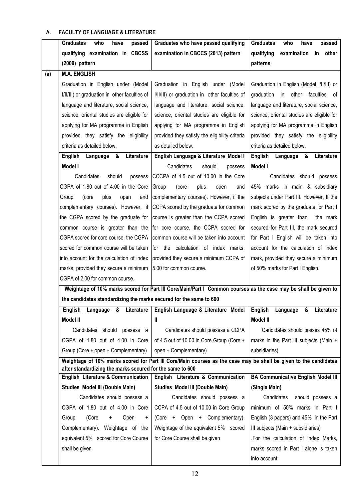# **A. FACULTY OF LANGUAGE & LITERATURE**

|     | <b>Graduates</b><br>who<br>have<br>passed                                                                  | Graduates who have passed qualifying                                                                             | <b>Graduates</b><br>who<br>have<br>passed          |
|-----|------------------------------------------------------------------------------------------------------------|------------------------------------------------------------------------------------------------------------------|----------------------------------------------------|
|     | qualifying examination in CBCSS                                                                            | examination in CBCCS (2013) pattern                                                                              | qualifying<br>examination<br>in other              |
|     | (2009) pattern                                                                                             |                                                                                                                  | patterns                                           |
| (a) | <b>M.A. ENGLISH</b>                                                                                        |                                                                                                                  |                                                    |
|     | Graduation in English under (Model                                                                         | Graduation in English under (Model                                                                               | Graduation in English (Model I/II/III) or          |
|     | I/II/III) or graduation in other faculties of                                                              | I/II/III) or graduation in other faculties of                                                                    | graduation in other faculties of                   |
|     | language and literature, social science,                                                                   | language and literature, social science,                                                                         | language and literature, social science,           |
|     | science, oriental studies are eligible for                                                                 | science, oriental studies are eligible for                                                                       | science, oriental studies are eligible for         |
|     | applying for MA programme in English                                                                       | applying for MA programme in English                                                                             | applying for MA programme in English               |
|     | provided they satisfy the eligibility                                                                      | provided they satisfy the eligibility criteria                                                                   | provided they satisfy the eligibility              |
|     | criteria as detailed below.                                                                                | as detailed below.                                                                                               | criteria as detailed below.                        |
|     | English Language & Literature                                                                              | English Language & Literature Model I                                                                            | English Language & Literature                      |
|     | Model I                                                                                                    | Candidates<br>should<br>possess                                                                                  | Model I                                            |
|     | Candidates<br>should<br>possess                                                                            | CCCPA of 4.5 out of 10.00 in the Core                                                                            | Candidates should possess                          |
|     | CGPA of 1.80 out of 4.00 in the Core                                                                       | Group<br>(core<br>plus<br>open<br>and                                                                            | 45% marks in main & subsidiary                     |
|     | Group<br>(core<br>plus<br>open<br>and                                                                      | complementary courses). However, if the                                                                          | subjects under Part III. However, If the           |
|     | complementary courses). However, if                                                                        | CCPA scored by the graduate for common                                                                           | mark scored by the graduate for Part I             |
|     | the CGPA scored by the graduate for                                                                        | course is greater than the CCPA scored                                                                           | English is greater than<br>the mark                |
|     | common course is greater than the                                                                          | for core course, the CCPA scored for                                                                             | secured for Part III, the mark secured             |
|     | CGPA scored for core course, the CGPA                                                                      | common course will be taken into account                                                                         | for Part I English will be taken into              |
|     | scored for common course will be taken                                                                     | for the calculation of index marks,                                                                              | account for the calculation of index               |
|     |                                                                                                            | into account for the calculation of index provided they secure a minimum CCPA of                                 | mark, provided they secure a minimum               |
|     | marks, provided they secure a minimum   5.00 for common course.                                            |                                                                                                                  | of 50% marks for Part I English.                   |
|     | CGPA of 2.00 for common course.                                                                            |                                                                                                                  |                                                    |
|     |                                                                                                            | Weightage of 10% marks scored for Part III Core/Main/Part I Common courses as the case may be shall be given to  |                                                    |
|     | the candidates standardizing the marks secured for the same to 600                                         |                                                                                                                  |                                                    |
|     | Language & Literature<br>English                                                                           | English Language & Literature Model                                                                              | English<br>Language & Literature                   |
|     | Model II                                                                                                   | $\mathbf{I}$                                                                                                     | Model II                                           |
|     | Candidates should possess a                                                                                | Candidates should possess a CCPA                                                                                 | Candidates should posses 45% of                    |
|     | CGPA of 1.80 out of 4.00 in Core                                                                           | of 4.5 out of 10.00 in Core Group (Core +                                                                        | marks in the Part III subjects (Main +             |
|     | Group (Core + open + Complementary)                                                                        | open + Complementary)                                                                                            | subsidiaries)                                      |
|     |                                                                                                            | Weightage of 10% marks scored for Part III Core/Main courses as the case may be shall be given to the candidates |                                                    |
|     | after standardizing the marks secured for the same to 600<br><b>English Literature &amp; Communication</b> | English Literature & Communication                                                                               | <b>BA Communicative English Model III</b>          |
|     |                                                                                                            |                                                                                                                  |                                                    |
|     | Studies Model III (Double Main)                                                                            | Studies Model III (Double Main)                                                                                  | (Single Main)<br>Candidates                        |
|     | Candidates should possess a                                                                                | Candidates should possess a                                                                                      | should possess a<br>minimum of 50% marks in Part I |
|     | CGPA of 1.80 out of 4.00 in Core                                                                           | CCPA of 4.5 out of 10.00 in Core Group                                                                           |                                                    |
|     | (Core<br>Group<br>Open<br>$\ddot{}$<br>$\ddot{}$                                                           | (Core + Open + Complementary).                                                                                   | English (3 papers) and 45% in the Part             |
|     | Complementary). Weightage of the                                                                           | Weightage of the equivalent 5% scored                                                                            | III subjects (Main + subsidiaries)                 |
|     | equivalent 5% scored for Core Course                                                                       | for Core Course shall be given                                                                                   | .For the calculation of Index Marks,               |
|     | shall be given                                                                                             |                                                                                                                  | marks scored in Part I alone is taken              |
|     |                                                                                                            |                                                                                                                  | into account                                       |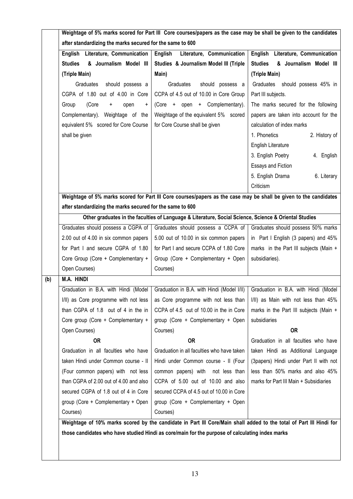|     | Weightage of 5% marks scored for Part III Core courses/papers as the case may be shall be given to the candidates |                                                                                                                          |                                          |  |
|-----|-------------------------------------------------------------------------------------------------------------------|--------------------------------------------------------------------------------------------------------------------------|------------------------------------------|--|
|     | after standardizing the marks secured for the same to 600                                                         |                                                                                                                          |                                          |  |
|     | English Literature, Communication                                                                                 | English<br>Literature, Communication                                                                                     | English Literature, Communication        |  |
|     | <b>Studies</b><br>& Journalism Model III                                                                          | Studies & Journalism Model III (Triple                                                                                   | <b>Studies</b><br>& Journalism Model III |  |
|     | (Triple Main)                                                                                                     | Main)                                                                                                                    | (Triple Main)                            |  |
|     | should possess a<br>Graduates                                                                                     | Graduates<br>should possess a                                                                                            | Graduates should possess 45% in          |  |
|     | CGPA of 1.80 out of 4.00 in Core                                                                                  | CCPA of 4.5 out of 10.00 in Core Group                                                                                   | Part III subjects.                       |  |
|     | (Core<br>Group<br>$\ddagger$<br>open<br>$+$                                                                       | (Core + open + Complementary).                                                                                           | The marks secured for the following      |  |
|     | Complementary). Weightage of the                                                                                  | Weightage of the equivalent 5% scored                                                                                    | papers are taken into account for the    |  |
|     | equivalent 5% scored for Core Course                                                                              | for Core Course shall be given                                                                                           | calculation of index marks               |  |
|     | shall be given                                                                                                    |                                                                                                                          | 1. Phonetics<br>2. History of            |  |
|     |                                                                                                                   |                                                                                                                          | English Literature                       |  |
|     |                                                                                                                   |                                                                                                                          | 3. English Poetry<br>4. English          |  |
|     |                                                                                                                   |                                                                                                                          | Essays and Fiction                       |  |
|     |                                                                                                                   |                                                                                                                          | 5. English Drama<br>6. Literary          |  |
|     |                                                                                                                   |                                                                                                                          | Criticism                                |  |
|     |                                                                                                                   | Weightage of 5% marks scored for Part III Core courses/papers as the case may be shall be given to the candidates        |                                          |  |
|     | after standardizing the marks secured for the same to 600                                                         |                                                                                                                          |                                          |  |
|     |                                                                                                                   | Other graduates in the faculties of Language & Literature, Social Science, Science & Oriental Studies                    |                                          |  |
|     | Graduates should possess a CGPA of                                                                                | Graduates should possess a CCPA of                                                                                       | Graduates should possess 50% marks       |  |
|     | 2.00 out of 4.00 in six common papers                                                                             | 5.00 out of 10.00 in six common papers                                                                                   | in Part I English (3 papers) and 45%     |  |
|     | for Part I and secure CGPA of 1.80                                                                                | for Part I and secure CCPA of 1.80 Core                                                                                  | marks in the Part III subjects (Main $+$ |  |
|     | Core Group (Core + Complementary +                                                                                | Group (Core + Complementary + Open                                                                                       | subsidiaries).                           |  |
|     | Open Courses)                                                                                                     | Courses)                                                                                                                 |                                          |  |
| (b) | M.A. HINDI                                                                                                        |                                                                                                                          |                                          |  |
|     |                                                                                                                   | Graduation in B.A. with Hindi (Model   Graduation in B.A. with Hindi (Model I/II)   Graduation in B.A. with Hindi (Model |                                          |  |
|     | I/II) as Core programme with not less                                                                             | as Core programme with not less than                                                                                     | I/II) as Main with not less than 45%     |  |
|     | than CGPA of 1.8 out of 4 in the in                                                                               | CCPA of 4.5 out of 10.00 in the in Core                                                                                  | marks in the Part III subjects (Main +   |  |
|     | Core group (Core + Complementary +                                                                                | group (Core + Complementary + Open                                                                                       | subsidiaries                             |  |
|     | Open Courses)                                                                                                     | Courses)                                                                                                                 | <b>OR</b>                                |  |
|     | 0R                                                                                                                | <b>OR</b>                                                                                                                | Graduation in all faculties who have     |  |
|     | Graduation in all faculties who have                                                                              | Graduation in all faculties who have taken                                                                               | taken Hindi as Additional Language       |  |
|     | taken Hindi under Common course - II                                                                              | Hindi under Common course - II (Four                                                                                     | (3papers) Hindi under Part II with not   |  |
|     | (Four common papers) with not less                                                                                | common papers) with not less than                                                                                        | less than 50% marks and also 45%         |  |
|     | than CGPA of 2.00 out of 4.00 and also                                                                            | CCPA of 5.00 out of 10.00 and also                                                                                       | marks for Part III Main + Subsidiaries   |  |
|     | secured CGPA of 1.8 out of 4 in Core                                                                              | secured CCPA of 4.5 out of 10.00 in Core                                                                                 |                                          |  |
|     | group (Core + Complementary + Open                                                                                | group (Core + Complementary + Open                                                                                       |                                          |  |
|     | Courses)                                                                                                          | Courses)                                                                                                                 |                                          |  |
|     |                                                                                                                   | Weightage of 10% marks scored by the candidate in Part III Core/Main shall added to the total of Part III Hindi for      |                                          |  |
|     |                                                                                                                   | those candidates who have studied Hindi as core/main for the purpose of calculating index marks                          |                                          |  |
|     |                                                                                                                   |                                                                                                                          |                                          |  |
|     |                                                                                                                   |                                                                                                                          |                                          |  |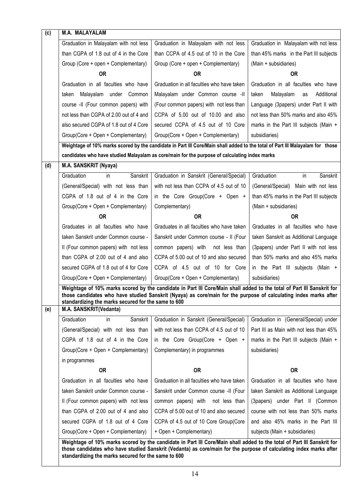| (c) | M.A. MALAYALAM                                      |                                                                                                                                                                                                                                              |                                         |
|-----|-----------------------------------------------------|----------------------------------------------------------------------------------------------------------------------------------------------------------------------------------------------------------------------------------------------|-----------------------------------------|
|     | Graduation in Malayalam with not less               | Graduation in Malayalam with not less                                                                                                                                                                                                        | Graduation in Malayalam with not less   |
|     | than CGPA of 1.8 out of 4 in the Core               | than CCPA of 4.5 out of 10 in the Core                                                                                                                                                                                                       | than 45% marks in the Part III subjects |
|     | Group (Core + open + Complementary)                 | Group (Core + open + Complementary)                                                                                                                                                                                                          | (Main + subsidiaries)                   |
|     | <b>OR</b>                                           | <b>OR</b>                                                                                                                                                                                                                                    | <b>OR</b>                               |
|     | Graduation in all faculties who have                | Graduation in all faculties who have taken                                                                                                                                                                                                   | Graduation in all faculties who have    |
|     | Malayalam under Common<br>taken                     | Malayalam under Common course -II                                                                                                                                                                                                            | Additional<br>taken<br>Malayalam<br>as  |
|     | course -II (Four common papers) with                | (Four common papers) with not less than                                                                                                                                                                                                      | Language (3papers) under Part II with   |
|     | not less than CGPA of 2.00 out of 4 and             | CCPA of 5.00 out of 10.00 and also                                                                                                                                                                                                           | not less than 50% marks and also 45%    |
|     | also secured CGPA of 1.8 out of 4 Core              | secured CCPA of 4.5 out of 10 Core                                                                                                                                                                                                           | marks in the Part III subjects (Main +  |
|     | Group(Core + Open + Complementary)                  | Group(Core + Open + Complementary)                                                                                                                                                                                                           | subsidiaries)                           |
|     |                                                     | Weightage of 10% marks scored by the candidate in Part III Core/Main shall added to the total of Part III Malayalam for those                                                                                                                |                                         |
|     |                                                     | candidates who have studied Malayalam as core/main for the purpose of calculating index marks                                                                                                                                                |                                         |
| (d) | M.A. SANSKRIT (Nyaya)                               |                                                                                                                                                                                                                                              |                                         |
|     | Graduation<br>Sanskrit<br>in                        | Graduation in Sanskrit (General/Special)                                                                                                                                                                                                     | Graduation<br>Sanskrit<br>in            |
|     | (General/Special) with not less than                | with not less than CCPA of 4.5 out of 10                                                                                                                                                                                                     | (General/Special) Main with not less    |
|     | CGPA of 1.8 out of 4 in the Core                    | in the Core Group(Core + Open +                                                                                                                                                                                                              | than 45% marks in the Part III subjects |
|     | Group(Core + Open + Complementary)                  | Complementary)                                                                                                                                                                                                                               | (Main + subsidiaries)                   |
|     | <b>OR</b>                                           | <b>OR</b>                                                                                                                                                                                                                                    | <b>OR</b>                               |
|     | Graduates in all faculties who have                 | Graduates in all faculties who have taken                                                                                                                                                                                                    | Graduates in all faculties who have     |
|     | taken Sanskrit under Common course -                | Sanskrit under Common course - II (Four                                                                                                                                                                                                      | taken Sanskrit as Additional Language   |
|     | II (Four common papers) with not less               | common papers) with<br>not less than                                                                                                                                                                                                         | (3papers) under Part II with not less   |
|     | than CGPA of 2.00 out of 4 and also                 | CCPA of 5.00 out of 10 and also secured                                                                                                                                                                                                      | than 50% marks and also 45% marks       |
|     | secured CGPA of 1.8 out of 4 for Core               | CCPA of 4.5 out of 10 for Core                                                                                                                                                                                                               | in the Part III subjects (Main +        |
|     | Group(Core + Open + Complementary)                  | Group(Core + Open + Complementary)                                                                                                                                                                                                           | subsidiaries)                           |
|     | standardizing the marks secured for the same to 600 | Weightage of 10% marks scored by the candidate in Part III Core/Main shall added to the total of Part III Sanskrit for<br>those candidates who have studied Sanskrit (Nyaya) as core/main for the purpose of calculating index marks after   |                                         |
| (e) | M.A. SANSKRIT(Vedanta)                              |                                                                                                                                                                                                                                              |                                         |
|     | Graduation<br>Sanskrit<br>in                        | Graduation in Sanskrit (General/Special)                                                                                                                                                                                                     | Graduation in (General/Special) under   |
|     | (General/Special) with not less than                | with not less than CCPA of 4.5 out of 10                                                                                                                                                                                                     | Part III as Main with not less than 45% |
|     | CGPA of 1.8 out of 4 in the Core                    | in the Core Group(Core + Open +                                                                                                                                                                                                              | marks in the Part III subjects (Main +  |
|     | Group(Core + Open + Complementary)                  | Complementary) in programmes                                                                                                                                                                                                                 | subsidiaries)                           |
|     | in programmes                                       |                                                                                                                                                                                                                                              |                                         |
|     | <b>OR</b>                                           | <b>OR</b>                                                                                                                                                                                                                                    | <b>OR</b>                               |
|     | Graduation in all faculties who have                | Graduation in all faculties who have taken                                                                                                                                                                                                   | Graduation in all faculties who have    |
|     | taken Sanskrit under Common course -                | Sanskrit under Common course -II (Four                                                                                                                                                                                                       | taken Sanskrit as Additional Language   |
|     | II (Four common papers) with not less               | common papers) with<br>not less than                                                                                                                                                                                                         | (3papers) under Part II (Common         |
|     | than CGPA of 2.00 out of 4 and also                 | CCPA of 5.00 out of 10 and also secured                                                                                                                                                                                                      | course with not less than 50% marks     |
|     | secured CGPA of 1.8 out of 4 Core                   | CCPA of 4.5 out of 10 Core Group(Core                                                                                                                                                                                                        | and also 45% marks in the Part III      |
|     | Group(Core + Open + Complementary)                  | + Open + Complementary)                                                                                                                                                                                                                      | subjects (Main + subsidiaries)          |
|     | standardizing the marks secured for the same to 600 | Weightage of 10% marks scored by the candidate in Part III Core/Main shall added to the total of Part III Sanskrit for<br>those candidates who have studied Sanskrit (Vedanta) as core/main for the purpose of calculating index marks after |                                         |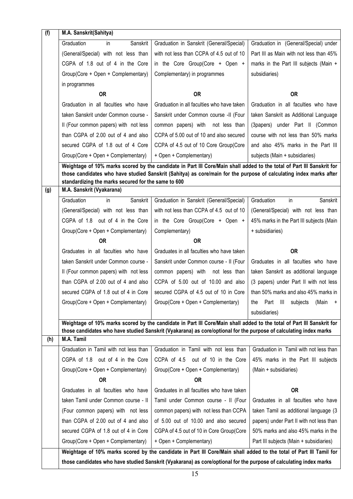| (f) | M.A. Sanskrit(Sahitya)                              |                                                                                                                        |                                          |  |
|-----|-----------------------------------------------------|------------------------------------------------------------------------------------------------------------------------|------------------------------------------|--|
|     | Graduation<br>Sanskrit<br>in                        | Graduation in Sanskrit (General/Special)                                                                               | Graduation in (General/Special) under    |  |
|     | (General/Special) with not less than                | with not less than CCPA of 4.5 out of 10                                                                               | Part III as Main with not less than 45%  |  |
|     | CGPA of 1.8 out of 4 in the Core                    | in the Core Group(Core + Open +                                                                                        | marks in the Part III subjects (Main +   |  |
|     | Group(Core + Open + Complementary)                  | Complementary) in programmes                                                                                           | subsidiaries)                            |  |
|     | in programmes                                       |                                                                                                                        |                                          |  |
|     | <b>OR</b>                                           | <b>OR</b>                                                                                                              | <b>OR</b>                                |  |
|     | Graduation in all faculties who have                | Graduation in all faculties who have taken                                                                             | Graduation in all faculties who have     |  |
|     | taken Sanskrit under Common course -                | Sanskrit under Common course -II (Four                                                                                 | taken Sanskrit as Additional Language    |  |
|     | II (Four common papers) with not less               | common papers) with<br>not less than                                                                                   | (3papers) under Part II (Common          |  |
|     | than CGPA of 2.00 out of 4 and also                 | CCPA of 5.00 out of 10 and also secured                                                                                | course with not less than 50% marks      |  |
|     | secured CGPA of 1.8 out of 4 Core                   | CCPA of 4.5 out of 10 Core Group(Core                                                                                  | and also 45% marks in the Part III       |  |
|     | Group(Core + Open + Complementary)                  | + Open + Complementary)                                                                                                | subjects (Main + subsidiaries)           |  |
|     |                                                     | Weightage of 10% marks scored by the candidate in Part III Core/Main shall added to the total of Part III Sanskrit for |                                          |  |
|     | standardizing the marks secured for the same to 600 | those candidates who have studied Sanskrit (Sahitya) as core/main for the purpose of calculating index marks after     |                                          |  |
| (g) | M.A. Sanskrit (Vyakarana)                           |                                                                                                                        |                                          |  |
|     | Graduation<br>Sanskrit<br>in                        | Graduation in Sanskrit (General/Special)                                                                               | Graduation<br>in<br>Sanskrit             |  |
|     | (General/Special) with not less than                | with not less than CCPA of 4.5 out of 10                                                                               | (General/Special) with not less than     |  |
|     | CGPA of 1.8 out of 4 in the Core                    | in the Core Group(Core + Open +                                                                                        | 45% marks in the Part III subjects (Main |  |
|     | Group(Core + Open + Complementary)                  | Complementary)                                                                                                         | + subsidiaries)                          |  |
|     | <b>OR</b>                                           | <b>OR</b>                                                                                                              |                                          |  |
|     | Graduates in all faculties who have                 | Graduates in all faculties who have taken                                                                              | <b>OR</b>                                |  |
|     | taken Sanskrit under Common course -                | Sanskrit under Common course - II (Four                                                                                | Graduates in all faculties who have      |  |
|     | II (Four common papers) with not less               | common papers) with<br>not less than                                                                                   | taken Sanskrit as additional language    |  |
|     | than CGPA of 2.00 out of 4 and also                 | CCPA of 5.00 out of 10.00 and also                                                                                     | (3 papers) under Part II with not less   |  |
|     | secured CGPA of 1.8 out of 4 in Core                | secured CGPA of 4.5 out of 10 in Core                                                                                  | than 50% marks and also 45% marks in     |  |
|     | Group(Core + Open + Complementary)                  | Group(Core + Open + Complementary)                                                                                     | Part III<br>subjects<br>$(Main +$<br>the |  |
|     |                                                     |                                                                                                                        | subsidiaries)                            |  |
|     |                                                     | Weightage of 10% marks scored by the candidate in Part III Core/Main shall added to the total of Part III Sanskrit for |                                          |  |
| (h) | <b>M.A. Tamil</b>                                   | those candidates who have studied Sanskrit (Vyakarana) as core/optional for the purpose of calculating index marks     |                                          |  |
|     | Graduation in Tamil with not less than              | Graduation in Tamil with not less than                                                                                 | Graduation in Tamil with not less than   |  |
|     | CGPA of 1.8 out of 4 in the Core                    | CCPA of 4.5 out of 10 in the Core                                                                                      | 45% marks in the Part III subjects       |  |
|     | Group(Core + Open + Complementary)                  | Group(Core + Open + Complementary)                                                                                     | (Main + subsidiaries)                    |  |
|     | <b>OR</b>                                           | <b>OR</b>                                                                                                              |                                          |  |
|     | Graduates in all faculties who have                 | Graduates in all faculties who have taken                                                                              | <b>OR</b>                                |  |
|     | taken Tamil under Common course - II                | Tamil under Common course - II (Four                                                                                   | Graduates in all faculties who have      |  |
|     | (Four common papers) with not less                  | common papers) with not less than CCPA                                                                                 | taken Tamil as additional language (3    |  |
|     | than CGPA of 2.00 out of 4 and also                 | of 5.00 out of 10.00 and also secured                                                                                  | papers) under Part II with not less than |  |
|     | secured CGPA of 1.8 out of 4 in Core                | CGPA of 4.5 out of 10 in Core Group(Core                                                                               | 50% marks and also 45% marks in the      |  |
|     | Group(Core + Open + Complementary)                  | + Open + Complementary)                                                                                                | Part III subjects (Main + subsidiaries)  |  |
|     |                                                     | Weightage of 10% marks scored by the candidate in Part III Core/Main shall added to the total of Part III Tamil for    |                                          |  |
|     |                                                     | those candidates who have studied Sanskrit (Vyakarana) as core/optional for the purpose of calculating index marks     |                                          |  |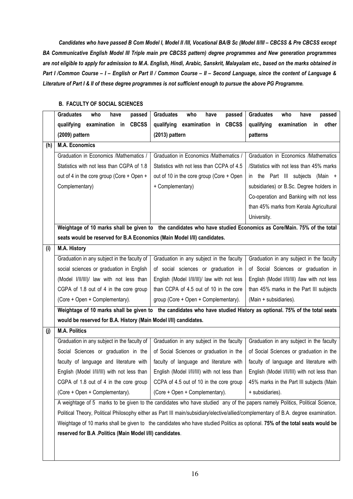*Candidates who have passed B Com Model I, Model II /III, Vocational BA/B Sc (Model II/III – CBCSS & Pre CBCSS except BA Communicative English Model III Triple main pre CBCSS pattern) degree programmes and New generation programmes are not eligible to apply for admission to M.A. English, Hindi, Arabic, Sanskrit, Malayalam etc., based on the marks obtained in Part I /Common Course – I – English or Part II / Common Course – II – Second Language, since the content of Language & Literature of Part I & II of these degree programmes is not sufficient enough to pursue the above PG Programme.* 

#### **B. FACULTY OF SOCIAL SCIENCES**

|     | <b>Graduates</b><br>who<br>have<br>passed                               | <b>Graduates</b><br>who<br>have<br>passed                                                                                           | <b>Graduates</b><br>who<br>have<br>passed   |
|-----|-------------------------------------------------------------------------|-------------------------------------------------------------------------------------------------------------------------------------|---------------------------------------------|
|     | examination in<br><b>CBCSS</b><br>qualifying                            | qualifying<br>examination in CBCSS                                                                                                  | qualifying<br>examination<br>other<br>in    |
|     | (2009) pattern                                                          | $(2013)$ pattern                                                                                                                    | patterns                                    |
| (h) | <b>M.A. Economics</b>                                                   |                                                                                                                                     |                                             |
|     | Graduation in Economics /Mathematics /                                  | Graduation in Economics /Mathematics /                                                                                              | Graduation in Economics /Mathematics        |
|     | Statistics with not less than CGPA of 1.8                               | Statistics with not less than CCPA of 4.5                                                                                           | /Statistics with not less than 45% marks    |
|     | out of 4 in the core group (Core + Open +                               | out of 10 in the core group (Core + Open                                                                                            | in the Part III subjects (Main +            |
|     | Complementary)                                                          | + Complementary)                                                                                                                    | subsidiaries) or B.Sc. Degree holders in    |
|     |                                                                         |                                                                                                                                     | Co-operation and Banking with not less      |
|     |                                                                         |                                                                                                                                     | than 45% marks from Kerala Agricultural     |
|     |                                                                         |                                                                                                                                     | University.                                 |
|     |                                                                         | Weightage of 10 marks shall be given to the candidates who have studied Economics as Core/Main. 75% of the total                    |                                             |
|     | seats would be reserved for B.A Economics (Main Model I/II) candidates. |                                                                                                                                     |                                             |
| (i) | M.A. History                                                            |                                                                                                                                     |                                             |
|     | Graduation in any subject in the faculty of                             | Graduation in any subject in the faculty                                                                                            | Graduation in any subject in the faculty    |
|     | social sciences or graduation in English                                | of social sciences or graduation in                                                                                                 | of Social Sciences or graduation in         |
|     | (Model I/II/III)/ law with not less than                                | English (Model I/II/III)/ law with not less                                                                                         | English (Model I/II/III) /law with not less |
|     | CGPA of 1.8 out of 4 in the core group                                  | than CCPA of 4.5 out of 10 in the core                                                                                              | than 45% marks in the Part III subjects     |
|     | (Core + Open + Complementary).                                          | group (Core + Open + Complementary).                                                                                                | (Main + subsidiaries).                      |
|     |                                                                         | Weightage of 10 marks shall be given to the candidates who have studied History as optional. 75% of the total seats                 |                                             |
|     | would be reserved for B.A. History (Main Model I/II) candidates.        |                                                                                                                                     |                                             |
| (j) | <b>M.A. Politics</b>                                                    |                                                                                                                                     |                                             |
|     | Graduation in any subject in the faculty of                             | Graduation in any subject in the faculty                                                                                            | Graduation in any subject in the faculty    |
|     | Social Sciences or graduation in the                                    | of Social Sciences or graduation in the                                                                                             | of Social Sciences or graduation in the     |
|     | faculty of language and literature with                                 | faculty of language and literature with                                                                                             | faculty of language and literature with     |
|     | English (Model I/II/III) with not less than                             | English (Model I/II/III) with not less than                                                                                         | English (Model I/II/III) with not less than |
|     | CGPA of 1.8 out of 4 in the core group                                  | CCPA of 4.5 out of 10 in the core group                                                                                             | 45% marks in the Part III subjects (Main    |
|     | (Core + Open + Complementary).                                          | (Core + Open + Complementary).                                                                                                      | + subsidiaries).                            |
|     |                                                                         | A weightage of 5 marks to be given to the candidates who have studied any of the papers namely Politics, Political Science,         |                                             |
|     |                                                                         | Political Theory, Political Philosophy either as Part III main/subsidiary/elective/allied/complementary of B.A. degree examination. |                                             |
|     |                                                                         | Weightage of 10 marks shall be given to the candidates who have studied Politics as optional. 75% of the total seats would be       |                                             |
|     | reserved for B.A . Politics (Main Model I/II) candidates.               |                                                                                                                                     |                                             |
|     |                                                                         |                                                                                                                                     |                                             |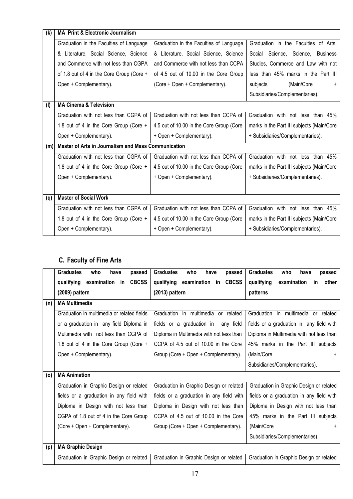| (k) | <b>MA Print &amp; Electronic Journalism</b>         |                                          |                                           |  |
|-----|-----------------------------------------------------|------------------------------------------|-------------------------------------------|--|
|     | Graduation in the Faculties of Language             | Graduation in the Faculties of Language  | Graduation in the Faculties of Arts.      |  |
|     | & Literature, Social Science, Science               | & Literature, Social Science, Science    | Social Science, Science, Business         |  |
|     | and Commerce with not less than CGPA                | and Commerce with not less than CCPA     | Studies, Commerce and Law with not        |  |
|     | of 1.8 out of 4 in the Core Group (Core +           | of 4.5 out of 10.00 in the Core Group    | less than 45% marks in the Part III       |  |
|     | Open + Complementary).                              | (Core + Open + Complementary).           | subjects<br>(Main/Core<br>÷               |  |
|     |                                                     |                                          | Subsidiaries/Complementaries).            |  |
| (1) | <b>MA Cinema &amp; Television</b>                   |                                          |                                           |  |
|     | Graduation with not less than CGPA of               | Graduation with not less than CCPA of    | Graduation with not less than 45%         |  |
|     | 1.8 out of 4 in the Core Group (Core +              | 4.5 out of 10.00 in the Core Group (Core | marks in the Part III subjects (Main/Core |  |
|     | Open + Complementary).                              | + Open + Complementary).                 | + Subsidiaries/Complementaries).          |  |
| (m) | Master of Arts in Journalism and Mass Communication |                                          |                                           |  |
|     | Graduation with not less than CGPA of               | Graduation with not less than CCPA of    | Graduation with not less than 45%         |  |
|     | 1.8 out of 4 in the Core Group (Core +              | 4.5 out of 10.00 in the Core Group (Core | marks in the Part III subjects (Main/Core |  |
|     | Open + Complementary).                              | + Open + Complementary).                 | + Subsidiaries/Complementaries).          |  |
|     |                                                     |                                          |                                           |  |
| (q) | <b>Master of Social Work</b>                        |                                          |                                           |  |
|     | Graduation with not less than CGPA of               | Graduation with not less than CCPA of    | Graduation with not less than 45%         |  |
|     | 1.8 out of 4 in the Core Group (Core +              | 4.5 out of 10.00 in the Core Group (Core | marks in the Part III subjects (Main/Core |  |
|     | Open + Complementary).                              | + Open + Complementary).                 | + Subsidiaries/Complementaries).          |  |

# **C. Faculty of Fine Arts**

|     | <b>Graduates</b><br>who<br>have<br>passed  | <b>Graduates</b><br>who<br>have<br>passed | <b>Graduates</b><br>who<br>have<br>passed |
|-----|--------------------------------------------|-------------------------------------------|-------------------------------------------|
|     | qualifying examination in<br><b>CBCSS</b>  | qualifying examination in CBCSS           | qualifying<br>examination<br>in other     |
|     | $(2009)$ pattern                           | (2013) pattern                            | patterns                                  |
| (n) | <b>MA Multimedia</b>                       |                                           |                                           |
|     | Graduation in multimedia or related fields | Graduation in multimedia or related       | Graduation in multimedia or related       |
|     | or a graduation in any field Diploma in    | fields or a graduation in any field       | fields or a graduation in any field with  |
|     | Multimedia with not less than CGPA of      | Diploma in Multimedia with not less than  | Diploma in Multimedia with not less than  |
|     | 1.8 out of 4 in the Core Group (Core +     | CCPA of 4.5 out of 10.00 in the Core      | 45% marks in the Part III subjects        |
|     | Open + Complementary).                     | Group (Core + Open + Complementary).      | (Main/Core                                |
|     |                                            |                                           | Subsidiaries/Complementaries).            |
| (0) | <b>MA Animation</b>                        |                                           |                                           |
|     | Graduation in Graphic Design or related    | Graduation in Graphic Design or related   | Graduation in Graphic Design or related   |
|     | fields or a graduation in any field with   | fields or a graduation in any field with  | fields or a graduation in any field with  |
|     | Diploma in Design with not less than       | Diploma in Design with not less than      | Diploma in Design with not less than      |
|     | CGPA of 1.8 out of 4 in the Core Group     | CCPA of 4.5 out of 10.00 in the Core      | 45% marks in the Part III subjects        |
|     | (Core + Open + Complementary).             | Group (Core + Open + Complementary).      | (Main/Core                                |
|     |                                            |                                           | Subsidiaries/Complementaries).            |
| (p) | <b>MA Graphic Design</b>                   |                                           |                                           |
|     | Graduation in Graphic Design or related    | Graduation in Graphic Design or related   | Graduation in Graphic Design or related   |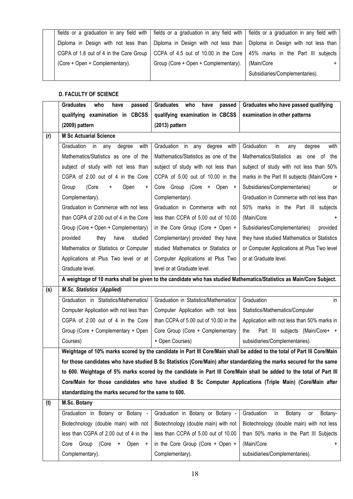|                                        | fields or a graduation in any field with   fields or a graduation in any field with   fields or a graduation in any field with |                                |
|----------------------------------------|--------------------------------------------------------------------------------------------------------------------------------|--------------------------------|
|                                        | Diploma in Design with not less than   Diploma in Design with not less than   Diploma in Design with not less than             |                                |
| CGPA of 1.8 out of 4 in the Core Group | CCPA of 4.5 out of 10.00 in the Core   45% marks in the Part III subjects                                                      |                                |
| (Core + Open + Complementary).         | Group (Core + Open + Complementary).                                                                                           | (Main/Core                     |
|                                        |                                                                                                                                | Subsidiaries/Complementaries). |

#### **D. FACULTY OF SCIENCE**

|     | <b>Graduates</b><br>who<br>have<br>passed                               | <b>Graduates</b><br>who<br>have<br>passed | Graduates who have passed qualifying                                                                                   |
|-----|-------------------------------------------------------------------------|-------------------------------------------|------------------------------------------------------------------------------------------------------------------------|
|     | qualifying examination in CBCSS                                         | qualifying examination in CBCSS           | examination in other patterns                                                                                          |
|     | (2009) pattern                                                          | (2013) pattern                            |                                                                                                                        |
| (r) | <b>M Sc Actuarial Science</b>                                           |                                           |                                                                                                                        |
|     | Graduation<br>in<br>with<br>any<br>degree                               | Graduation<br>degree<br>in<br>any<br>with | Graduation<br>degree<br>with<br>in<br>any                                                                              |
|     | Mathematics/Statistics as one of the                                    | Mathematics/Statistics as one of the      | Mathematics/Statistics as one of the                                                                                   |
|     | subject of study with not less than                                     | subject of study with not less than       | subject of study with not less than 50%                                                                                |
|     | CGPA of 2.00 out of 4 in the Core                                       | CCPA of 5.00 out of 10.00 in the          | marks in the Part III subjects (Main/Core +                                                                            |
|     | (Core<br>Group<br>Open<br>$\ddot{}$<br>$\begin{array}{c} + \end{array}$ | Core Group (Core + Open +                 | Subsidiaries/Complementaries)<br>or                                                                                    |
|     | Complementary).                                                         | Complementary).                           | Graduation in Commerce with not less than                                                                              |
|     | Graduation in Commerce with not less                                    | Graduation in Commerce with not           | 50% marks in the Part III subjects                                                                                     |
|     | than CGPA of 2.00 out of 4 in the Core                                  | less than CCPA of 5.00 out of 10.00       | (Main/Core                                                                                                             |
|     | Group (Core + Open + Complementary)                                     | in the Core Group (Core + Open +          | Subsidiaries/Complementaries)<br>provided                                                                              |
|     | have<br>provided<br>they<br>studied                                     | Complementary) provided they have         | they have studied Mathematics or Statistics                                                                            |
|     | Mathematics or Statistics or Computer                                   | studied Mathematics or Statistics or      | or Computer Applications at Plus Two level                                                                             |
|     | Applications at Plus Two level or at                                    | Computer Applications at Plus Two         | or at Graduate level.                                                                                                  |
|     | Graduate level.                                                         | level or at Graduate level.               |                                                                                                                        |
|     |                                                                         |                                           | A weightage of 10 marks shall be given to the candidate who has studied Mathematics/Statistics as Main/Core Subject.   |
| (s) | <b>M.Sc. Statistics (Applied)</b>                                       |                                           |                                                                                                                        |
|     | Graduation in Statistics/Mathematics/                                   | Graduation in Statistics/Mathematics/     | Graduation<br>in                                                                                                       |
|     | Computer Application with not less than                                 | Computer Application with not less        | Statistics/Mathematics/Computer                                                                                        |
|     | CGPA of 2.00 out of 4 in the Core                                       | than CCPA of 5.00 out of 10.00 in the     | Application with not less than 50% marks in                                                                            |
|     | Group (Core + Complementary + Open                                      | Core Group (Core + Complementary          | Part III subjects (Main/Core+ +<br>the                                                                                 |
|     | Courses)                                                                | + Open Courses)                           | subsidiaries/Complementaries).                                                                                         |
|     |                                                                         |                                           | Weightage of 10% marks scored by the candidate in Part III Core/Main shall be added to the total of Part III Core/Main |
|     |                                                                         |                                           | for those candidates who have studied B Sc Statistics (Core/Main) after standardizing the marks secured for the same   |
|     |                                                                         |                                           | to 600. Weightage of 5% marks scored by the candidate in Part III Core/Main shall be added to the total of Part III    |
|     |                                                                         |                                           | Core/Main for those candidates who have studied B Sc Computer Applications (Triple Main) (Core/Main after              |
|     | standardizing the marks secured for the same to 600.                    |                                           |                                                                                                                        |
| (t) | M.Sc. Botany                                                            |                                           |                                                                                                                        |
|     | Graduation in Botany or Botany -                                        | Graduation in Botany or Botany -          | Graduation<br>Botany<br>in<br>Botany-<br>or                                                                            |
|     | Biotechnology (double main) with not                                    | Biotechnology (double main) with not      | Biotechnology (double main) with not less                                                                              |
|     | less than CGPA of 2.00 out of 4 in the                                  | less than CCPA of 5.00 out of 10.00       | than 50% marks in the Part III Subjects                                                                                |
|     | Core Group (Core<br>+ Open +                                            | in the Core Group (Core + Open +          | (Main/Core                                                                                                             |
|     | Complementary).                                                         | Complementary).                           | subsidiaries/Complementaries).                                                                                         |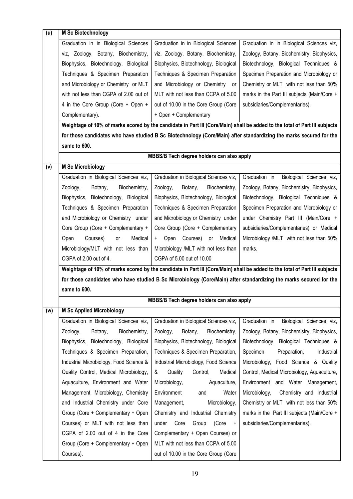| (u) | <b>M Sc Biotechnology</b>               |                                           |                                                                                                                            |
|-----|-----------------------------------------|-------------------------------------------|----------------------------------------------------------------------------------------------------------------------------|
|     | Graduation in in Biological Sciences    | Graduation in in Biological Sciences      | Graduation in in Biological Sciences viz,                                                                                  |
|     | viz, Zoology, Botany, Biochemistry,     | viz, Zoology, Botany, Biochemistry,       | Zoology, Botany, Biochemistry, Biophysics,                                                                                 |
|     | Biophysics, Biotechnology, Biological   | Biophysics, Biotechnology, Biological     | Biotechnology, Biological Techniques &                                                                                     |
|     | Techniques & Specimen Preparation       | Techniques & Specimen Preparation         | Specimen Preparation and Microbiology or                                                                                   |
|     | and Microbiology or Chemistry or MLT    | and Microbiology or Chemistry or          | Chemistry or MLT with not less than 50%                                                                                    |
|     | with not less than CGPA of 2.00 out of  | MLT with not less than CCPA of 5.00       | marks in the Part III subjects (Main/Core +                                                                                |
|     | 4 in the Core Group (Core + Open +      | out of 10.00 in the Core Group (Core      | subsidiaries/Complementaries).                                                                                             |
|     | Complementary).                         | + Open + Complementary                    |                                                                                                                            |
|     |                                         |                                           | Weightage of 10% of marks scored by the candidate in Part III (Core/Main) shall be added to the total of Part III subjects |
|     |                                         |                                           | for those candidates who have studied B Sc Biotechnology (Core/Main) after standardizing the marks secured for the         |
|     | same to 600.                            |                                           |                                                                                                                            |
|     |                                         | MBBS/B Tech degree holders can also apply |                                                                                                                            |
| (v) | <b>M Sc Microbiology</b>                |                                           |                                                                                                                            |
|     | Graduation in Biological Sciences viz,  | Graduation in Biological Sciences viz,    | Graduation in<br>Biological Sciences viz,                                                                                  |
|     | Zoology,<br>Botany,<br>Biochemistry,    | Zoology,<br>Botany,<br>Biochemistry,      | Zoology, Botany, Biochemistry, Biophysics,                                                                                 |
|     | Biophysics, Biotechnology, Biological   | Biophysics, Biotechnology, Biological     | Biotechnology, Biological Techniques &                                                                                     |
|     | Techniques & Specimen Preparation       | Techniques & Specimen Preparation         | Specimen Preparation and Microbiology or                                                                                   |
|     | and Microbiology or Chemistry under     | and Microbiology or Chemistry under       | under Chemistry Part III (Main/Core +                                                                                      |
|     | Core Group (Core + Complementary +      | Core Group (Core + Complementary          | subsidiaries/Complementaries) or Medical                                                                                   |
|     | Courses)<br>Medical<br>Open<br>or       | Open Courses) or<br>Medical<br>$+$        | Microbiology /MLT with not less than 50%                                                                                   |
|     | Microbiology/MLT with not less than     | Microbiology /MLT with not less than      | marks.                                                                                                                     |
|     | CGPA of 2.00 out of 4.                  | CGPA of 5.00 out of 10.00                 |                                                                                                                            |
|     |                                         |                                           | Weightage of 10% of marks scored by the candidate in Part III (Core/Main) shall be added to the total of Part III subjects |
|     |                                         |                                           | for those candidates who have studied B Sc Microbiology (Core/Main) after standardizing the marks secured for the          |
|     | same to 600.                            |                                           |                                                                                                                            |
|     |                                         | MBBS/B Tech degree holders can also apply |                                                                                                                            |
| (w) | <b>M Sc Applied Microbiology</b>        |                                           |                                                                                                                            |
|     | Graduation in Biological Sciences viz,  | Graduation in Biological Sciences viz,    | Biological Sciences viz,<br>Graduation in                                                                                  |
|     | Zoology,<br>Botany,<br>Biochemistry,    | Zoology,<br>Botany,<br>Biochemistry,      | Zoology, Botany, Biochemistry, Biophysics,                                                                                 |
|     | Biophysics, Biotechnology, Biological   | Biophysics, Biotechnology, Biological     | Biotechnology, Biological Techniques &                                                                                     |
|     | Techniques & Specimen Preparation,      | Techniques & Specimen Preparation,        | Specimen<br>Preparation,<br>Industrial                                                                                     |
|     | Industrial Microbiology, Food Science & | Industrial Microbiology, Food Science     | Food Science & Quality<br>Microbiology,                                                                                    |
|     | Quality Control, Medical Microbiology,  | &<br>Medical<br>Quality<br>Control,       | Control, Medical Microbiology, Aquaculture,                                                                                |
|     | Aquaculture, Environment and Water      | Microbiology,<br>Aquaculture,             | Environment and Water Management,                                                                                          |
|     | Management, Microbiology, Chemistry     | Environment<br>Water<br>and               | Microbiology,<br>Chemistry and Industrial                                                                                  |
|     | and Industrial Chemistry under Core     | Microbiology,<br>Management,              | Chemistry or MLT with not less than 50%                                                                                    |
|     | Group (Core + Complementary + Open      | Industrial Chemistry<br>Chemistry and     | marks in the Part III subjects (Main/Core +                                                                                |
|     | Courses) or MLT with not less than      | under<br>Core<br>(Core<br>Group<br>$+$    | subsidiaries/Complementaries).                                                                                             |
|     | CGPA of 2.00 out of 4 in the Core       | Complementary + Open Courses) or          |                                                                                                                            |
|     | Group (Core + Complementary + Open      | MLT with not less than CCPA of 5.00       |                                                                                                                            |
|     | Courses).                               | out of 10.00 in the Core Group (Core      |                                                                                                                            |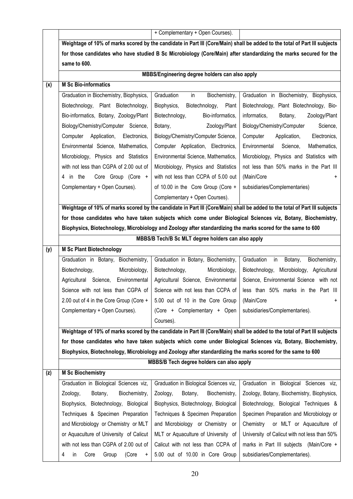|     |                                                                                                                   | + Complementary + Open Courses).                   |                                                                                                                            |  |
|-----|-------------------------------------------------------------------------------------------------------------------|----------------------------------------------------|----------------------------------------------------------------------------------------------------------------------------|--|
|     |                                                                                                                   |                                                    | Weightage of 10% of marks scored by the candidate in Part III (Core/Main) shall be added to the total of Part III subjects |  |
|     | for those candidates who have studied B Sc Microbiology (Core/Main) after standardizing the marks secured for the |                                                    |                                                                                                                            |  |
|     | same to 600.                                                                                                      |                                                    |                                                                                                                            |  |
|     |                                                                                                                   | MBBS/Engineering degree holders can also apply     |                                                                                                                            |  |
| (x) | <b>M Sc Bio-informatics</b>                                                                                       |                                                    |                                                                                                                            |  |
|     | Graduation in Biochemistry, Biophysics,                                                                           | Graduation<br>in<br>Biochemistry,                  | Graduation in Biochemistry, Biophysics,                                                                                    |  |
|     | Biotechnology, Plant Biotechnology,                                                                               | Biophysics,<br>Biotechnology,<br>Plant             | Biotechnology, Plant Biotechnology, Bio-                                                                                   |  |
|     | Bio-informatics, Botany, Zoology/Plant                                                                            | Bio-informatics,<br>Biotechnology,                 | informatics,<br>Botany,<br>Zoology/Plant                                                                                   |  |
|     | Biology/Chemistry/Computer Science,                                                                               | Zoology/Plant<br>Botany,                           | Biology/Chemistry/Computer<br>Science,                                                                                     |  |
|     | Computer<br>Application,<br>Electronics,                                                                          | Biology/Chemistry/Computer Science,                | Application,<br>Computer<br>Electronics,                                                                                   |  |
|     | Environmental Science, Mathematics,                                                                               | Computer Application, Electronics,                 | Mathematics,<br>Environmental<br>Science,                                                                                  |  |
|     | Microbiology, Physics and Statistics                                                                              | Environmental Science, Mathematics,                | Microbiology, Physics and Statistics with                                                                                  |  |
|     | with not less than CGPA of 2.00 out of                                                                            | Microbiology, Physics and Statistics               | not less than 50% marks in the Part III                                                                                    |  |
|     | 4 in the<br>Core Group (Core +                                                                                    | with not less than CCPA of 5.00 out                | (Main/Core<br>$\pm$                                                                                                        |  |
|     | Complementary + Open Courses).                                                                                    | of 10.00 in the Core Group (Core +                 | subsidiaries/Complementaries)                                                                                              |  |
|     |                                                                                                                   | Complementary + Open Courses).                     |                                                                                                                            |  |
|     |                                                                                                                   |                                                    | Weightage of 10% of marks scored by the candidate in Part III (Core/Main) shall be added to the total of Part III subjects |  |
|     |                                                                                                                   |                                                    | for those candidates who have taken subjects which come under Biological Sciences viz, Botany, Biochemistry,               |  |
|     | Biophysics, Biotechnology, Microbiology and Zoology after standardizing the marks scored for the same to 600      |                                                    |                                                                                                                            |  |
|     |                                                                                                                   | MBBS/B Tech/B Sc MLT degree holders can also apply |                                                                                                                            |  |
| (y) | <b>M Sc Plant Biotechnology</b>                                                                                   |                                                    |                                                                                                                            |  |
|     | Graduation in Botany, Biochemistry,                                                                               | Graduation in Botany, Biochemistry,                | Graduation<br>Biochemistry,<br>in<br>Botany,                                                                               |  |
|     | Biotechnology,<br>Microbiology,                                                                                   | Biotechnology,<br>Microbiology,                    | Biotechnology, Microbiology, Agricultural                                                                                  |  |
|     | Agricultural Science,<br>Environmental                                                                            | Agricultural Science, Environmental                | Science, Environmental Science with not                                                                                    |  |
|     | Science with not less than CGPA of                                                                                | Science with not less than CCPA of                 | less than 50% marks in the Part III                                                                                        |  |
|     | 2.00 out of 4 in the Core Group (Core +                                                                           | 5.00 out of 10 in the Core Group                   | (Main/Core<br>$+$                                                                                                          |  |
|     | Complementary + Open Courses).                                                                                    | (Core + Complementary + Open                       | subsidiaries/Complementaries).                                                                                             |  |
|     |                                                                                                                   | Courses).                                          |                                                                                                                            |  |
|     |                                                                                                                   |                                                    | Weightage of 10% of marks scored by the candidate in Part III (Core/Main) shall be added to the total of Part III subjects |  |
|     |                                                                                                                   |                                                    | for those candidates who have taken subjects which come under Biological Sciences viz, Botany, Biochemistry,               |  |
|     | Biophysics, Biotechnology, Microbiology and Zoology after standardizing the marks scored for the same to 600      |                                                    |                                                                                                                            |  |
|     |                                                                                                                   | MBBS/B Tech degree holders can also apply          |                                                                                                                            |  |
| (z) | <b>M Sc Biochemistry</b>                                                                                          |                                                    |                                                                                                                            |  |
|     | Graduation in Biological Sciences viz,                                                                            | Graduation in Biological Sciences viz,             | Graduation in Biological Sciences viz,                                                                                     |  |
|     | Zoology,<br>Botany,<br>Biochemistry,                                                                              | Zoology,<br>Botany,<br>Biochemistry,               | Zoology, Botany, Biochemistry, Biophysics,                                                                                 |  |
|     | Biophysics, Biotechnology, Biological                                                                             | Biophysics, Biotechnology, Biological              | Biotechnology, Biological Techniques &                                                                                     |  |
|     | Techniques & Specimen Preparation                                                                                 | Techniques & Specimen Preparation                  | Specimen Preparation and Microbiology or                                                                                   |  |
|     | and Microbiology or Chemistry or MLT                                                                              | and Microbiology or Chemistry or                   | or MLT or Aquaculture of<br>Chemistry                                                                                      |  |
|     | or Aquaculture of University of Calicut                                                                           | MLT or Aquaculture of University of                | University of Calicut with not less than 50%                                                                               |  |
|     | with not less than CGPA of 2.00 out of                                                                            | Calicut with not less than CCPA of                 | marks in Part III subjects (Main/Core +                                                                                    |  |
|     | 4<br>Core<br>Group<br>(Core<br>in<br>$+$                                                                          | 5.00 out of 10.00 in Core Group                    | subsidiaries/Complementaries).                                                                                             |  |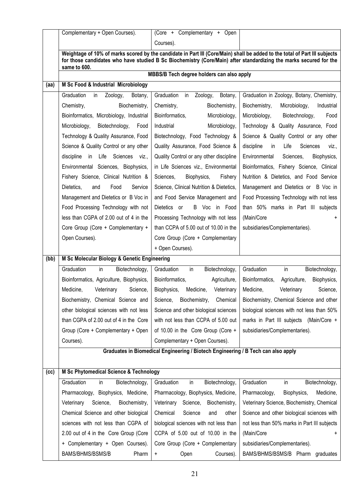|      | Complementary + Open Courses).                    | (Core + Complementary + Open                                                      |                                                                                                                                                                                                                                                 |  |
|------|---------------------------------------------------|-----------------------------------------------------------------------------------|-------------------------------------------------------------------------------------------------------------------------------------------------------------------------------------------------------------------------------------------------|--|
|      |                                                   | Courses).                                                                         |                                                                                                                                                                                                                                                 |  |
|      | same to 600.                                      |                                                                                   | Weightage of 10% of marks scored by the candidate in Part III (Core/Main) shall be added to the total of Part III subjects<br>for those candidates who have studied B Sc Biochemistry (Core/Main) after standardizing the marks secured for the |  |
|      | MBBS/B Tech degree holders can also apply         |                                                                                   |                                                                                                                                                                                                                                                 |  |
| (aa) | M Sc Food & Industrial Microbiology               |                                                                                   |                                                                                                                                                                                                                                                 |  |
|      | Graduation<br>Zoology,<br>Botany,<br>in           | Graduation<br>in<br>Zoology,<br>Botany,                                           | Graduation in Zoology, Botany, Chemistry,                                                                                                                                                                                                       |  |
|      | Chemistry,<br>Biochemistry,                       | Chemistry,<br>Biochemistry,                                                       | Biochemistry,<br>Microbiology,<br>Industrial                                                                                                                                                                                                    |  |
|      | Bioinformatics, Microbiology, Industrial          | Bioinformatics,<br>Microbiology,                                                  | Food<br>Microbiology,<br>Biotechnology,                                                                                                                                                                                                         |  |
|      | Microbiology,<br>Biotechnology,<br>Food           | Industrial<br>Microbiology,                                                       | Technology & Quality Assurance, Food                                                                                                                                                                                                            |  |
|      | Technology & Quality Assurance, Food              | Biotechnology, Food Technology &                                                  | Science & Quality Control or any other                                                                                                                                                                                                          |  |
|      | Science & Quality Control or any other            | Quality Assurance, Food Science &                                                 | Sciences<br>discipline<br>in<br>Life<br>viz.,                                                                                                                                                                                                   |  |
|      | Sciences<br>discipline<br>in<br>Life<br>VZ.,      | Quality Control or any other discipline                                           | Environmental<br>Sciences,<br>Biophysics,                                                                                                                                                                                                       |  |
|      | Environmental Sciences, Biophysics,               | in Life Sciences viz., Environmental                                              | Bioinformatics, Fishery Science, Clinical                                                                                                                                                                                                       |  |
|      | Fishery Science, Clinical Nutrition &             | Sciences,<br>Biophysics,<br>Fishery                                               | Nutrition & Dietetics, and Food Service                                                                                                                                                                                                         |  |
|      | Dietetics,<br>Service<br>and<br>Food              | Science, Clinical Nutrition & Dietetics,                                          | Management and Dietetics or B Voc in                                                                                                                                                                                                            |  |
|      | Management and Dietetics or B Voc in              | and Food Service Management and                                                   | Food Processing Technology with not less                                                                                                                                                                                                        |  |
|      | Food Processing Technology with not               | Dietetics or<br>B Voc in Food                                                     | than 50% marks in Part III subjects                                                                                                                                                                                                             |  |
|      | less than CGPA of 2.00 out of 4 in the            | Processing Technology with not less                                               | (Main/Core<br>$\ddot{}$                                                                                                                                                                                                                         |  |
|      | Core Group (Core + Complementary +                | than CCPA of 5.00 out of 10.00 in the                                             | subsidiaries/Complementaries).                                                                                                                                                                                                                  |  |
|      | Open Courses).                                    | Core Group (Core + Complementary                                                  |                                                                                                                                                                                                                                                 |  |
|      |                                                   | + Open Courses).                                                                  |                                                                                                                                                                                                                                                 |  |
| (bb) | M Sc Molecular Biology & Genetic Engineering      |                                                                                   |                                                                                                                                                                                                                                                 |  |
|      | Graduation<br>in<br>Biotechnology,                | Graduation<br>in<br>Biotechnology,                                                | Graduation<br>in<br>Biotechnology,                                                                                                                                                                                                              |  |
|      | Bioinformatics, Agriculture, Biophysics,          | Bioinformatics,<br>Agriculture,                                                   | Bioinformatics,<br>Agriculture,<br>Biophysics,                                                                                                                                                                                                  |  |
|      | Medicine,<br>Veterinary<br>Science.               | Biophysics,<br>Medicine,<br>Veterinary                                            | Medicine,<br>Science,<br>Veterinary                                                                                                                                                                                                             |  |
|      | Biochemistry, Chemical Science and                | Biochemistry,<br>Science,<br>Chemical                                             | Biochemistry, Chemical Science and other                                                                                                                                                                                                        |  |
|      | other biological sciences with not less           | Science and other biological sciences                                             | biological sciences with not less than 50%                                                                                                                                                                                                      |  |
|      | than CGPA of 2.00 out of 4 in the Core            | with not less than CCPA of 5.00 out                                               | marks in Part III subjects (Main/Core +                                                                                                                                                                                                         |  |
|      | Group (Core + Complementary + Open                | of 10.00 in the Core Group (Core +                                                | subsidiaries/Complementaries).                                                                                                                                                                                                                  |  |
|      | Courses).                                         | Complementary + Open Courses).                                                    |                                                                                                                                                                                                                                                 |  |
|      |                                                   | Graduates in Biomedical Engineering / Biotech Engineering / B Tech can also apply |                                                                                                                                                                                                                                                 |  |
|      |                                                   |                                                                                   |                                                                                                                                                                                                                                                 |  |
| (cc) | <b>M Sc Phytomedical Science &amp; Technology</b> |                                                                                   |                                                                                                                                                                                                                                                 |  |
|      | Graduation<br>in<br>Biotechnology,                | Graduation<br>in<br>Biotechnology,                                                | Graduation<br>in<br>Biotechnology,                                                                                                                                                                                                              |  |
|      | Pharmacology, Biophysics, Medicine,               | Pharmacology, Biophysics, Medicine,                                               | Pharmacology,<br>Biophysics,<br>Medicine,                                                                                                                                                                                                       |  |
|      | Veterinary<br>Science,<br>Biochemistry,           | Veterinary<br>Science,<br>Biochemistry,                                           | Veterinary Science, Biochemistry, Chemical                                                                                                                                                                                                      |  |
|      | Chemical Science and other biological             | Chemical<br>Science<br>and<br>other                                               | Science and other biological sciences with                                                                                                                                                                                                      |  |
|      | sciences with not less than CGPA of               | biological sciences with not less than                                            | not less than 50% marks in Part III subjects                                                                                                                                                                                                    |  |
|      |                                                   |                                                                                   |                                                                                                                                                                                                                                                 |  |
|      | 2.00 out of 4 in the Core Group (Core             | CCPA of 5.00 out of 10.00 in the                                                  | (Main/Core                                                                                                                                                                                                                                      |  |
|      | + Complementary + Open Courses).                  | Core Group (Core + Complementary                                                  | subsidiaries/Complementaries).                                                                                                                                                                                                                  |  |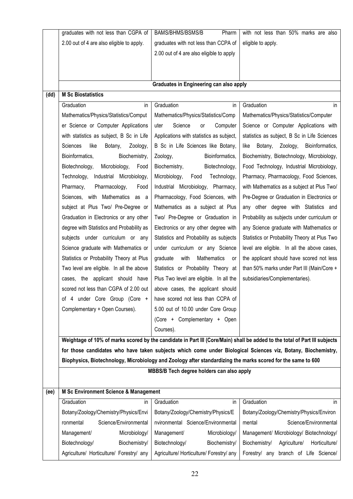|      | graduates with not less than CGPA of                                                                         | BAMS/BHMS/BSMS/B<br>Pharm                 | with not less than 50% marks are also                                                                                      |
|------|--------------------------------------------------------------------------------------------------------------|-------------------------------------------|----------------------------------------------------------------------------------------------------------------------------|
|      | 2.00 out of 4 are also eligible to apply.                                                                    | graduates with not less than CCPA of      | eligible to apply.                                                                                                         |
|      |                                                                                                              | 2.00 out of 4 are also eligible to apply  |                                                                                                                            |
|      |                                                                                                              |                                           |                                                                                                                            |
|      |                                                                                                              |                                           |                                                                                                                            |
|      |                                                                                                              | Graduates in Engineering can also apply   |                                                                                                                            |
| (dd) | <b>M Sc Biostatistics</b>                                                                                    |                                           |                                                                                                                            |
|      | Graduation<br>in                                                                                             | Graduation<br>in                          | Graduation<br>in                                                                                                           |
|      | Mathematics/Physics/Statistics/Comput                                                                        | Mathematics/Physics/Statistics/Comp       | Mathematics/Physics/Statistics/Computer                                                                                    |
|      | er Science or Computer Applications                                                                          | Science<br>uter<br>Computer<br>or         | Science or Computer Applications with                                                                                      |
|      | with statistics as subject, B Sc in Life                                                                     | Applications with statistics as subject,  | statistics as subject, B Sc in Life Sciences                                                                               |
|      | like<br><b>Sciences</b><br>Botany,<br>Zoology,                                                               | B Sc in Life Sciences like Botany,        | Botany,<br>Zoology,<br>Bioinformatics,<br>like                                                                             |
|      | Bioinformatics,<br>Biochemistry,                                                                             | Zoology,<br>Bioinformatics,               | Biochemistry, Biotechnology, Microbiology,                                                                                 |
|      | Biotechnology,<br>Microbiology,<br>Food                                                                      | Biotechnology,<br>Biochemistry,           | Food Technology, Industrial Microbiology,                                                                                  |
|      | Industrial Microbiology,<br>Technology,                                                                      | Microbiology,<br>Technology,<br>Food      | Pharmacy, Pharmacology, Food Sciences,                                                                                     |
|      | Pharmacology,<br>Pharmacy,<br>Food                                                                           | Industrial Microbiology, Pharmacy,        | with Mathematics as a subject at Plus Two/                                                                                 |
|      | Sciences, with Mathematics as a                                                                              | Pharmacology, Food Sciences, with         | Pre-Degree or Graduation in Electronics or                                                                                 |
|      | subject at Plus Two/ Pre-Degree or                                                                           | Mathematics as a subject at Plus          | any other degree with Statistics and                                                                                       |
|      | Graduation in Electronics or any other                                                                       | Two/ Pre-Degree or Graduation in          | Probability as subjects under curriculum or                                                                                |
|      | degree with Statistics and Probability as                                                                    | Electronics or any other degree with      | any Science graduate with Mathematics or                                                                                   |
|      | subjects under curriculum or any                                                                             | Statistics and Probability as subjects    | Statistics or Probability Theory at Plus Two                                                                               |
|      | Science graduate with Mathematics or                                                                         | under curriculum or any Science           | level are eligible. In all the above cases,                                                                                |
|      | Statistics or Probability Theory at Plus                                                                     | Mathematics<br>graduate<br>with<br>or     | the applicant should have scored not less                                                                                  |
|      | Two level are eligible. In all the above                                                                     | Statistics or Probability Theory at       | than 50% marks under Part III (Main/Core +                                                                                 |
|      | cases, the applicant should have                                                                             | Plus Two level are eligible. In all the   | subsidiaries/Complementaries).                                                                                             |
|      | scored not less than CGPA of 2.00 out                                                                        | above cases, the applicant should         |                                                                                                                            |
|      | of 4 under Core Group (Core +                                                                                | have scored not less than CCPA of         |                                                                                                                            |
|      | Complementary + Open Courses).                                                                               | 5.00 out of 10.00 under Core Group        |                                                                                                                            |
|      |                                                                                                              | (Core + Complementary + Open              |                                                                                                                            |
|      |                                                                                                              | Courses).                                 |                                                                                                                            |
|      |                                                                                                              |                                           | Weightage of 10% of marks scored by the candidate in Part III (Core/Main) shall be added to the total of Part III subjects |
|      |                                                                                                              |                                           | for those candidates who have taken subjects which come under Biological Sciences viz, Botany, Biochemistry,               |
|      | Biophysics, Biotechnology, Microbiology and Zoology after standardizing the marks scored for the same to 600 |                                           |                                                                                                                            |
|      |                                                                                                              | MBBS/B Tech degree holders can also apply |                                                                                                                            |
| (ee) | <b>M Sc Environment Science &amp; Management</b>                                                             |                                           |                                                                                                                            |
|      | Graduation<br>in                                                                                             | Graduation<br>in                          | Graduation<br>in                                                                                                           |
|      | Botany/Zoology/Chemistry/Physics/Envi                                                                        | Botany/Zoology/Chemistry/Physics/E        | Botany/Zoology/Chemistry/Physics/Environ                                                                                   |
|      | Science/Environmental<br>ronmental                                                                           | nvironmental Science/Environmental        | Science/Environmental<br>mental                                                                                            |
|      | Management/<br>Microbiology/                                                                                 | Management/<br>Microbiology/              | Management/ Microbiology/ Biotechnology/                                                                                   |
|      | Biotechnology/<br>Biochemistry/                                                                              | Biotechnology/<br>Biochemistry/           | Biochemistry/<br>Agriculture/<br>Horticulture/                                                                             |
|      | Agriculture/ Horticulture/ Forestry/ any                                                                     | Agriculture/ Horticulture/ Forestry/ any  | Forestry/ any branch of Life Science/                                                                                      |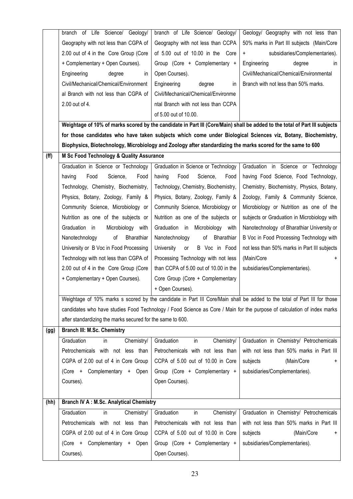|      | branch of Life Science/ Geology/                                                                             | branch of Life Science/ Geology/               | Geology/ Geography with not less than                                                                                      |
|------|--------------------------------------------------------------------------------------------------------------|------------------------------------------------|----------------------------------------------------------------------------------------------------------------------------|
|      | Geography with not less than CGPA of                                                                         | Geography with not less than CCPA              | 50% marks in Part III subjects (Main/Core                                                                                  |
|      | 2.00 out of 4 in the Core Group (Core                                                                        | of 5.00 out of 10.00 in the Core               | subsidiaries/Complementaries).<br>$+$                                                                                      |
|      | + Complementary + Open Courses).                                                                             | Group (Core + Complementary +                  | Engineering<br>degree<br>in.                                                                                               |
|      | Engineering<br>degree<br>in.                                                                                 | Open Courses).                                 | Civil/Mechanical/Chemical/Environmental                                                                                    |
|      | Civil/Mechanical/Chemical/Environment                                                                        | Engineering<br>degree<br>in                    | Branch with not less than 50% marks.                                                                                       |
|      | al Branch with not less than CGPA of                                                                         | Civil/Mechanical/Chemical/Environme            |                                                                                                                            |
|      | 2.00 out of 4.                                                                                               | ntal Branch with not less than CCPA            |                                                                                                                            |
|      |                                                                                                              | of 5.00 out of 10.00.                          |                                                                                                                            |
|      |                                                                                                              |                                                | Weightage of 10% of marks scored by the candidate in Part III (Core/Main) shall be added to the total of Part III subjects |
|      |                                                                                                              |                                                | for those candidates who have taken subjects which come under Biological Sciences viz, Botany, Biochemistry,               |
|      | Biophysics, Biotechnology, Microbiology and Zoology after standardizing the marks scored for the same to 600 |                                                |                                                                                                                            |
| (ff) | M Sc Food Technology & Quality Assurance                                                                     |                                                |                                                                                                                            |
|      | Graduation in Science or Technology                                                                          | Graduation in Science or Technology            | Graduation in Science or Technology                                                                                        |
|      | Food<br>Science,<br>Food<br>having                                                                           | having<br>Food<br>Science,<br>Food             | having Food Science, Food Technology,                                                                                      |
|      | Technology, Chemistry, Biochemistry,                                                                         | Technology, Chemistry, Biochemistry,           | Chemistry, Biochemistry, Physics, Botany,                                                                                  |
|      | Physics, Botany, Zoology, Family &                                                                           | Physics, Botany, Zoology, Family &             | Zoology, Family & Community Science,                                                                                       |
|      | Community Science, Microbiology or                                                                           | Community Science, Microbiology or             | Microbiology or Nutrition as one of the                                                                                    |
|      | Nutrition as one of the subjects or                                                                          | Nutrition as one of the subjects or            | subjects or Graduation in Microbiology with                                                                                |
|      | Graduation in<br>Microbiology with                                                                           | Graduation in Microbiology<br>with             | Nanotechnology of Bharathiar University or                                                                                 |
|      | Nanotechnology<br>οf<br>Bharathiar                                                                           | Nanotechnology<br>of<br>Bharathiar             | B Voc in Food Processing Technology with                                                                                   |
|      | University or B Voc in Food Processing                                                                       | University<br>B Voc in Food<br>$\mathsf{or}\,$ | not less than 50% marks in Part III subjects                                                                               |
|      | Technology with not less than CGPA of                                                                        | Processing Technology with not less            | (Main/Core                                                                                                                 |
|      | 2.00 out of 4 in the Core Group (Core                                                                        | than CCPA of 5.00 out of 10.00 in the          | subsidiaries/Complementaries).                                                                                             |
|      | + Complementary + Open Courses).                                                                             | Core Group (Core + Complementary               |                                                                                                                            |
|      |                                                                                                              | + Open Courses).                               |                                                                                                                            |
|      |                                                                                                              |                                                | Weightage of 10% marks s scored by the candidate in Part III Core/Main shall be added to the total of Part III for those   |
|      |                                                                                                              |                                                | candidates who have studies Food Technology / Food Science as Core / Main for the purpose of calculation of index marks    |
|      | after standardizing the marks secured for the same to 600.                                                   |                                                |                                                                                                                            |
| (gg) | <b>Branch III: M.Sc. Chemistry</b>                                                                           |                                                |                                                                                                                            |
|      | Graduation<br>Chemistry/<br>in                                                                               | Graduation<br>Chemistry/<br>in                 | Graduation in Chemistry/ Petrochemicals                                                                                    |
|      | Petrochemicals with not less than                                                                            | Petrochemicals with not less than              | with not less than 50% marks in Part III                                                                                   |
|      | CGPA of 2.00 out of 4 in Core Group                                                                          | CCPA of 5.00 out of 10.00 in Core              | subjects<br>(Main/Core                                                                                                     |
|      | (Core + Complementary + Open                                                                                 | Group (Core + Complementary +                  | subsidiaries/Complementaries).                                                                                             |
|      | Courses).                                                                                                    | Open Courses).                                 |                                                                                                                            |
|      |                                                                                                              |                                                |                                                                                                                            |
| (hh) | <b>Branch IV A : M.Sc. Analytical Chemistry</b>                                                              |                                                |                                                                                                                            |
|      | Graduation<br>Chemistry/<br>in.                                                                              | Chemistry/<br>Graduation<br>in                 | Graduation in Chemistry/ Petrochemicals                                                                                    |
|      | Petrochemicals with not less than                                                                            | Petrochemicals with not less than              | with not less than 50% marks in Part III                                                                                   |
|      | CGPA of 2.00 out of 4 in Core Group                                                                          | CCPA of 5.00 out of 10.00 in Core              | (Main/Core<br>subjects                                                                                                     |
|      | (Core + Complementary + Open                                                                                 | Group (Core + Complementary +                  | subsidiaries/Complementaries).                                                                                             |
|      | Courses).                                                                                                    | Open Courses).                                 |                                                                                                                            |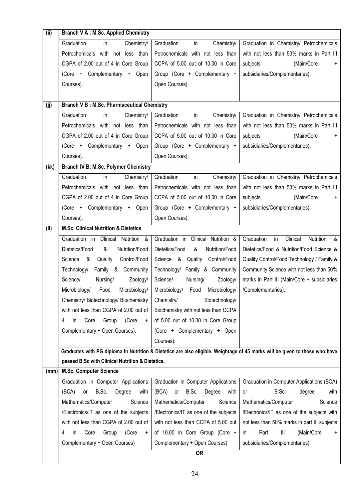| (ii) | <b>Branch V A: M.Sc. Applied Chemistry</b>         |                                        |                                                                                                                             |
|------|----------------------------------------------------|----------------------------------------|-----------------------------------------------------------------------------------------------------------------------------|
|      | Graduation<br>Chemistry/<br>in                     | Graduation<br>Chemistry/<br>in         | Graduation in Chemistry/ Petrochemicals                                                                                     |
|      | Petrochemicals with not less than                  | Petrochemicals with not less than      | with not less than 50% marks in Part III                                                                                    |
|      | CGPA of 2.00 out of 4 in Core Group                | CCPA of 5.00 out of 10.00 in Core      | subjects<br>(Main/Core<br>$+$                                                                                               |
|      | (Core + Complementary + Open                       | Group (Core + Complementary +          | subsidiaries/Complementaries).                                                                                              |
|      | Courses).                                          | Open Courses).                         |                                                                                                                             |
|      |                                                    |                                        |                                                                                                                             |
| (i)  | <b>Branch V B : M.Sc. Pharmaceutical Chemistry</b> |                                        |                                                                                                                             |
|      | Graduation<br>Chemistry/<br>in                     | Graduation<br>in<br>Chemistry/         | Graduation in Chemistry/ Petrochemicals                                                                                     |
|      | Petrochemicals with not less than                  | Petrochemicals with not less than      | with not less than 50% marks in Part III                                                                                    |
|      | CGPA of 2.00 out of 4 in Core Group                | CCPA of 5.00 out of 10.00 in Core      | (Main/Core<br>subjects<br>$\ddot{}$                                                                                         |
|      | (Core + Complementary + Open                       | Group (Core + Complementary +          | subsidiaries/Complementaries).                                                                                              |
|      | Courses).                                          | Open Courses).                         |                                                                                                                             |
| (kk) | <b>Branch IV B: M.Sc. Polymer Chemistry</b>        |                                        |                                                                                                                             |
|      | Graduation<br>in<br>Chemistry/                     | Graduation<br>in<br>Chemistry/         | Graduation in Chemistry/ Petrochemicals                                                                                     |
|      | Petrochemicals with not less than                  | Petrochemicals with not less than      | with not less than 50% marks in Part III                                                                                    |
|      | CGPA of 2.00 out of 4 in Core Group                | CCPA of 5.00 out of 10.00 in Core      | subjects<br>(Main/Core<br>$\ddot{}$                                                                                         |
|      | (Core + Complementary + Open                       | Group (Core + Complementary +          | subsidiaries/Complementaries).                                                                                              |
|      | Courses).                                          | Open Courses).                         |                                                                                                                             |
| (II) | <b>M.Sc. Clinical Nutrition &amp; Dietetics</b>    |                                        |                                                                                                                             |
|      | Graduation in<br>Clinical Nutrition &              | Graduation in Clinical Nutrition &     | Clinical<br>Nutrition<br>Graduation<br>in<br>&                                                                              |
|      | Dietetics/Food<br>&<br>Nutrition/Food              | Dietetics/Food<br>&<br>Nutrition/Food  | Dietetics/Food & Nutrition/Food Science &                                                                                   |
|      | Science<br>&<br>Quality<br>Control/Food            | Science &<br>Quality Control/Food      | Quality Control/Food Technology / Family &                                                                                  |
|      | Technology/<br>Family & Community                  | Technology/<br>Family & Community      | Community Science with not less than 50%                                                                                    |
|      | Science/<br>Nursing/<br>Zoology/                   | Science/<br>Zoology/<br>Nursing/       | marks in Part III (Main/Core + subsidiaries                                                                                 |
|      | Microbiology/<br>Food<br>Microbiology/             | Microbiology/<br>Microbiology/<br>Food | /Complementaries).                                                                                                          |
|      | Chemistry/ Biotechnology/ Biochemistry             | Chemistry/<br>Biotechnology/           |                                                                                                                             |
|      | with not less than CGPA of 2.00 out of             | Biochemistry with not less than CCPA   |                                                                                                                             |
|      | (Core<br>Core<br>Group<br>4<br>in.<br>$+$          | of 5.00 out of 10.00 in Core Group     |                                                                                                                             |
|      | Complementary + Open Courses).                     | (Core + Complementary + Open           |                                                                                                                             |
|      |                                                    | Courses).                              |                                                                                                                             |
|      |                                                    |                                        | Graduates with PG diploma in Nutrition & Dietetics are also eligible. Weightage of 45 marks will be given to those who have |
|      | passed B.Sc with Clinical Nutrition & Dietetics.   |                                        |                                                                                                                             |
| (mm) | <b>M.Sc. Computer Science</b>                      |                                        |                                                                                                                             |
|      | Graduation in Computer Applications                | Graduation in Computer Applications    | Graduation in Computer Applications (BCA)                                                                                   |
|      | B.Sc.<br>Degree<br>(BCA)<br><b>or</b><br>with      | (BCA)<br>or B.Sc.<br>Degree<br>with    | B.Sc.<br>degree<br>with<br>or                                                                                               |
|      | Mathematics/Computer<br>Science                    | Mathematics/Computer<br>Science        | Mathematics/Computer<br>Science                                                                                             |
|      | /Electronics/IT as one of the subjects             | /Electronics/IT as one of the subjects | /Electronics/IT as one of the subjects with                                                                                 |
|      | with not less than CGPA of 2.00 out of             | with not less than CCPA of 5.00 out    | not less than 50% marks in part III subjects                                                                                |
|      | (Core<br>4<br>in<br>Core<br>Group<br>$+$           | of 10.00 in Core Group (Core +         | $\begin{array}{c} \hline \end{array}$<br>(Main/Core<br>Part<br>in.<br>$\ddot{}$                                             |
|      | Complementary + Open Courses)                      | Complementary + Open Courses)          | subsidiaries/Complementaries)                                                                                               |
|      |                                                    | <b>OR</b>                              |                                                                                                                             |
|      |                                                    |                                        |                                                                                                                             |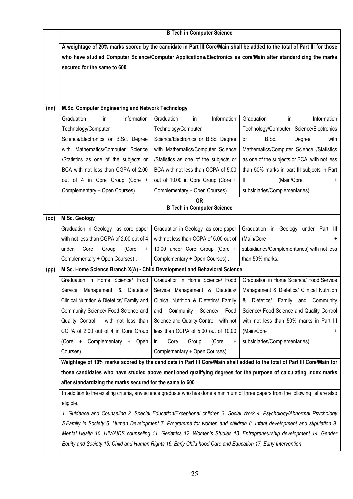|      | <b>B Tech in Computer Science</b>                                                                                                                                                                                                          |                                                |                                                                                                                                    |  |
|------|--------------------------------------------------------------------------------------------------------------------------------------------------------------------------------------------------------------------------------------------|------------------------------------------------|------------------------------------------------------------------------------------------------------------------------------------|--|
|      | A weightage of 20% marks scored by the candidate in Part III Core/Main shall be added to the total of Part III for those<br>who have studied Computer Science/Computer Applications/Electronics as core/Main after standardizing the marks |                                                |                                                                                                                                    |  |
|      |                                                                                                                                                                                                                                            |                                                |                                                                                                                                    |  |
|      | secured for the same to 600                                                                                                                                                                                                                |                                                |                                                                                                                                    |  |
|      |                                                                                                                                                                                                                                            |                                                |                                                                                                                                    |  |
|      |                                                                                                                                                                                                                                            |                                                |                                                                                                                                    |  |
|      |                                                                                                                                                                                                                                            |                                                |                                                                                                                                    |  |
| (nn) | M.Sc. Computer Engineering and Network Technology                                                                                                                                                                                          |                                                |                                                                                                                                    |  |
|      | Graduation<br>Information<br>in                                                                                                                                                                                                            | Information<br>Graduation<br>in                | Graduation<br>Information<br>in                                                                                                    |  |
|      | Technology/Computer                                                                                                                                                                                                                        | Technology/Computer                            | Technology/Computer Science/Electronics                                                                                            |  |
|      | Science/Electronics or B.Sc. Degree                                                                                                                                                                                                        | Science/Electronics or B.Sc. Degree            | B.Sc.<br>Degree<br>with<br>or                                                                                                      |  |
|      | with Mathematics/Computer Science                                                                                                                                                                                                          | with Mathematics/Computer Science              | Mathematics/Computer Science /Statistics                                                                                           |  |
|      | /Statistics as one of the subjects or                                                                                                                                                                                                      | /Statistics as one of the subjects or          | as one of the subjects or BCA with not less                                                                                        |  |
|      | BCA with not less than CGPA of 2.00                                                                                                                                                                                                        | BCA with not less than CCPA of 5.00            | than 50% marks in part III subjects in Part                                                                                        |  |
|      | out of 4 in Core Group (Core +                                                                                                                                                                                                             | out of 10.00 in Core Group (Core +             | $\begin{array}{c} \hline \end{array}$<br>(Main/Core                                                                                |  |
|      | Complementary + Open Courses)                                                                                                                                                                                                              | Complementary + Open Courses)                  | subsidiaries/Complementaries)                                                                                                      |  |
|      |                                                                                                                                                                                                                                            | <b>OR</b><br><b>B Tech in Computer Science</b> |                                                                                                                                    |  |
| (00) | M.Sc. Geology                                                                                                                                                                                                                              |                                                |                                                                                                                                    |  |
|      | Graduation in Geology as core paper                                                                                                                                                                                                        | Graduation in Geology as core paper            | Graduation in Geology under Part<br>Ш                                                                                              |  |
|      | with not less than CGPA of 2.00 out of 4                                                                                                                                                                                                   | with not less than CCPA of 5.00 out of         | (Main/Core<br>$+$                                                                                                                  |  |
|      | under<br>Core<br>(Core<br>Group<br>$\ddot{}$                                                                                                                                                                                               | 10.00 under Core Group (Core +                 | subsidiaries/Complementaries) with not less                                                                                        |  |
|      | Complementary + Open Courses).                                                                                                                                                                                                             | Complementary + Open Courses).                 | than 50% marks.                                                                                                                    |  |
| (pp) | M.Sc. Home Science Branch X(A) - Child Development and Behavioral Science                                                                                                                                                                  |                                                |                                                                                                                                    |  |
|      | Graduation in Home Science/ Food                                                                                                                                                                                                           | Graduation in Home Science/ Food               | Graduation in Home Science/ Food Service                                                                                           |  |
|      | Management &<br>Service<br>Dietetics/                                                                                                                                                                                                      | Service Management & Dietetics/                | Management & Dietetics/ Clinical Nutrition                                                                                         |  |
|      | Clinical Nutrition & Dietetics/ Family and                                                                                                                                                                                                 | Clinical Nutrition & Dietetics/ Family         | & Dietetics/ Family and Community                                                                                                  |  |
|      | Community Science/ Food Science and                                                                                                                                                                                                        | Community<br>Science/ Food<br>and              | Science/ Food Science and Quality Control                                                                                          |  |
|      | Quality Control<br>with not less than                                                                                                                                                                                                      | Science and Quality Control with not           | with not less than 50% marks in Part III                                                                                           |  |
|      | CGPA of 2.00 out of 4 in Core Group                                                                                                                                                                                                        | less than CCPA of 5.00 out of 10.00            | (Main/Core<br>÷                                                                                                                    |  |
|      | (Core + Complementary + Open                                                                                                                                                                                                               | Core<br>Group<br>(Core<br>in.<br>$\ddot{}$     | subsidiaries/Complementaries)                                                                                                      |  |
|      | Courses)                                                                                                                                                                                                                                   | Complementary + Open Courses)                  |                                                                                                                                    |  |
|      |                                                                                                                                                                                                                                            |                                                | Weightage of 10% marks scored by the candidate in Part III Core/Main shall added to the total of Part III Core/Main for            |  |
|      |                                                                                                                                                                                                                                            |                                                | those candidates who have studied above mentioned qualifying degrees for the purpose of calculating index marks                    |  |
|      | after standardizing the marks secured for the same to 600                                                                                                                                                                                  |                                                |                                                                                                                                    |  |
|      |                                                                                                                                                                                                                                            |                                                | In addition to the existing criteria, any science graduate who has done a minimum of three papers from the following list are also |  |
|      | eligible.                                                                                                                                                                                                                                  |                                                |                                                                                                                                    |  |
|      |                                                                                                                                                                                                                                            |                                                | 1. Guidance and Counseling 2. Special Education/Exceptional children 3. Social Work 4. Psychology/Abnormal Psychology              |  |
|      |                                                                                                                                                                                                                                            |                                                | 5. Family in Society 6. Human Development 7. Programme for women and children 8. Infant development and stipulation 9.             |  |
|      |                                                                                                                                                                                                                                            |                                                | Mental Health 10. HIV/AIDS counseling 11. Geriatrics 12. Women's Studies 13. Entrepreneurship development 14. Gender               |  |
|      | Equity and Society 15. Child and Human Rights 16. Early Child hood Care and Education 17. Early Intervention                                                                                                                               |                                                |                                                                                                                                    |  |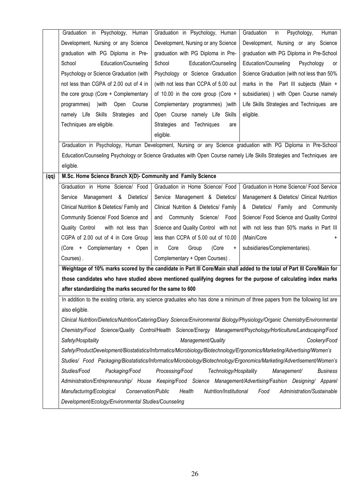|      | Graduation in Psychology, Human                              | Graduation in Psychology, Human           | Graduation<br>in<br>Psychology,<br>Human                                                                                       |
|------|--------------------------------------------------------------|-------------------------------------------|--------------------------------------------------------------------------------------------------------------------------------|
|      | Development, Nursing or any Science                          | Development, Nursing or any Science       | Development, Nursing or any Science                                                                                            |
|      | graduation with PG Diploma in Pre-                           | graduation with PG Diploma in Pre-        | graduation with PG Diploma in Pre-School                                                                                       |
|      | School<br>Education/Counseling                               | School<br>Education/Counseling            | Education/Counseling<br>Psychology<br>or                                                                                       |
|      | Psychology or Science Graduation (with                       | Psychology or Science Graduation          | Science Graduation (with not less than 50%                                                                                     |
|      | not less than CGPA of 2.00 out of 4 in                       | (with not less than CCPA of 5.00 out      | marks in the Part III subjects (Main +                                                                                         |
|      | the core group (Core + Complementary                         | of 10.00 in the core group (Core $+$      | subsidiaries) ) with Open Course namely                                                                                        |
|      | )with<br>Open Course<br>programmes)                          | Complementary programmes) ) with          | Life Skills Strategies and Techniques are                                                                                      |
|      | namely Life Skills Strategies and                            | Open Course namely Life Skills            | eligible.                                                                                                                      |
|      | Techniques are eligible.                                     | Strategies and Techniques<br>are          |                                                                                                                                |
|      |                                                              | eligible.                                 |                                                                                                                                |
|      |                                                              |                                           | Graduation in Psychology, Human Development, Nursing or any Science graduation with PG Diploma in Pre-School                   |
|      |                                                              |                                           | Education/Counseling Psychology or Science Graduates with Open Course namely Life Skills Strategies and Techniques are         |
|      | eligible.                                                    |                                           |                                                                                                                                |
| (qq) | M.Sc. Home Science Branch X(D)- Community and Family Science |                                           |                                                                                                                                |
|      | Graduation in Home Science/ Food                             | Graduation in Home Science/ Food          | Graduation in Home Science/ Food Service                                                                                       |
|      | Management & Dietetics/<br>Service                           | Service Management & Dietetics/           | Management & Dietetics/ Clinical Nutrition                                                                                     |
|      | Clinical Nutrition & Dietetics/ Family and                   | Clinical Nutrition & Dietetics/ Family    | & Dietetics/ Family and Community                                                                                              |
|      | Community Science/ Food Science and                          | and Community Science/ Food               | Science/ Food Science and Quality Control                                                                                      |
|      | Quality Control<br>with not less than                        | Science and Quality Control with not      | with not less than 50% marks in Part III                                                                                       |
|      | CGPA of 2.00 out of 4 in Core Group                          | less than CCPA of 5.00 out of 10.00       | (Main/Core<br>$+$                                                                                                              |
|      | (Core + Complementary + Open                                 | Core<br>Group<br>(Core<br>in.<br>$+$      | subsidiaries/Complementaries).                                                                                                 |
|      | Courses).                                                    | Complementary + Open Courses).            |                                                                                                                                |
|      |                                                              |                                           | Weightage of 10% marks scored by the candidate in Part III Core/Main shall added to the total of Part III Core/Main for        |
|      |                                                              |                                           | those candidates who have studied above mentioned qualifying degrees for the purpose of calculating index marks                |
|      | after standardizing the marks secured for the same to 600    |                                           |                                                                                                                                |
|      |                                                              |                                           | In addition to the existing criteria, any science graduates who has done a minimum of three papers from the following list are |
|      | also eligible.                                               |                                           |                                                                                                                                |
|      |                                                              |                                           | Clinical Nutrition/Dietetics/Nutrition/Catering/Diary Science/Environmental Biology/Physiology/Organic Chemistry/Environmental |
|      |                                                              |                                           | Chemistry/Food Science/Quality Control/Health Science/Energy Management/Psychology/Horticulture/Landscaping/Food               |
|      | Safety/Hospitality                                           | Management/Quality                        | Cookery/Food                                                                                                                   |
|      |                                                              |                                           | Safety/ProductDevelopment/Biostatistics/Informatics/Microbiology/Biotechnology/Ergonomics/Marketing/Advertising/Women's        |
|      |                                                              |                                           | Studies/ Food Packaging/Biostatistics/Informatics/Microbiology/Biotechnology/Ergonomics/Marketing/Advertisement/Women's        |
|      | Studies/Food<br>Packaging/Food                               | Processing/Food<br>Technology/Hospitality | Management/<br><b>Business</b>                                                                                                 |
|      |                                                              |                                           | Administration/Entrepreneurship/ House Keeping/Food Science Management/Advertising/Fashion Designing/ Apparel                  |
|      | Manufacturing/Ecological<br>Conservation/Public              | Nutrition/Institutional<br>Health         | Administration/Sustainable<br>Food                                                                                             |
|      | Development/Ecology/Environmental Studies/Counseling         |                                           |                                                                                                                                |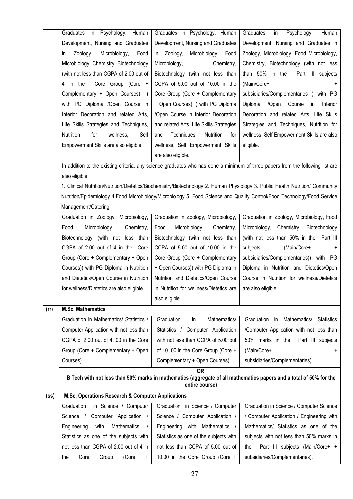|                   | Graduates in Psychology, Human                    | Graduates in Psychology, Human           | Graduates<br>in<br>Psychology,<br>Human                                                                                        |
|-------------------|---------------------------------------------------|------------------------------------------|--------------------------------------------------------------------------------------------------------------------------------|
|                   | Development, Nursing and Graduates                | Development, Nursing and Graduates       | Development, Nursing and Graduates in                                                                                          |
|                   | Zoology,<br>Microbiology,<br>Food<br>in.          | in Zoology,<br>Microbiology,<br>Food     | Zoology, Microbiology, Food Microbiology,                                                                                      |
|                   | Microbiology, Chemistry, Biotechnology            | Microbiology,<br>Chemistry,              | Chemistry, Biotechnology (with not less                                                                                        |
|                   | (with not less than CGPA of 2.00 out of           | Biotechnology (with not less than        | than 50% in the<br>Part III subjects                                                                                           |
|                   | 4 in the<br>Core Group (Core +                    | CCPA of 5.00 out of 10.00 in the         | (Main/Core+                                                                                                                    |
|                   | Complementary + Open Courses) )                   | Core Group (Core + Complementary         | subsidiaries/Complementaries ) with PG                                                                                         |
|                   | with PG Diploma /Open Course in                   | + Open Courses) ) with PG Diploma        | Diploma<br>/Open<br>Course<br>in<br>Interior                                                                                   |
|                   | Interior Decoration and related Arts,             | /Open Course in Interior Decoration      | Decoration and related Arts, Life Skills                                                                                       |
|                   | Life Skills Strategies and Techniques,            | and related Arts, Life Skills Strategies | Strategies and Techniques, Nutrition for                                                                                       |
|                   | Nutrition<br>for<br>wellness,<br>Self             | Nutrition<br>Techniques,<br>and<br>for   | wellness, Self Empowerment Skills are also                                                                                     |
|                   | Empowerment Skills are also eligible.             | wellness, Self Empowerment Skills        | eligible.                                                                                                                      |
|                   |                                                   | are also eligible.                       |                                                                                                                                |
|                   |                                                   |                                          | In addition to the existing criteria, any science graduates who has done a minimum of three papers from the following list are |
|                   | also eligible.                                    |                                          |                                                                                                                                |
|                   |                                                   |                                          | 1. Clinical Nutrition/Nutrition/Dietetics/Biochemistry/Biotechnology 2. Human Physiology 3. Public Health Nutrition/ Community |
|                   |                                                   |                                          | Nutrition/Epidemiology 4.Food Microbiology/Microbiology 5. Food Science and Quality Control/Food Technology/Food Service       |
|                   | Management/Catering                               |                                          |                                                                                                                                |
|                   | Graduation in Zoology, Microbiology,              | Graduation in Zoology, Microbiology,     | Graduation in Zoology, Microbiology, Food                                                                                      |
|                   | Microbiology,<br>Food<br>Chemistry,               | Microbiology,<br>Food<br>Chemistry,      | Microbiology, Chemistry, Biotechnology                                                                                         |
|                   | Biotechnology (with not less than                 | Biotechnology (with not less than        | (with not less than 50% in the Part III                                                                                        |
|                   | CGPA of 2.00 out of 4 in the Core                 | CCPA of 5.00 out of 10.00 in the         | (Main/Core+<br>subjects<br>$\ddot{}$                                                                                           |
|                   | Group (Core + Complementary + Open                | Core Group (Core + Complementary         | subsidiaries/Complementaries)) with PG                                                                                         |
|                   | Courses)) with PG Diploma in Nutrition            | + Open Courses)) with PG Diploma in      | Diploma in Nutrition and Dietetics/Open                                                                                        |
|                   | and Dietetics/Open Course in Nutrition            | Nutrition and Dietetics/Open Course      | Course in Nutrition for wellness/Dietetics                                                                                     |
|                   | for wellness/Dietetics are also eligible          | in Nutrition for wellness/Dietetics are  | are also eligible                                                                                                              |
|                   |                                                   | also eligible                            |                                                                                                                                |
| (rr)              | <b>M.Sc. Mathematics</b>                          |                                          |                                                                                                                                |
|                   | Graduation in Mathematics/ Statistics /           | Mathematics/<br>Graduation<br>in         | Mathematics/<br>Graduation in<br>Statistics                                                                                    |
|                   | Computer Application with not less than           | Statistics / Computer Application        | /Computer Application with not less than                                                                                       |
|                   | CGPA of 2.00 out of 4.00 in the Core              | with not less than CCPA of 5.00 out      | 50% marks in the<br>Part III subjects                                                                                          |
|                   | Group (Core + Complementary + Open                | of 10.00 in the Core Group (Core +       | (Main/Core+                                                                                                                    |
|                   | Courses)                                          | Complementary + Open Courses)            | subsidiaries/Complementaries)                                                                                                  |
|                   |                                                   | ΟR                                       | B Tech with not less than 50% marks in mathematics (aggregate of all mathematics papers and a total of 50% for the             |
|                   |                                                   | entire course)                           |                                                                                                                                |
| (s <sub>s</sub> ) | M.Sc. Operations Research & Computer Applications |                                          |                                                                                                                                |
|                   | Graduation<br>in Science / Computer               | Graduation in Science / Computer         | Graduation in Science / Computer Science                                                                                       |
|                   | Computer Application<br>Science /                 | Science / Computer Application /         | / Computer Application / Engineering with                                                                                      |
|                   | Mathematics<br>Engineering<br>with                | Engineering with Mathematics /           | Mathematics/ Statistics as one of the                                                                                          |
|                   | Statistics as one of the subjects with            | Statistics as one of the subjects with   | subjects with not less than 50% marks in                                                                                       |
|                   | not less than CGPA of 2.00 out of 4 in            | not less than CCPA of 5.00 out of        | Part III subjects (Main/Core+ +<br>the                                                                                         |
|                   | Core<br>Group<br>(Core<br>the<br>$\ddot{}$        | 10.00 in the Core Group (Core +          | subsidiaries/Complementaries).                                                                                                 |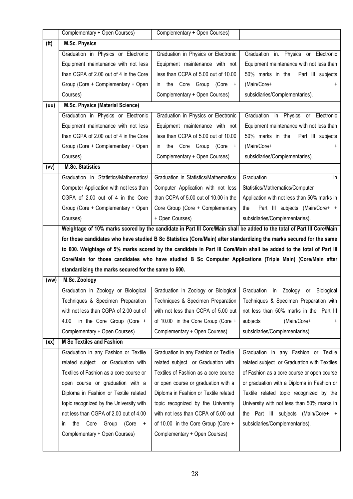|      | Complementary + Open Courses)                                                                                        | Complementary + Open Courses)                    |                                                                                                                        |  |
|------|----------------------------------------------------------------------------------------------------------------------|--------------------------------------------------|------------------------------------------------------------------------------------------------------------------------|--|
| (tt) | <b>M.Sc. Physics</b>                                                                                                 |                                                  |                                                                                                                        |  |
|      | Graduation in Physics or Electronic                                                                                  | Graduation in Physics or Electronic              | Graduation in. Physics or Electronic                                                                                   |  |
|      | Equipment maintenance with not less                                                                                  | Equipment maintenance with not                   | Equipment maintenance with not less than                                                                               |  |
|      | than CGPA of 2.00 out of 4 in the Core                                                                               | less than CCPA of 5.00 out of 10.00              | 50% marks in the<br>Part III subjects                                                                                  |  |
|      | Group (Core + Complementary + Open                                                                                   | Core Group (Core +<br>the<br>in l                | (Main/Core+                                                                                                            |  |
|      | Courses)                                                                                                             | Complementary + Open Courses)                    | subsidiaries/Complementaries).                                                                                         |  |
| (uu) | <b>M.Sc. Physics (Material Science)</b>                                                                              |                                                  |                                                                                                                        |  |
|      | Graduation in Physics or Electronic                                                                                  | Graduation in Physics or Electronic              | Graduation in Physics or Electronic                                                                                    |  |
|      | Equipment maintenance with not less                                                                                  | Equipment maintenance with not                   | Equipment maintenance with not less than                                                                               |  |
|      | than CGPA of 2.00 out of 4 in the Core                                                                               | less than CCPA of 5.00 out of 10.00              | 50% marks in the Part III subjects                                                                                     |  |
|      | Group (Core + Complementary + Open                                                                                   | in the Core Group (Core $+$                      | (Main/Core+                                                                                                            |  |
|      | Courses)                                                                                                             | Complementary + Open Courses)                    | subsidiaries/Complementaries).                                                                                         |  |
| (vv) | <b>M.Sc. Statistics</b>                                                                                              |                                                  |                                                                                                                        |  |
|      | Graduation in Statistics/Mathematics/                                                                                | Graduation in Statistics/Mathematics/            | Graduation<br>in                                                                                                       |  |
|      | Computer Application with not less than                                                                              | Computer Application with not less               | Statistics/Mathematics/Computer                                                                                        |  |
|      | CGPA of 2.00 out of 4 in the Core                                                                                    | than CCPA of 5.00 out of 10.00 in the            | Application with not less than 50% marks in                                                                            |  |
|      | Group (Core + Complementary + Open                                                                                   | Core Group (Core + Complementary                 | Part III subjects (Main/Core+ +<br>the                                                                                 |  |
|      | Courses)                                                                                                             | + Open Courses)                                  | subsidiaries/Complementaries).                                                                                         |  |
|      |                                                                                                                      |                                                  | Weightage of 10% marks scored by the candidate in Part III Core/Main shall be added to the total of Part III Core/Main |  |
|      | for those candidates who have studied B Sc Statistics (Core/Main) after standardizing the marks secured for the same |                                                  |                                                                                                                        |  |
|      |                                                                                                                      |                                                  |                                                                                                                        |  |
|      |                                                                                                                      |                                                  | to 600. Weightage of 5% marks scored by the candidate in Part III Core/Main shall be added to the total of Part III    |  |
|      |                                                                                                                      |                                                  | Core/Main for those candidates who have studied B Sc Computer Applications (Triple Main) (Core/Main after              |  |
|      | standardizing the marks secured for the same to 600.                                                                 |                                                  |                                                                                                                        |  |
| (ww) | M.Sc. Zoology                                                                                                        |                                                  |                                                                                                                        |  |
|      | Graduation in Zoology or Biological                                                                                  | Graduation in Zoology or Biological   Graduation | Zoology<br>Biological<br>in<br>or                                                                                      |  |
|      | Techniques & Specimen Preparation                                                                                    | Techniques & Specimen Preparation                | Techniques & Specimen Preparation with                                                                                 |  |
|      | with not less than CGPA of 2.00 out of                                                                               | with not less than CCPA of 5.00 out              | not less than 50% marks in the Part III                                                                                |  |
|      | in the Core Group (Core +<br>4.00                                                                                    | of 10.00 in the Core Group (Core +               | subjects<br>(Main/Core+                                                                                                |  |
|      | Complementary + Open Courses)                                                                                        | Complementary + Open Courses)                    | subsidiaries/Complementaries).                                                                                         |  |
| (xx) | <b>M Sc Textiles and Fashion</b>                                                                                     |                                                  |                                                                                                                        |  |
|      | Graduation in any Fashion or Textile                                                                                 | Graduation in any Fashion or Textile             | Graduation in any Fashion or Textile                                                                                   |  |
|      | related subject or Graduation with                                                                                   | related subject or Graduation with               | related subject or Graduation with Textiles                                                                            |  |
|      | Textiles of Fashion as a core course or                                                                              | Textiles of Fashion as a core course             | of Fashion as a core course or open course                                                                             |  |
|      | open course or graduation with a                                                                                     | or open course or graduation with a              | or graduation with a Diploma in Fashion or                                                                             |  |
|      | Diploma in Fashion or Textile related                                                                                | Diploma in Fashion or Textile related            | Textile related topic recognized by the                                                                                |  |
|      | topic recognized by the University with                                                                              | topic recognized by the University               | University with not less than 50% marks in                                                                             |  |
|      | not less than CGPA of 2.00 out of 4.00                                                                               | with not less than CCPA of 5.00 out              | the Part III subjects (Main/Core+ +                                                                                    |  |
|      | the Core Group<br>(Core<br>$+$<br>ın                                                                                 | of 10.00 in the Core Group (Core +               | subsidiaries/Complementaries).                                                                                         |  |
|      | Complementary + Open Courses)                                                                                        | Complementary + Open Courses)                    |                                                                                                                        |  |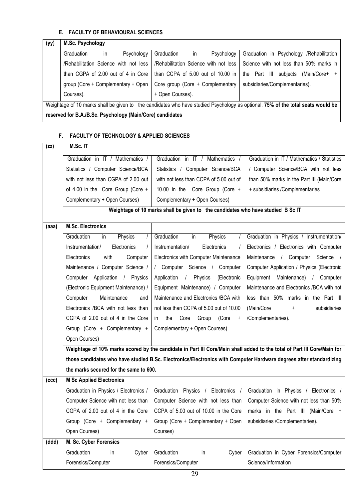# **E. FACULTY OF BEHAVIOURAL SCIENCES**

| (yy) | M.Sc. Psychology                      |            |                                  |    |            |                                                                                                                                          |
|------|---------------------------------------|------------|----------------------------------|----|------------|------------------------------------------------------------------------------------------------------------------------------------------|
|      | Graduation<br><i>in</i>               | Psychology | Graduation                       | ın | Psychology | Graduation in Psychology / Rehabilitation                                                                                                |
|      | /Rehabilitation Science with not less |            |                                  |    |            | /Rehabilitation Science with not less   Science with not less than 50% marks in                                                          |
|      | than CGPA of 2.00 out of 4 in Core    |            |                                  |    |            | than CCPA of 5.00 out of 10.00 in   the Part III<br>subjects<br>(Main/Core+                                                              |
|      | group (Core + Complementary + Open    |            | Core group (Core + Complementary |    |            | subsidiaries/Complementaries).                                                                                                           |
|      | Courses).                             |            | + Open Courses).                 |    |            |                                                                                                                                          |
|      |                                       |            |                                  |    |            | Ulciphtone of 10 mortes ghall be site to detail of the condidates who hove of which Dougholes as entigral 75% of the total open would be |

Weightage of 10 marks shall be given to the candidates who have studied Psychology as optional. **75% of the** t**otal seats would be reserved for B.A./B.Sc. Psychology (Main/Core) candidates**

# **F. FACULTY OF TECHNOLOGY & APPLIED SCIENCES**

| (zz)  | M.Sc. IT                               |                                                                                 |                                                                                                                         |
|-------|----------------------------------------|---------------------------------------------------------------------------------|-------------------------------------------------------------------------------------------------------------------------|
|       | Graduation in IT / Mathematics /       | Graduation in IT / Mathematics /                                                | Graduation in IT / Mathematics / Statistics                                                                             |
|       | Statistics / Computer Science/BCA      | Statistics / Computer Science/BCA                                               | / Computer Science/BCA with not less                                                                                    |
|       | with not less than CGPA of 2.00 out    | with not less than CCPA of 5.00 out of                                          | than 50% marks in the Part III (Main/Core                                                                               |
|       | of 4.00 in the Core Group (Core $+$    | 10.00 in the Core Group (Core +                                                 | + subsidiaries /Complementaries                                                                                         |
|       | Complementary + Open Courses)          | Complementary + Open Courses)                                                   |                                                                                                                         |
|       |                                        | Weightage of 10 marks shall be given to the candidates who have studied B Sc IT |                                                                                                                         |
| (aaa) | <b>M.Sc. Electronics</b>               |                                                                                 |                                                                                                                         |
|       | Graduation<br>Physics<br>in            | Graduation<br>Physics<br>in                                                     | Graduation in Physics / Instrumentation/                                                                                |
|       | Instrumentation/<br>Electronics        | Instrumentation/<br>Electronics<br>$\prime$                                     | Electronics / Electronics with Computer                                                                                 |
|       | Electronics<br>with<br>Computer        | Electronics with Computer Maintenance                                           | Maintenance / Computer Science /                                                                                        |
|       | Maintenance / Computer Science /       | / Computer Science / Computer                                                   | Computer Application / Physics (Electronic                                                                              |
|       | Computer Application / Physics         | Application / Physics<br>(Electronic                                            | Equipment Maintenance) / Computer                                                                                       |
|       | (Electronic Equipment Maintenance) /   | Equipment Maintenance) / Computer                                               | Maintenance and Electronics /BCA with not                                                                               |
|       | Computer<br>Maintenance<br>and         | Maintenance and Electronics /BCA with                                           | less than 50% marks in the Part III                                                                                     |
|       | Electronics /BCA with not less than    | not less than CCPA of 5.00 out of 10.00                                         | (Main/Core<br>subsidiaries<br>$+$                                                                                       |
|       | CGPA of 2.00 out of 4 in the Core      | in the Core Group (Core $+$                                                     | /Complementaries).                                                                                                      |
|       | Group (Core + Complementary +          | Complementary + Open Courses)                                                   |                                                                                                                         |
|       | Open Courses)                          |                                                                                 |                                                                                                                         |
|       |                                        |                                                                                 | Weightage of 10% marks scored by the candidate in Part III Core/Main shall added to the total of Part III Core/Main for |
|       |                                        |                                                                                 | those candidates who have studied B.Sc. Electronics/Electronics with Computer Hardware degrees after standardizing      |
|       | the marks secured for the same to 600. |                                                                                 |                                                                                                                         |
| (ccc) | <b>M Sc Applied Electronics</b>        |                                                                                 |                                                                                                                         |
|       | Graduation in Physics / Electronics /  | Graduation Physics / Electronics /                                              | Graduation in Physics / Electronics /                                                                                   |
|       | Computer Science with not less than    | Computer Science with not less than                                             | Computer Science with not less than 50%                                                                                 |
|       | CGPA of 2.00 out of 4 in the Core      | CCPA of 5.00 out of 10.00 in the Core                                           | marks in the Part III (Main/Core +                                                                                      |
|       | Group (Core + Complementary +          | Group (Core + Complementary + Open                                              | subsidiaries /Complementaries).                                                                                         |
|       | Open Courses)                          | Courses)                                                                        |                                                                                                                         |
| (ddd) | M. Sc. Cyber Forensics                 |                                                                                 |                                                                                                                         |
|       | Graduation<br>Cyber<br>in              | Cyber<br>Graduation<br>in                                                       | Graduation in Cyber Forensics/Computer                                                                                  |
|       | Forensics/Computer                     | Forensics/Computer                                                              | Science/Information                                                                                                     |
|       |                                        | 20                                                                              |                                                                                                                         |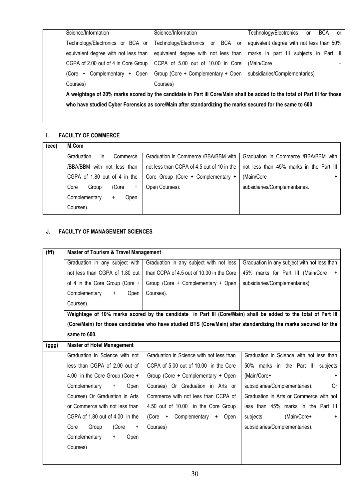| Science/Information                  | Science/Information                                                                                     | Technology/Electronics or<br><b>BCA</b><br>or                                                                            |
|--------------------------------------|---------------------------------------------------------------------------------------------------------|--------------------------------------------------------------------------------------------------------------------------|
| Technology/Electronics or BCA or     | Technology/Electronics or<br>BCA<br>or                                                                  | equivalent degree with not less than 50%                                                                                 |
| equivalent degree with not less than | equivalent degree with not less than                                                                    | marks in part III subjects in Part III                                                                                   |
| CGPA of 2.00 out of 4 in Core Group  | CCPA of 5.00 out of 10.00 in Core                                                                       | (Main/Core                                                                                                               |
| + Complementary +<br>Open<br>(Core   | Group (Core + Complementary + Open                                                                      | subsidiaries/Complementaries)                                                                                            |
| Courses)                             | Courses)                                                                                                |                                                                                                                          |
|                                      |                                                                                                         | A weightage of 20% marks scored by the candidate in Part III Core/Main shall be added to the total of Part III for those |
|                                      | who have studied Cyber Forensics as core/Main after standardizing the marks secured for the same to 600 |                                                                                                                          |

## **I. FACULTY OF COMMERCE**

| (eee) | M.Com                                   |                                            |                                         |
|-------|-----------------------------------------|--------------------------------------------|-----------------------------------------|
|       | Graduation<br>Commerce<br><sub>in</sub> | Graduation in Commerce /BBA/BBM with       | Graduation in Commerce /BBA/BBM with    |
|       | /BBA/BBM<br>with not less than          | not less than CCPA of 4.5 out of 10 in the | not less than 45% marks in the Part III |
|       | CGPA of 1.80 out of 4 in the            | Core Group (Core + Complementary +         | (Main/Core                              |
|       | (Core<br>Core<br>Group<br>$+$           | Open Courses).                             | subsidiaries/Complementaries.           |
|       | Complementary<br>Open<br>$+$            |                                            |                                         |
|       | Courses).                               |                                            |                                         |

# **J. FACULTY OF MANAGEMENT SCIENCES**

| (fff) | <b>Master of Tourism &amp; Travel Management</b> |                                           |                                                                                                                 |
|-------|--------------------------------------------------|-------------------------------------------|-----------------------------------------------------------------------------------------------------------------|
|       | Graduation in any subject with                   | Graduation in any subject with not less   | Graduation in any subject with not less than                                                                    |
|       | not less than CGPA of 1.80 out                   | than CCPA of 4.5 out of 10.00 in the Core | 45% marks for Part III (Main/Core<br>$+$                                                                        |
|       | of 4 in the Core Group (Core +                   | Group (Core + Complementary + Open        | subsidiaries/Complementaries)                                                                                   |
|       | Complementary<br>Open<br>$+$                     | Courses).                                 |                                                                                                                 |
|       | Courses).                                        |                                           |                                                                                                                 |
|       |                                                  |                                           | Weightage of 10% marks scored by the candidate in Part III (Core/Main) shall be added to the total of Part III  |
|       |                                                  |                                           | (Core/Main) for those candidates who have studied BTS (Core/Main) after standardizing the marks secured for the |
|       | same to 600.                                     |                                           |                                                                                                                 |
| (ggg) | <b>Master of Hotel Management</b>                |                                           |                                                                                                                 |
|       | Graduation in Science with not                   | Graduation in Science with not less than  | Graduation in Science with not less than                                                                        |
|       | less than CGPA of 2.00 out of                    | CCPA of 5.00 out of 10.00 in the Core     | 50% marks in the Part III subjects                                                                              |
|       | 4.00 in the Core Group (Core +                   | Group (Core + Complementary + Open        | (Main/Core+<br>$+$                                                                                              |
|       | Complementary<br>Open<br>$\pm$                   | Courses) Or Graduation in Arts or         | subsidiaries/Complementaries).<br>0r                                                                            |
|       | Courses) Or Graduation in Arts                   | Commerce with not less than CCPA of       | Graduation in Arts or Commerce with not                                                                         |
|       | or Commerce with not less than                   | 4.50 out of 10.00 in the Core Group       | less than 45% marks in the Part III                                                                             |
|       | CGPA of 1.80 out of 4.00 in the                  | (Core + Complementary<br>Open<br>$+$      | (Main/Core+<br>subjects<br>÷                                                                                    |
|       | (Core<br>Group<br>Core<br>$+$                    | Courses)                                  | subsidiaries/Complementaries).                                                                                  |
|       | Complementary<br>Open<br>$+$                     |                                           |                                                                                                                 |
|       | Courses)                                         |                                           |                                                                                                                 |
|       |                                                  |                                           |                                                                                                                 |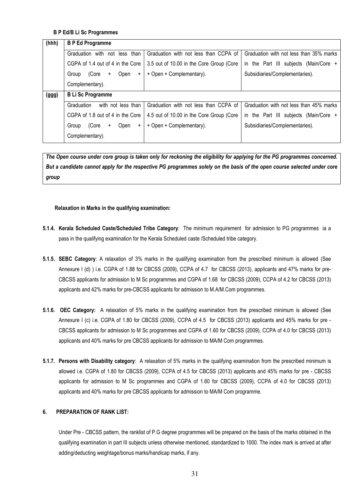#### **B P Ed/B Li Sc Programmes**

| (hhh) | <b>B P Ed Programme</b>                |                                          |                                              |
|-------|----------------------------------------|------------------------------------------|----------------------------------------------|
|       | with<br>Graduation<br>less than<br>not | Graduation with not less than CCPA of    | Graduation with not less than 35% marks      |
|       | CGPA of 1.4 out of 4 in the Core       | 3.5 out of 10.00 in the Core Group (Core | the Part III subjects (Main/Core +<br>in.    |
|       | (Core<br>Open<br>Group<br>$+$<br>$+$   | + Open + Complementary).                 | Subsidiaries/Complementaries).               |
|       | Complementary).                        |                                          |                                              |
| (ggg) | <b>B Li Sc Programme</b>               |                                          |                                              |
|       | with not less than<br>Graduation       | Graduation with not less than CCPA of    | Graduation with not less than 45% marks      |
|       | CGPA of 1.8 out of 4 in the Core       | 4.5 out of 10.00 in the Core Group (Core | the Part III subjects<br>(Main/Core +<br>in. |
|       | (Core<br>Open<br>Group<br>$+$<br>$+$   | + Open + Complementary).                 | Subsidiaries/Complementaries).               |
|       | Complementary).                        |                                          |                                              |

*The Open course under core group is taken only for reckoning the eligibility for applying for the PG programmes concerned. But a candidate cannot apply for the respective PG programmes solely on the basis of the open course selected under core group* 

#### **Relaxation in Marks in the qualifying examination:**

- **5.1.4. Kerala Scheduled Caste/Scheduled Tribe Category**: The minimum requirement for admission to PG programmes ia a pass in the qualifying examination for the Kerala Scheduled caste /Scheduled tribe category.
- **5.1.5. SEBC Category**: A relaxation of 3% marks in the qualifying examination from the prescribed minimum is allowed (See Annexure I (d) ) i.e. CGPA of 1.88 for CBCSS (2009), CCPA of 4.7 for CBCSS (2013), applicants and 47% marks for pre-CBCSS applicants for admission to M Sc programmes and CGPA of 1.68 for CBCSS (2009), CCPA of 4.2 for CBCSS (2013) applicants and 42% marks for pre-CBCSS applicants for admission to M.A/M.Com programmes.
- **5.1.6. OEC Category:** A relaxation of 5% marks in the qualifying examination from the prescribed minimum is allowed (See Annexure I (c) i.e. CGPA of 1.80 for CBCSS (2009), CCPA of 4.5 for CBCSS (2013) applicants and 45% marks for pre - CBCSS applicants for admission to M Sc programmes and CGPA of 1.60 for CBCSS (2009), CCPA of 4.0 for CBCSS (2013) applicants and 40% marks for pre CBCSS applicants for admission to MA/M Com programmes.
- **5.1.7. Persons with Disability category**: A relaxation of 5% marks in the qualifying examination from the prescribed minimum is allowed i.e. CGPA of 1.80 for CBCSS (2009), CCPA of 4.5 for CBCSS (2013) applicants and 45% marks for pre - CBCSS applicants for admission to M Sc programmes and CGPA of 1.60 for CBCSS (2009), CCPA of 4.0 for CBCSS (2013) applicants and 40% marks for pre CBCSS applicants for admission to MA/M Com programme.

#### **6. PREPARATION OF RANK LIST:**

 Under Pre - CBCSS pattern, the ranklist of P.G degree programmes will be prepared on the basis of the marks obtained in the qualifying examination in part III subjects unless otherwise mentioned, standardized to 1000. The index mark is arrived at after adding/deducting weightage/bonus marks/handicap marks, if any.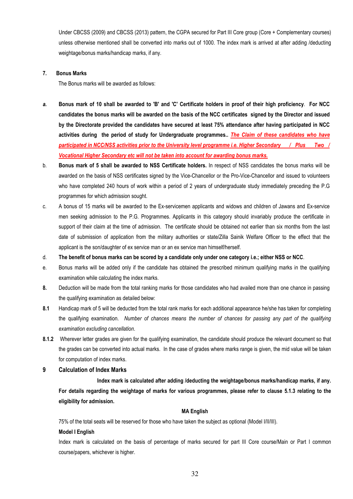Under CBCSS (2009) and CBCSS (2013) pattern, the CGPA secured for Part III Core group (Core + Complementary courses) unless otherwise mentioned shall be converted into marks out of 1000. The index mark is arrived at after adding /deducting weightage/bonus marks/handicap marks, if any.

#### **7. Bonus Marks**

The Bonus marks will be awarded as follows:

- *a.* **Bonus mark of 10 shall be awarded to 'B' and 'C' Certificate holders in proof of their high proficiency**. **For NCC candidates the bonus marks will be awarded on the basis of the NCC certificates signed by the Director and issued by the Directorate provided the candidates have secured at least 75% attendance after having participated in NCC activities during the period of study for Undergraduate programmes..** *The Claim of these candidates who have participated in NCC/NSS activities prior to the University level programme i.e. Higher Secondary / Plus Two / Vocational Higher Secondary etc will not be taken into account for awarding bonus marks.*
- b. **Bonus mark of 5 shall be awarded to NSS Certificate holders.** In respect of NSS candidates the bonus marks will be awarded on the basis of NSS certificates signed by the Vice-Chancellor or the Pro-Vice-Chancellor and issued to volunteers who have completed 240 hours of work within a period of 2 years of undergraduate study immediately preceding the P.G programmes for which admission sought.
- c. A bonus of 15 marks will be awarded to the Ex-servicemen applicants and widows and children of Jawans and Ex-service men seeking admission to the P.G. Programmes. Applicants in this category should invariably produce the certificate in support of their claim at the time of admission. The certificate should be obtained not earlier than six months from the last date of submission of application from the military authorities or state/Zilla Sainik Welfare Officer to the effect that the applicant is the son/daughter of ex service man or an ex service man himself/herself.
- d. **The benefit of bonus marks can be scored by a candidate only under one category i.e.; either NSS or NCC**.
- e. Bonus marks will be added only if the candidate has obtained the prescribed minimum qualifying marks in the qualifying examination while calculating the index marks.
- **8.** Deduction will be made from the total ranking marks for those candidates who had availed more than one chance in passing the qualifying examination as detailed below:
- **8.1** Handicap mark of 5 will be deducted from the total rank marks for each additional appearance he/she has taken for completing the qualifying examination. *Number of chances means the number of chances for passing any part of the qualifying examination excluding cancellation*.
- **8.1.2** Wherever letter grades are given for the qualifying examination, the candidate should produce the relevant document so that the grades can be converted into actual marks. In the case of grades where marks range is given, the mid value will be taken for computation of index marks.

#### **9 Calculation of Index Marks**

**Index mark is calculated after adding /deducting the weightage/bonus marks/handicap marks, if any. For details regarding the weightage of marks for various programmes, please refer to clause 5.1.3 relating to the eligibility for admission.**

#### **MA English**

75% of the total seats will be reserved for those who have taken the subject as optional (Model I/II/III).

#### **Model I English**

Index mark is calculated on the basis of percentage of marks secured for part III Core course/Main or Part I common course/papers, whichever is higher.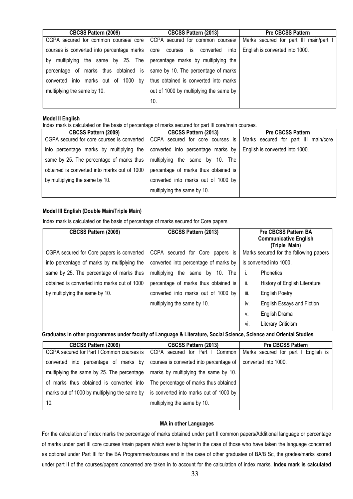| <b>CBCSS Pattern (2009)</b>                | <b>CBCSS Pattern (2013)</b>                        | <b>Pre CBCSS Pattern</b>               |
|--------------------------------------------|----------------------------------------------------|----------------------------------------|
| CGPA secured for common courses/ core      | CCPA secured for common courses/                   | Marks secured for part III main/part I |
| courses is converted into percentage marks | into<br>converted<br>courses<br>$-$ is $-$<br>core | English is converted into 1000.        |
| the same by 25. The<br>b٧<br>multiplying   | percentage marks by multiplying the                |                                        |
| percentage of marks thus obtained is       | same by 10. The percentage of marks                |                                        |
| 1000 by<br>marks out of<br>converted into  | thus obtained is converted into marks              |                                        |
| multiplying the same by 10.                | out of 1000 by multiplying the same by             |                                        |
|                                            | 10.                                                |                                        |

#### **Model II English**

Index mark is calculated on the basis of percentage of marks secured for part III core/main courses.

| <b>CBCSS Pattern (2009)</b>                  | <b>CBCSS Pattern (2013)</b>          | <b>Pre CBCSS Pattern</b>                |
|----------------------------------------------|--------------------------------------|-----------------------------------------|
| CGPA secured for core courses is converted   | CCPA secured for core courses is     | Marks secured for part III<br>main/core |
| into percentage marks by multiplying the     | converted into percentage marks by   | English is converted into 1000.         |
| same by 25. The percentage of marks thus     | the same by 10. The<br>multiplying   |                                         |
| obtained is converted into marks out of 1000 | percentage of marks thus obtained is |                                         |
| by multiplying the same by 10.               | converted into marks out of 1000 by  |                                         |
|                                              | multiplying the same by 10.          |                                         |

#### **Model III English (Double Main/Triple Main)**

Index mark is calculated on the basis of percentage of marks secured for Core papers

| <b>CBCSS Pattern (2009)</b>                  | <b>CBCSS Pattern (2013)</b>           | <b>Pre CBCSS Pattern BA</b><br><b>Communicative English</b><br>(Triple Main) |
|----------------------------------------------|---------------------------------------|------------------------------------------------------------------------------|
| CGPA secured for Core papers is converted    | CCPA secured for Core papers is       | Marks secured for the following papers                                       |
| into percentage of marks by multiplying the  | converted into percentage of marks by | is converted into 1000.                                                      |
| same by 25. The percentage of marks thus     | multiplying the same by<br>10. The    | <b>Phonetics</b>                                                             |
| obtained is converted into marks out of 1000 | percentage of marks thus obtained is  | ii.<br>History of English Literature                                         |
| by multiplying the same by 10.               | converted into marks out of 1000 by   | iii.<br><b>English Poetry</b>                                                |
|                                              | multiplying the same by 10.           | iv.<br>English Essays and Fiction                                            |
|                                              |                                       | English Drama<br>V.                                                          |
|                                              |                                       | Literary Criticism<br>vi.                                                    |

**Graduates in other programmes under faculty of Language & Literature, Social Science, Science and Oriental Studies** 

| <b>CBCSS Pattern (2009)</b>                  | <b>CBCSS Pattern (2013)</b>             | <b>Pre CBCSS Pattern</b>            |
|----------------------------------------------|-----------------------------------------|-------------------------------------|
| CGPA secured for Part I Common courses is    | CCPA secured for Part I Common          | Marks secured for part I English is |
| converted into percentage of marks by        | courses is converted into percentage of | converted into 1000.                |
| multiplying the same by 25. The percentage   | marks by multiplying the same by 10.    |                                     |
| of marks thus obtained is converted into     | The percentage of marks thus obtained   |                                     |
| marks out of 1000 by multiplying the same by | is converted into marks out of 1000 by  |                                     |
| 10.                                          | multiplying the same by 10.             |                                     |

#### **MA in other Languages**

For the calculation of index marks the percentage of marks obtained under part II common papers/Additional language or percentage of marks under part III core courses /main papers which ever is higher in the case of those who have taken the language concerned as optional under Part III for the BA Programmes/courses and in the case of other graduates of BA/B Sc, the grades/marks scored under part II of the courses/papers concerned are taken in to account for the calculation of index marks. **Index mark is calculated**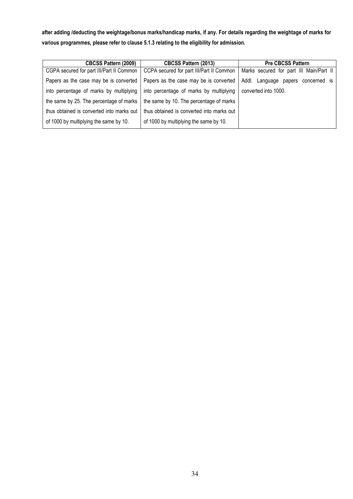**after adding /deducting the weightage/bonus marks/handicap marks, if any. For details regarding the weightage of marks for various programmes, please refer to clause 5.1.3 relating to the eligibility for admission.** 

| <b>CBCSS Pattern (2009)</b>               | <b>CBCSS Pattern (2013)</b>                                     | <b>Pre CBCSS Pattern</b>                |
|-------------------------------------------|-----------------------------------------------------------------|-----------------------------------------|
| CGPA secured for part III/Part II Common  | CCPA secured for part III/Part II Common                        | Marks secured for part III Main/Part II |
| Papers as the case may be is converted    | Papers as the case may be is converted                          | Addl. Language papers concerned is      |
| into percentage of marks by multiplying   | into percentage of marks by multiplying<br>converted into 1000. |                                         |
| the same by 25. The percentage of marks   | the same by 10. The percentage of marks                         |                                         |
| thus obtained is converted into marks out | thus obtained is converted into marks out                       |                                         |
| of 1000 by multiplying the same by 10.    | of 1000 by multiplying the same by 10.                          |                                         |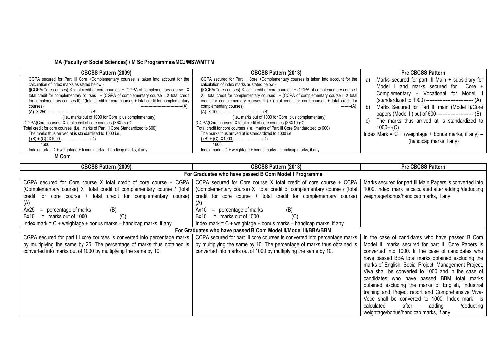# **MA (Faculty of Social Sciences) / M Sc Programmes/MCJ/MSW/MTTM**

| <b>CBCSS Pattern (2009)</b>                                                                                                                                                                                                                                                                                                                                                                                                                                                                                                                                                                                                                                                                                                                                                                                                                                | <b>CBCSS Pattern (2013)</b>                                                                                                                                                                                                                                                                                                                                                                                                                                                                                                                                                                                                                                                                                                                                                                                                                                              |          | <b>Pre CBCSS Pattern</b>                                                                                                                                                                                                                                                                                                                                                                                                                                                     |
|------------------------------------------------------------------------------------------------------------------------------------------------------------------------------------------------------------------------------------------------------------------------------------------------------------------------------------------------------------------------------------------------------------------------------------------------------------------------------------------------------------------------------------------------------------------------------------------------------------------------------------------------------------------------------------------------------------------------------------------------------------------------------------------------------------------------------------------------------------|--------------------------------------------------------------------------------------------------------------------------------------------------------------------------------------------------------------------------------------------------------------------------------------------------------------------------------------------------------------------------------------------------------------------------------------------------------------------------------------------------------------------------------------------------------------------------------------------------------------------------------------------------------------------------------------------------------------------------------------------------------------------------------------------------------------------------------------------------------------------------|----------|------------------------------------------------------------------------------------------------------------------------------------------------------------------------------------------------------------------------------------------------------------------------------------------------------------------------------------------------------------------------------------------------------------------------------------------------------------------------------|
| CGPA secured for Part III Core +Complementary courses is taken into account for the<br>calculation of index marks as stated below:-<br>{[CGPA(Core courses) X total credit of core courses] + (CGPA of complementary course I X<br>total credit for complementary courses $I + (CGPA of complementary course II X total credit)$<br>for complementary courses II)} / (total credit for core courses + total credit for complementary<br>courses)<br>(i.e., marks out of 1000 for Core plus complementary)<br>{CGPA(Core courses) X total credit of core courses }X6X25-(C<br>Total credit for core courses (i.e., marks of Part III Core Standardized to 600)<br>The marks thus arrived at is standardized to 1000 i.e.,<br>$($ B) + (C) }X1000 ------------------------(D)<br>1600<br>Index mark = $D$ + weightage + bonus marks – handicap marks, if any | CCPA secured for Part III Core +Complementary courses is taken into account for the<br>calculation of index marks as stated below:-<br>{[CCPA(Core courses) X total credit of core courses] + (CCPA of complementary course I<br>X total credit for complementary courses I + (CCPA of complementary course II X total<br>credit for complementary courses II)} / (total credit for core courses + total credit for<br>complementary courses)<br>---------(A)<br>(i.e., marks out of 1000 for Core plus complementary)<br>{CCPA(Core courses) X total credit of core courses }X6X10-(C)<br>Total credit for core courses (i.e., marks of Part III Core Standardized to 600)<br>The marks thus arrived at is standardized to 1000 i.e.,<br>$(B) + (C)$ }X1000 ------------------------ (D)<br>1600<br>Index mark = $D$ + weightage + bonus marks – handicap marks, if any | b)<br>C) | a) Marks secured for part III Main + subsidiary for<br>and marks secured for<br>Model<br>Core +<br>Complementary + Vocational for Model II<br>(standardized to 1000) ------------------------------- (A)<br>Marks Secured for Part III main (Model I)/Core<br>papers (Model II) out of 600-------------------------- (B)<br>The marks thus arrived at is standardized to<br>$1000--(C)$<br>Index Mark = $C +$ (weightage + bonus marks, if any) –<br>(handicap marks if any) |

**M Com** 

| <b>CBCSS Pattern (2009)</b>                                               | <b>CBCSS Pattern (2013)</b>                                               | <b>Pre CBCSS Pattern</b>                                                                              |  |  |  |
|---------------------------------------------------------------------------|---------------------------------------------------------------------------|-------------------------------------------------------------------------------------------------------|--|--|--|
| For Graduates who have passed B Com Model I Programme                     |                                                                           |                                                                                                       |  |  |  |
| CGPA secured for Core course X total credit of core course + CGPA         | CCPA secured for Core course X total credit of core course + CCPA         | Marks secured for part III Main Papers is converted into                                              |  |  |  |
| (Complementary course) X total credit of complementary course / (total    | (Complementary course) X total credit of complementary course / (total    | 1000. Index mark is calculated after adding / deducting                                               |  |  |  |
| credit for core course + total credit for complementary course)           | credit for core course + total credit for complementary course)           | weightage/bonus/handicap marks, if any                                                                |  |  |  |
| (A)                                                                       | (A)                                                                       |                                                                                                       |  |  |  |
| (B)<br>Ax25<br>$=$ percentage of marks                                    | (B)<br>Ax10<br>$=$ percentage of marks                                    |                                                                                                       |  |  |  |
| $=$ marks out of 1000<br>Bx10<br>(C)                                      | $=$ marks out of 1000<br>Bx10<br>(C)                                      |                                                                                                       |  |  |  |
| Index mark = $C$ + weightage + bonus marks – handicap marks, if any       | Index mark = $C$ + weightage + bonus marks – handicap marks, if any       |                                                                                                       |  |  |  |
|                                                                           | For Graduates who have passed B Com Model II/Model III/BBA/BBM            |                                                                                                       |  |  |  |
| CGPA secured for part III core courses is converted into percentage marks | CCPA secured for part III core courses is converted into percentage marks | In the case of candidates who have passed B Com                                                       |  |  |  |
| by multiplying the same by 25. The percentage of marks thus obtained is   | by multiplying the same by 10. The percentage of marks thus obtained is   | Model II, marks secured for part III Core Papers is                                                   |  |  |  |
| converted into marks out of 1000 by multiplying the same by 10.           | converted into marks out of 1000 by multiplying the same by 10.           | converted into 1000. In the case of candidates who                                                    |  |  |  |
|                                                                           |                                                                           | have passed BBA total marks obtained excluding the                                                    |  |  |  |
|                                                                           |                                                                           | marks of English, Social Project, Management Project,                                                 |  |  |  |
|                                                                           |                                                                           | Viva shall be converted to 1000 and in the case of                                                    |  |  |  |
|                                                                           |                                                                           | candidates who have passed BBM total marks                                                            |  |  |  |
|                                                                           |                                                                           | obtained excluding the marks of English, Industrial                                                   |  |  |  |
|                                                                           |                                                                           | training and Project report and Comprehensive Viva-<br>Voce shall be converted to 1000. Index mark is |  |  |  |
|                                                                           |                                                                           | adding<br>calculated<br>after                                                                         |  |  |  |
|                                                                           |                                                                           | /deducting<br>weightage/bonus/handicap marks, if any.                                                 |  |  |  |
|                                                                           |                                                                           |                                                                                                       |  |  |  |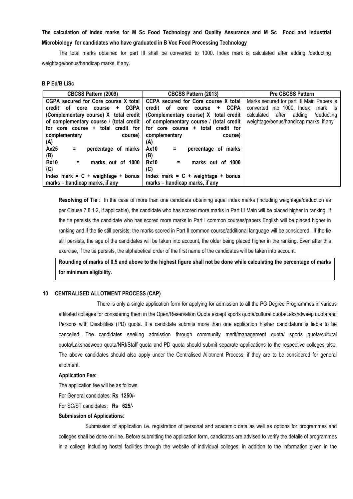# **The calculation of index marks for M Sc Food Technology and Quality Assurance and M Sc Food and Industrial Microbiology for candidates who have graduated in B Voc Food Processing Technology**

The total marks obtained for part III shall be converted to 1000. Index mark is calculated after adding /deducting weightage/bonus/handicap marks, if any.

#### **B P Ed/B LiSc**

| <b>CBCSS Pattern (2009)</b>                          | <b>CBCSS Pattern (2013)</b>                                        | <b>Pre CBCSS Pattern</b>                    |  |
|------------------------------------------------------|--------------------------------------------------------------------|---------------------------------------------|--|
| CGPA secured for Core course X total                 | CCPA secured for Core course X total                               | Marks secured for part III Main Papers is   |  |
| <b>CGPA</b><br>0f<br>credit<br>core<br>course<br>$+$ | credit of<br><b>CCPA</b><br>core<br>course<br>$\ddot{\phantom{1}}$ | converted into 1000. Index<br>mark is       |  |
| (Complementary course) X total credit                | (Complementary course) X total credit                              | /deducting<br>calculated<br>after<br>adding |  |
| of complementary course / (total credit              | of complementary course / (total credit                            | weightage/bonus/handicap marks, if any      |  |
| for core course + total credit for                   | for core course + total credit for                                 |                                             |  |
| complementary<br>course)                             | complementary<br>course)                                           |                                             |  |
| (A)                                                  | (A)                                                                |                                             |  |
| Ax25<br>percentage of marks<br>Ξ.                    | Ax10<br>percentage of marks<br>Ξ                                   |                                             |  |
| (B)                                                  | (B)                                                                |                                             |  |
| <b>Bx10</b><br>marks out of 1000<br>Ξ                | <b>Bx10</b><br>marks out of 1000<br>=                              |                                             |  |
| (C)                                                  | (C)                                                                |                                             |  |
| Index mark = $C + weightage + bonus$                 | Index mark = $C +$ weightage + bonus                               |                                             |  |
| marks – handicap marks, if any                       | marks – handicap marks, if any                                     |                                             |  |

**Resolving of Tie** : In the case of more than one candidate obtaining equal index marks (including weightage/deduction as per Clause 7.8.1.2, if applicable), the candidate who has scored more marks in Part III Main will be placed higher in ranking. If the tie persists the candidate who has scored more marks in Part I common courses/papers English will be placed higher in ranking and if the tie still persists, the marks scored in Part II common course/additional language will be considered. If the tie still persists, the age of the candidates will be taken into account, the older being placed higher in the ranking. Even after this exercise, if the tie persists, the alphabetical order of the first name of the candidates will be taken into account.

**Rounding of marks of 0.5 and above to the highest figure shall not be done while calculating the percentage of marks for minimum eligibility.** 

#### **10 CENTRALISED ALLOTMENT PROCESS (CAP)**

There is only a single application form for applying for admission to all the PG Degree Programmes in various affiliated colleges for considering them in the Open/Reservation Quota except sports quota/cultural quota/Lakshdweep quota and Persons with Disabilities (PD) quota. If a candidate submits more than one application his/her candidature is liable to be cancelled. The candidates seeking admission through community merit/management quota/ sports quota/cultural quota/Lakshadweep quota/NRI/Staff quota and PD quota should submit separate applications to the respective colleges also. The above candidates should also apply under the Centralised Allotment Process, if they are to be considered for general allotment.

#### **Application Fee:**

The application fee will be as follows

For General candidates: **Rs 1250/-**

For SC/ST candidates: **Rs 625/-**

#### **Submission of Applications**:

 Submission of application i.e. registration of personal and academic data as well as options for programmes and colleges shall be done on-line. Before submitting the application form, candidates are advised to verify the details of programmes in a college including hostel facilities through the website of individual colleges, in addition to the information given in the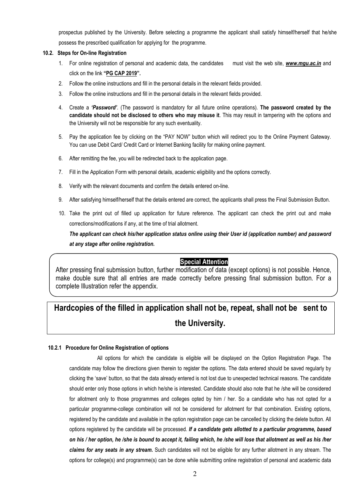prospectus published by the University. Before selecting a programme the applicant shall satisfy himself/herself that he/she possess the prescribed qualification for applying for the programme.

#### **10.2. Steps for On-line Registration**

- 1. For online registration of personal and academic data, the candidates must visit the web site, *www.mgu.ac.in* and click on the link **"PG CAP 2019".**
- 2. Follow the online instructions and fill in the personal details in the relevant fields provided.
- 3. Follow the online instructions and fill in the personal details in the relevant fields provided.
- 4. Create a *'Password'*. (The password is mandatory for all future online operations). **The password created by the candidate should not be disclosed to others who may misuse it**. This may result in tampering with the options and the University will not be responsible for any such eventuality.
- 5. Pay the application fee by clicking on the "PAY NOW" button which will redirect you to the Online Payment Gateway. You can use Debit Card/ Credit Card or Internet Banking facility for making online payment.
- 6. After remitting the fee, you will be redirected back to the application page.
- 7. Fill in the Application Form with personal details, academic eligibility and the options correctly.
- 8. Verify with the relevant documents and confirm the details entered on-line.
- 9. After satisfying himself/herself that the details entered are correct, the applicants shall press the Final Submission Button.
- 10. Take the print out of filled up application for future reference. The applicant can check the print out and make corrections/modifications if any, at the time of trial allotment.

*The applicant can check his/her application status online using their User id (application number) and password at any stage after online registration.* 

### **Special Attention**

After pressing final submission button, further modification of data (except options) is not possible. Hence, make double sure that all entries are made correctly before pressing final submission button. For a complete Illustration refer the appendix.

# **Hardcopies of the filled in application shall not be, repeat, shall not be sent to the University.**

#### **10.2.1 Procedure for Online Registration of options**

 All options for which the candidate is eligible will be displayed on the Option Registration Page. The candidate may follow the directions given therein to register the options. The data entered should be saved regularly by clicking the 'save' button, so that the data already entered is not lost due to unexpected technical reasons. The candidate should enter only those options in which he/she is interested. Candidate should also note that he /she will be considered for allotment only to those programmes and colleges opted by him / her. So a candidate who has not opted for a particular programme-college combination will not be considered for allotment for that combination. Existing options, registered by the candidate and available in the option registration page can be cancelled by clicking the delete button. All options registered by the candidate will be processed. *If a candidate gets allotted to a particular programme, based on his / her option, he /she is bound to accept it, failing which, he /she will lose that allotment as well as his /her claims for any seats in any stream.* Such candidates will not be eligible for any further allotment in any stream. The options for college(s) and programme(s) can be done while submitting online registration of personal and academic data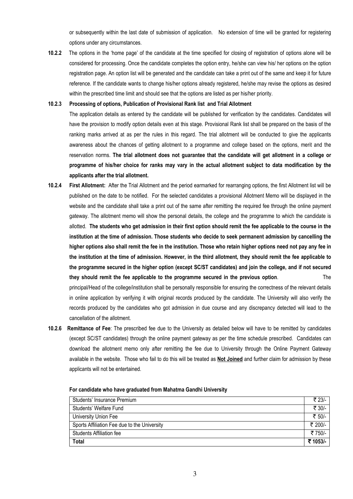or subsequently within the last date of submission of application. No extension of time will be granted for registering options under any circumstances.

**10.2.2** The options in the 'home page' of the candidate at the time specified for closing of registration of options alone will be considered for processing. Once the candidate completes the option entry, he/she can view his/ her options on the option registration page. An option list will be generated and the candidate can take a print out of the same and keep it for future reference. If the candidate wants to change his/her options already registered, he/she may revise the options as desired within the prescribed time limit and should see that the options are listed as per his/her priority.

#### **10.2.3 Processing of options, Publication of Provisional Rank list and Trial Allotment**

The application details as entered by the candidate will be published for verification by the candidates. Candidates will have the provision to modify option details even at this stage. Provisional Rank list shall be prepared on the basis of the ranking marks arrived at as per the rules in this regard. The trial allotment will be conducted to give the applicants awareness about the chances of getting allotment to a programme and college based on the options, merit and the reservation norms. **The trial allotment does not guarantee that the candidate will get allotment in a college or programme of his/her choice for ranks may vary in the actual allotment subject to data modification by the applicants after the trial allotment.** 

- **10.2.4 First Allotment:** After the Trial Allotment and the period earmarked for rearranging options, the first Allotment list will be published on the date to be notified. For the selected candidates a provisional Allotment Memo will be displayed in the website and the candidate shall take a print out of the same after remitting the required fee through the online payment gateway. The allotment memo will show the personal details, the college and the programme to which the candidate is allotted. **The students who get admission in their first option should remit the fee applicable to the course in the institution at the time of admission. Those students who decide to seek permanent admission by cancelling the higher options also shall remit the fee in the institution. Those who retain higher options need not pay any fee in the institution at the time of admission. However, in the third allotment, they should remit the fee applicable to the programme secured in the higher option (except SC/ST candidates) and join the college, and if not secured they should remit the fee applicable to the programme secured in the previous option**. The principal/Head of the college/institution shall be personally responsible for ensuring the correctness of the relevant details in online application by verifying it with original records produced by the candidate. The University will also verify the records produced by the candidates who got admission in due course and any discrepancy detected will lead to the
- **10.2.6 Remittance of Fee**: The prescribed fee due to the University as detailed below will have to be remitted by candidates (except SC/ST candidates) through the online payment gateway as per the time schedule prescribed. Candidates can download the allotment memo only after remitting the fee due to University through the Online Payment Gateway available in the website. Those who fail to do this will be treated as **Not Joined** and further claim for admission by these applicants will not be entertained.

| Students' Insurance Premium                  | ₹ 23/-   |
|----------------------------------------------|----------|
|                                              |          |
| Students' Welfare Fund                       | ₹ 30/-   |
| University Union Fee                         | ₹ 50/-   |
|                                              |          |
| Sports Affiliation Fee due to the University | ₹ 200/-  |
|                                              |          |
| Students Affiliation fee                     | ₹750/-   |
| <b>Total</b>                                 | ₹ 1053/- |

**For candidate who have graduated from Mahatma Gandhi University**

cancellation of the allotment.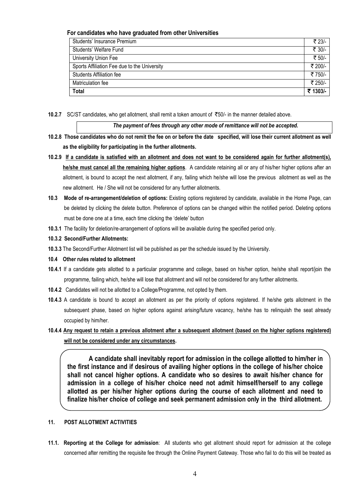#### **For candidates who have graduated from other Universities**

| Students' Insurance Premium                  | ₹ 23/-   |
|----------------------------------------------|----------|
| Students' Welfare Fund                       | ₹ 30/-   |
| University Union Fee                         | ₹ 50/-   |
| Sports Affiliation Fee due to the University | ₹ 200/-  |
| <b>Students Affiliation fee</b>              | ₹750/-   |
| Matriculation fee                            | ₹ 250/-  |
| <b>Total</b>                                 | ₹ 1303/- |

**10.2.7** SC/ST candidates, who get allotment, shall remit a token amount of `50/- in the manner detailed above.

*The payment of fees through any other mode of remittance will not be accepted.* 

**10.2.8 Those candidates who do not remit the fee on or before the date specified, will lose their current allotment as well as the eligibility for participating in the further allotments.** 

- **10.2.9 If a candidate is satisfied with an allotment and does not want to be considered again for further allotment(s), he/she must cancel all the remaining higher options**. A candidate retaining all or any of his/her higher options after an allotment, is bound to accept the next allotment, if any, failing which he/she will lose the previous allotment as well as the new allotment. He / She will not be considered for any further allotments.
- **10.3 Mode of re-arrangement/deletion of options:** Existing options registered by candidate, available in the Home Page, can be deleted by clicking the delete button. Preference of options can be changed within the notified period. Deleting options must be done one at a time, each time clicking the 'delete' button
- **10.3.1** The facility for deletion/re-arrangement of options will be available during the specified period only.
- **10.3.2 Second/Further Allotments:**
- **10.3.3** The Second/Further Allotment list will be published as per the schedule issued by the University.
- **10.4 Other rules related to allotment**
- **10.4.1** If a candidate gets allotted to a particular programme and college, based on his/her option, he/she shall report/join the programme, failing which, he/she will lose that allotment and will not be considered for any further allotments.
- **10.4.2** Candidates will not be allotted to a College/Programme, not opted by them.
- **10.4.3** A candidate is bound to accept an allotment as per the priority of options registered. If he/she gets allotment in the subsequent phase, based on higher options against arising/future vacancy, he/she has to relinquish the seat already occupied by him/her.
- **10.4.4 Any request to retain a previous allotment after a subsequent allotment (based on the higher options registered) will not be considered under any circumstances.**

**A candidate shall inevitably report for admission in the college allotted to him/her in the first instance and if desirous of availing higher options in the college of his/her choice shall not cancel higher options. A candidate who so desires to await his/her chance for admission in a college of his/her choice need not admit himself/herself to any college allotted as per his/her higher options during the course of each allotment and need to finalize his/her choice of college and seek permanent admission only in the third allotment.** 

#### **11. POST ALLOTMENT ACTIVITIES**

**11.1. Reporting at the College for admission**: All students who get allotment should report for admission at the college concerned after remitting the requisite fee through the Online Payment Gateway. Those who fail to do this will be treated as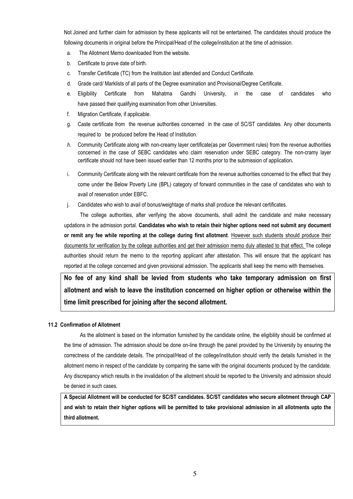Not Joined and further claim for admission by these applicants will not be entertained. The candidates should produce the following documents in original before the Principal/Head of the college/institution at the time of admission.

- a. The Allotment Memo downloaded from the website.
- b. Certificate to prove date of birth.
- c. Transfer Certificate (TC) from the Institution last attended and Conduct Certificate.
- d. Grade card/ Marklists of all parts of the Degree examination and Provisional/Degree Certificate.
- e. Eligibility Certificate from Mahatma Gandhi University, in the case of candidates who have passed their qualifying examination from other Universities.
- f. Migration Certificate, if applicable.
- g. Caste certificate from the revenue authorities concerned in the case of SC/ST candidates. Any other documents required to be produced before the Head of Institution.
- *h.* Community Certificate along with non-creamy layer certificate(as per Government rules) from the revenue authorities concerned in the case of SEBC candidates who claim reservation under SEBC category. The non-cramy layer certificate should not have been issued earlier than 12 months prior to the submission of application**.**
- i. Community Certificate along with the relevant certificate from the revenue authorities concerned to the effect that they come under the Below Poverty Line (BPL) category of forward communities in the case of candidates who wish to avail of reservation under EBFC.
- j. Candidates who wish to avail of bonus/weightage of marks shall produce the relevant certificates.

The college authorities, after verifying the above documents, shall admit the candidate and make necessary updations in the admission portal. **Candidates who wish to retain their higher options need not submit any document or remit any fee while reporting at the college during first allotment**. However such students should produce their documents for verification by the college authorities and get their admission memo duly attested to that effect. The college authorities should return the memo to the reporting applicant after attestation. This will ensure that the applicant has reported at the college concerned and given provisional admission. The applicants shall keep the memo with themselves.

**No fee of any kind shall be levied from students who take temporary admission on first allotment and wish to leave the institution concerned on higher option or otherwise within the time limit prescribed for joining after the second allotment.** 

#### **11.2 Confirmation of Allotment**

As the allotment is based on the information furnished by the candidate online, the eligibility should be confirmed at the time of admission. The admission should be done on-line through the panel provided by the University by ensuring the correctness of the candidate details. The principal/Head of the college/institution should verify the details furnished in the allotment memo in respect of the candidate by comparing the same with the original documents produced by the candidate. Any discrepancy which results in the invalidation of the allotment should be reported to the University and admission should be denied in such cases.

**A Special Allotment will be conducted for SC/ST candidates. SC/ST candidates who secure allotment through CAP and wish to retain their higher options will be permitted to take provisional admission in all allotments upto the third allotment.**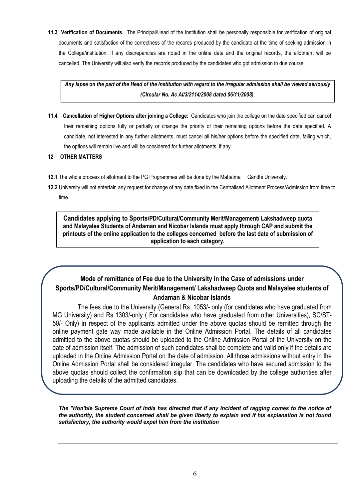**11.3 Verification of Documents**. The Principal/Head of the Institution shall be personally responsible for verification of original documents and satisfaction of the correctness of the records produced by the candidate at the time of seeking admission in the College/institution. If any discrepancies are noted in the online data and the original records, the allotment will be cancelled. The University will also verify the records produced by the candidates who got admission in due course.

*Any lapse on the part of the Head of the Institution with regard to the irregular admission shall be viewed seriously (Circular No. Ac AI/3/2114/2008 dated 06/11/2008)*.

**11.4 Cancellation of Higher Options after joining a College:** Candidates who join the college on the date specified can cancel their remaining options fully or partially or change the priority of their remaining options before the date specified. A candidate, not interested in any further allotments, must cancel all his/her options before the specified date, failing which, the options will remain live and will be considered for further allotments, if any.

#### **12 OTHER MATTERS**

- **12.1** The whole process of allotment to the PG Programmes will be done by the Mahatma Gandhi University.
- **12.2** University will not entertain any request for change of any date fixed in the Centralised Allotment Process/Admission from time to time.

**Candidates applying to Sports/PD/Cultural/Community Merit/Management/ Lakshadweep quota and Malayalee Students of Andaman and Nicobar Islands must apply through CAP and submit the printouts of the online application to the colleges concerned before the last date of submission of application to each category.**

# **Mode of remittance of Fee due to the University in the Case of admissions under Sports/PD/Cultural/Community Merit/Management/ Lakshadweep Quota and Malayalee students of Andaman & Nicobar Islands**

date of admission itself. The admission of such candidates shall be complete and valid only if the details are *submitting application shall obtain the permission of the University. The request for the same shall be*  Online Admission Portal shall be considered irregular. The candidates who have secured admission to the above quotas should collect the confirmation slip that can be downloaded by the college authorities after *application, duly recommended by the Principal of college/Head of the Institution along with a chalan /Pay-*uploading the details of the admitted candidates. The fees due to the University (General Rs. 1053/- only (for candidates who have graduated from MG University) and Rs 1303/-only ( For candidates who have graduated from other Universities), SC/ST-50/- Only) in respect of the applicants admitted under the above quotas should be remitted through the online payment gate way made available in the Online Admission Portal. The details of all candidates admitted to the above quotas should be uploaded to the Online Admission Portal of the University on the uploaded in the Online Admission Portal on the date of admission. All those admissions without entry in the

*The "Hon'ble Supreme Court of India has directed that if any incident of ragging comes to the notice of the authority, the student concerned shall be given liberty to explain and if his explanation is not found satisfactory, the authority would expel him from the institution* 

*in-Slip receipt for ` 100/- and shall be produced before the Asst. Registrar (Acad -I).*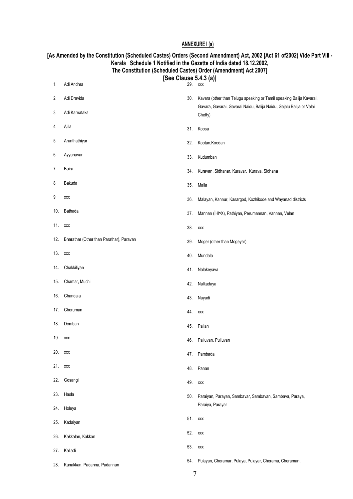# **ANNEXURE I (a)**

|     |                                          |                | The Constitution (Scheduled Castes) Order (Amendment) Act 2007]<br>[See Clause 5.4.3 (a)] |
|-----|------------------------------------------|----------------|-------------------------------------------------------------------------------------------|
| 1.  | Adi Andhra                               |                | 29. xxx                                                                                   |
| 2.  | Adi Dravida                              | 30.            | Kavara (other than Telugu speaking or Tamil speaking Balija Kavarai,                      |
| 3.  | Adi Karnataka                            |                | Gavara, Gavarai, Gavarai Naidu, Balija Naidu, Gajalu Balija or Valai<br>Chetty)           |
| 4.  | Ajila                                    | 31.            | Koosa                                                                                     |
| 5.  | Arunthathiyar                            | 32.            | Kootan, Koodan                                                                            |
| 6.  | Ayyanavar                                | 33.            | Kudumban                                                                                  |
| 7.  | Baira                                    | 34.            | Kuravan, Sidhanar, Kuravar, Kurava, Sidhana                                               |
| 8.  | Bakuda                                   | 35.            | Maila                                                                                     |
| 9.  | XXX                                      | 36.            | Malayan, Kannur, Kasargod, Kozhikode and Wayanad districts                                |
| 10. | Bathada                                  | 37.            | Mannan (ÎHÞX), Pathiyan, Perumannan, Vannan, Velan                                        |
| 11. | XXX                                      | 38.            | XXX                                                                                       |
| 12. | Bharathar (Other than Parathar), Paravan | 39.            | Moger (other than Mogeyar)                                                                |
| 13. | XXX                                      | 40.            | Mundala                                                                                   |
| 14. | Chakkiliyan                              | 41.            | Nalakeyava                                                                                |
| 15. | Chamar, Muchi                            | 42.            | Nalkadaya                                                                                 |
| 16. | Chandala                                 | 43.            | Nayadi                                                                                    |
| 17. | Cheruman                                 |                | 44. xxx                                                                                   |
| 18. | Domban                                   | 45.            | Pallan                                                                                    |
| 19. | <b>XXX</b>                               | 46.            | Palluvan, Pulluvan                                                                        |
| 20. | <b>XXX</b>                               | 47.            | Pambada                                                                                   |
| 21. | <b>XXX</b>                               | 48.            | Panan                                                                                     |
| 22. | Gosangi                                  | 49.            | <b>XXX</b>                                                                                |
| 23. | Hasla                                    | 50.            | Paraiyan, Parayan, Sambavar, Sambavan, Sambava, Paraya,                                   |
| 24. | Holeya                                   |                | Paraiya, Parayar                                                                          |
| 25. | Kadaiyan                                 |                | 51. xxx                                                                                   |
| 26. | Kakkalan, Kakkan                         | 52.            | <b>XXX</b>                                                                                |
| 27. | Kalladi                                  | 53.            | XXX                                                                                       |
| 28. | Kanakkan, Padanna, Padannan              |                | 54. Pulayan, Cheramar, Pulaya, Pulayar, Cherama, Cheraman,                                |
|     |                                          | $\overline{7}$ |                                                                                           |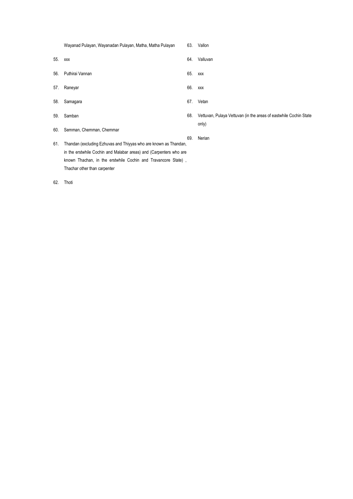Wayanad Pulayan, Wayanadan Pulayan, Matha, Matha Pulayan 55. xxx 56. Puthirai Vannan 57. Raneyar 58. Samagara 59. Samban 60. Semman, Chemman, Chemmar 61. Thandan (excluding Ezhuvas and Thiyyas who are known as Thandan, in the erstwhile Cochin and Malabar areas) and (Carpenters who are known Thachan, in the erstwhile Cochin and Travancore State) , Thachar other than carpenter 63. Vallon 64. Valluvan 65. xxx 66. xxx 67. Vetan only) 69. Nerian

68. Vettuvan, Pulaya Vettuvan (in the areas of eastwhile Cochin State

62. Thoti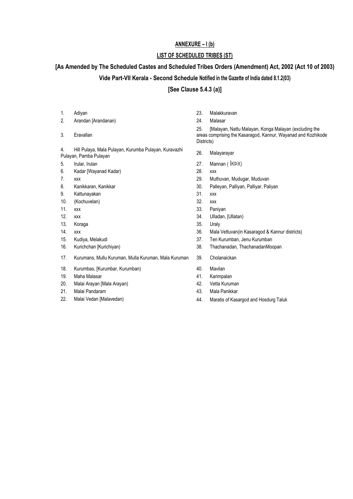# **ANNEXURE – I (b)**

# **LIST OF SCHEDULED TRIBES (ST)**

# **[As Amended by The Scheduled Castes and Scheduled Tribes Orders (Amendment) Act, 2002 (Act 10 of 2003)**

# **Vide Part-VII Kerala - Second Schedule Notified in the Gazette of India dated 8.1.2(03)**

# **[See Clause 5.4.3 (a)]**

#### 2. Arandan [Arandanan) 24. Malasar

3. Eravallan

4. Hill Pulaya, Mala Pulayan, Kurumba Pulayan, Kuravazhi 4. Hili Pulaya, wala Pulayan, Kurumba Pulayan, Kuravazhi kasa 26. Malayarayar<br>Pulayan, Pamba Pulayan

- 
- 6. Kadar [Wayanad Kadar) 28. xxx
- 
- 
- 9. Kattunayakan 31. xxx
- 10. (Kochuvelan) 32. xxx
- 
- 
- 13. Koraga 35. Uraly
- 
- 
- 
- 17. Kurumans, Mullu Kuruman, Mulla Kuruman, Mala Kuruman 39. Cholanaickan
- 18. Kurumbas, [Kurumbar, Kurumban) 40. Mavilan
- 19. Maha Malasar 41. Karimpalan
- 20. Malai Arayan [Mala Arayan) 42. Vetta Kuruman
- 21. Malai Pandaram 43. Mala Panikkar
- 
- 1. Adiyan 23. Malakkuravan
	-

25. [Malayan, Nattu Malayan, Konga Malayan (excluding the areas comprising the Kasaragod, Kannur, Wayanad and Kozhikode Districts)

- 
- 5. Irular, Irulan 27. Mannan ( ÎKÞX)
	-
- 7. xxx 29. Muthuvan, Mudugar, Muduvan
- 8. Kanikkaran, Kanikkar 30. Palleyan, Palliyan, Palliyar, Paliyan
	-
	-
- 11. xxx 33. Paniyan
- 12. xxx 34. Ulladan, [Ullatan)
	-
- 14. xxx **36.** Mala Vettuvan(in Kasaragod & Kannur districts)
- 15. Kudiya, Melakudi 37. Ten Kurumban, Jenu Kurumban
- 16. Kurichchan [Kurichiyan) 38. Thachanadan, ThachanadanMoopan
	-
	-
	-
	-
	-
- 22. Malai Vedan [Malavedan) 44. Maratis of Kasargod and Hosdurg Taluk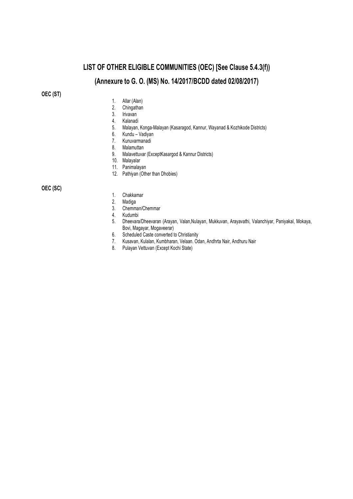# **LIST OF OTHER ELIGIBLE COMMUNITIES (OEC) [See Clause 5.4.3(f)) (Annexure to G. O. (MS) No. 14/2017/BCDD dated 02/08/2017)**

#### **OEC (ST)**

- 1. Allar (Alan)
- 2. Chingathan
- 3. Irivavan
- 4. Kalanadi
- 5. Malayan, Konga-Malayan (Kasaragod, Kannur, Wayanad & Kozhikode Districts)
- 6. Kundu Vadiyan
- 7. Kunuvarmanadi
- 8. Malamuttan
- 9. Malavettuvar (ExceptKasargod & Kannur Districts)
- 10. Malayalar
- 11. Panimalayan
- 12. Pathiyan (Other than Dhobies)

#### **OEC (SC)**

- 1. Chakkamar
- 2. Madiga
- 3. Chemman/Chemmar
- 4. Kudumbi
- 5. Dheevara/Dheevaran (Arayan, Valan,Nulayan, Mukkuvan, Arayavathi, Valanchiyar, Paniyakal, Mokaya, Bovi, Magayar, Mogaveerar)
- 6. Scheduled Caste converted to Christianity
- 7. Kusavan, Kulalan, Kumbharan, Velaan. Odan, Andhrta Nair, Andhuru Nair
- 8. Pulayan Vettuvan (Except Kochi State)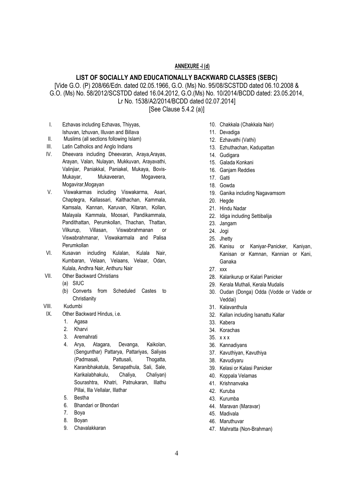#### **ANNEXURE -I (d)**

#### **LIST OF SOCIALLY AND EDUCATIONALLY BACKWARD CLASSES (SEBC)**

[Vide G.O. (P) 208/66/Edn. dated 02.05.1966, G.O. (Ms) No. 95/08/SCSTDD dated 06.10.2008 & G.O. (Ms) No. 58/2012/SCSTDD dated 16.04.2012, G.O.(Ms) No. 10/2014/BCDD dated: 23.05.2014, Lr No. 1538/A2/2014/BCDD dated 02.07.2014]

[See Clause 5.4.2 (a)]

- I. Ezhavas including Ezhavas, Thiyyas, Ishuvan, Izhuvan, Illuvan and Billava
- II. Muslims (all sections following Islam)
- III. Latin Catholics and Anglo Indians
- IV. Dheevara including Dheevaran, Araya,Arayas, Arayan, Valan, Nulayan, Mukkuvan, Arayavathi, Valinjiar, Paniakkal, Paniakel, Mukaya, Bovis-Mukayar, Mukaveeran, Mogaveera, Mogavirar,Mogayan
- V. Viswakarmas including Viswakarma, Asari, Chaptegra, Kallassari, Kalthachan, Kammala, Kamsala, Kannan, Karuvan, Kitaran, Kollan, Malayala Kammala, Moosari, Pandikammala, Pandithattan, Perumkollan, Thachan, Thattan, Vilkurup, Villasan, Viswabrahmanan or Viswabrahmanar, Viswakarmala and Palisa Perumkollan
- VI. Kusavan including Kulalan, Kulala Nair, Kumbaran, Velaan, Velaans, Velaar, Odan, Kulala, Andhra Nair, Anthuru Nair
- VII. Other Backward Christians
	- (a) SIUC
	- (b) Converts from Scheduled Castes to **Christianity**
- VIII. Kudumbi
- IX. Other Backward Hindus, i.e.
	- 1. Agasa
	- 2. Kharvi
	- 3. Aremahrati
	- 4. Arya, Atagara, Devanga, Kaikolan, (Sengunthar) Pattarya, Pattariyas, Saliyas (Padmasali, Pattusali, Thogatta, Karanibhakatula, Senapathula, Sali, Sale, Karikalabhakulu, Chaliya, Chaliyan) Sourashtra, Khatri, Patnukaran, Illathu Pillai, Illa Vellalar, Illathar
	- 5. Bestha
	- 6. Bhandari or Bhondari
	- 7. Boya
	- 8. Boyan
	- 9. Chavalakkaran
- 10. Chakkala (Chakkala Nair)
- 11. Devadiga
- 12. Ezhavathi (Vathi)
- 13. Ezhuthachan, Kadupattan
- 14. Gudigara
- 15. Galada Konkani
- 16. Ganjam Reddies
- 17. Gatti
- 18. Gowda
- 19. Ganika including Nagavamsom
- 20. Hegde
- 21. Hindu Nadar
- 22. Idiga including Settibalija
- 23. Jangam
- 24. Jogi
- 25. Jhetty
- 26. Kanisu or Kaniyar-Panicker, Kaniyan, Kanisan or Kamnan, Kannian or Kani, Ganaka
- 27. xxx
- 28. Kalarikurup or Kalari Panicker
- 29. Kerala Muthali, Kerala Mudalis
- 30. Oudan (Donga) Odda (Vodde or Vadde or Veddai)
- 31. Kalavanthula
- 32. Kallan including Isanattu Kallar
- 33. Kabera
- 34. Korachas
- 35. x x x
- 36. Kannadiyans
- 37. Kavuthiyan, Kavuthiya
- 38. Kavudiyaru
- 39. Kelasi or Kalasi Panicker
- 40. Koppala Velamas
- 41. Krishnanvaka
- 42. Kuruba
- 43. Kurumba
- 44. Maravan (Maravar)
- 45. Madivala
- 46. Maruthuvar
- 47. Mahratta (Non-Brahman)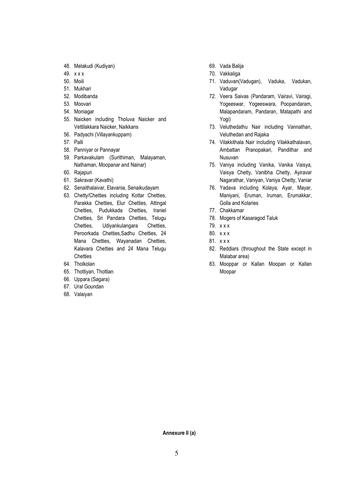- 48. Melakudi (Kudiyan)
- 49. x x x
- 50. Moili
- 51. Mukhari
- 52. Modibanda
- 53. Moovari
- 54. Moniagar
- 55. Naicken including Tholuva Naicker and Vettilakkara Naicker, Naikkans
- 56. Padyachi (Villayankuppam)
- 57. Palli
- 58. Panniyar or Pannayar
- 59. Parkavakulam (Surithiman, Malayaman, Nathaman, Moopanar and Nainar)
- 60. Rajapuri
- 61. Sakravar (Kavathi)
- 62. Senaithalaivar, Elavania, Senaikudayam
- 63. Chetty/Chetties including Kottar Chetties, Parakka Chetties, Elur Chetties, Attingal Chetties, Pudukkada Chetties, Iraniel Chetties, Sri Pandara Chetties, Telugu Chetties, Udiyankulangara Chetties, Peroorkada Chetties,Sadhu Chetties, 24 Mana Chetties, Wayanadan Chetties, Kalavara Chetties and 24 Mana Telugu **Chetties**
- 64. Tholkolan
- 65. Thottiyan, Thottian
- 66. Uppara (Sagara)
- 67. Ural Goundan
- 68. Valaiyan
- 69. Vada Balija
- 70. Vakkaliga
- 71. Vaduvan(Vadugan), Vaduka, Vadukan, Vadugar
- 72. Veera Saivas (Pandaram, Vairavi, Vairagi, Yogeeswar, Yogeeswara, Poopandaram, Malapandaram, Pandaran, Matapathi and Yogi)
- 73. Veluthedathu Nair including Vannathan, Veluthedan and Rajaka
- 74. Vilakkithala Nair including Vilakkathalavan, Ambattan Pranopakari, Pandithar and Nusuvan
- 75. Vaniya including Vanika, Vanika Vaisya, Vaisya Chetty, Vanibha Chetty, Ayiravar Nagarathar, Vaniyan, Vaniya Chetty, Vaniar
- 76. Yadava including Kolaya, Ayar, Mayar, Maniyani, Eruman, Iruman, Erumakkar, Golla and Kolaries
- 77. Chakkamar
- 78. Mogers of Kasaragod Taluk
- 79. x x x
- 80. x x x
- 81. x x x
- 82. Reddiars (throughout the State except in Malabar area)
- 83. Mooppar or Kallan Moopan or Kallan Moopar

**Annexure II (a)**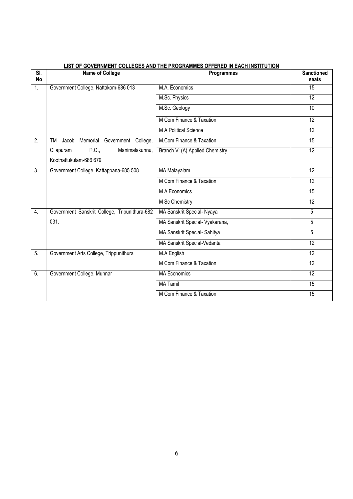| $\overline{\mathsf{SI}}$ . | <b>Name of College</b>                        | Programmes                      | <b>Sanctioned</b> |
|----------------------------|-----------------------------------------------|---------------------------------|-------------------|
| <b>No</b>                  |                                               |                                 | seats             |
| $\overline{1}$ .           | Government College, Nattakom-686 013          | M.A. Economics                  | $\overline{15}$   |
|                            |                                               | M.Sc. Physics                   | 12                |
|                            |                                               | M.Sc. Geology                   | 10                |
|                            |                                               | M Com Finance & Taxation        | 12                |
|                            |                                               | <b>M A Political Science</b>    | $\overline{12}$   |
| $\overline{2}$ .           | Memorial Government College,<br>Jacob<br>TM   | M.Com Finance & Taxation        | $\overline{15}$   |
|                            | P.O.,<br>Oliapuram<br>Manimalakunnu,          | Branch V: (A) Applied Chemistry | 12                |
|                            | Koothattukulam-686 679                        |                                 |                   |
| 3.                         | Government College, Kattappana-685 508        | MA Malayalam                    | 12                |
|                            |                                               | M Com Finance & Taxation        | 12                |
|                            |                                               | M A Economics                   | 15                |
|                            |                                               | M Sc Chemistry                  | 12                |
| 4.                         | Government Sanskrit College, Tripunithura-682 | MA Sanskrit Special- Nyaya      | 5                 |
|                            | 031.                                          | MA Sanskrit Special- Vyakarana, | 5                 |
|                            |                                               | MA Sanskrit Special- Sahitya    | 5                 |
|                            |                                               | MA Sanskrit Special-Vedanta     | 12                |
| 5.                         | Government Arts College, Trippunithura        | M.A English                     | 12                |
|                            |                                               | M Com Finance & Taxation        | 12                |
| 6.                         | Government College, Munnar                    | <b>MA Economics</b>             | 12                |
|                            |                                               | <b>MA Tamil</b>                 | $\overline{15}$   |
|                            |                                               | M Com Finance & Taxation        | 15                |

#### **LIST OF GOVERNMENT COLLEGES AND THE PROGRAMMES OFFERED IN EACH INSTITUTION**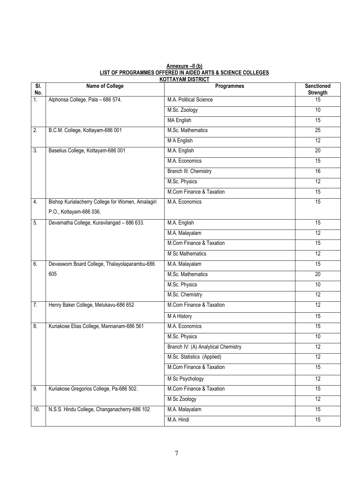| SI.<br>No.       | <b>Name of College</b>                            | ו טוחו טוט וואו ואו ו טח<br>Programmes | <b>Sanctioned</b><br>Strength |
|------------------|---------------------------------------------------|----------------------------------------|-------------------------------|
| 1.               | Alphonsa College, Pala - 686 574.                 | M.A. Political Science                 | 15                            |
|                  |                                                   | M.Sc. Zoology                          | 10                            |
|                  |                                                   | <b>MA English</b>                      | 15                            |
| $\overline{2}$ . | B.C.M. College, Kottayam-686 001                  | M.Sc. Mathematics                      | $\overline{25}$               |
|                  |                                                   | M A English                            | $\overline{12}$               |
| 3.               | Baselius College, Kottayam-686 001                | M.A. English                           | $\overline{20}$               |
|                  |                                                   | M.A. Economics                         | $\overline{15}$               |
|                  |                                                   | Branch III: Chemistry                  | 16                            |
|                  |                                                   | M.Sc. Physics                          | 12                            |
|                  |                                                   | M.Com Finance & Taxation               | 15                            |
| 4.               | Bishop Kurialacherry College for Women, Amalagiri | M.A. Economics                         | $\overline{15}$               |
|                  | P.O., Kottayam-686 036.                           |                                        |                               |
| 5.               | Devamatha College, Kuravilangad - 686 633.        | M.A. English                           | 15                            |
|                  |                                                   | M.A. Malayalam                         | $\overline{12}$               |
|                  |                                                   | M.Com Finance & Taxation               | 15                            |
|                  |                                                   | M Sc Mathematics                       | 12                            |
| 6.               | Devaswom Board College, Thalayolaparambu-686      | M.A. Malayalam                         | 15                            |
|                  | 605                                               | M.Sc. Mathematics                      | $\overline{20}$               |
|                  |                                                   | M.Sc. Physics                          | 10                            |
|                  |                                                   | M.Sc. Chemistry                        | $\overline{12}$               |
| 7.               | Henry Baker College, Melukavu-686 652             | M.Com Finance & Taxation               | $\overline{12}$               |
|                  |                                                   | M A History                            | 15                            |
| 8.               | Kuriakose Elias College, Mannanam-686 561         | M.A. Economics                         | $\overline{15}$               |
|                  |                                                   | M.Sc. Physics                          | 10                            |
|                  |                                                   | Branch IV: (A) Analytical Chemistry    | 12                            |
|                  |                                                   | M.Sc. Statistics (Applied)             | $\overline{12}$               |
|                  |                                                   | M.Com Finance & Taxation               | 15                            |
|                  |                                                   | M Sc Psychology                        | 12                            |
| 9.               | Kuriakose Gregorios College, Pa-686 502.          | M.Com Finance & Taxation               | 15                            |
|                  |                                                   | M Sc Zoology                           | 12                            |
| 10.              | N.S.S. Hindu College, Changanacherry-686 102      | M.A. Malayalam                         | $\overline{15}$               |
|                  |                                                   | M.A. Hindi                             | $\overline{15}$               |

#### **Annexure –II (b) LIST OF PROGRAMMES OFFERED IN AIDED ARTS & SCIENCE COLLEGES KOTTAYAM DISTRICT**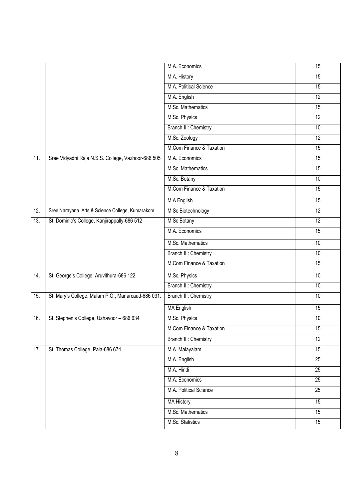|     |                                                    | M.A. Economics           | $\overline{15}$ |
|-----|----------------------------------------------------|--------------------------|-----------------|
|     |                                                    | M.A. History             | 15              |
|     |                                                    | M.A. Political Science   | 15              |
|     |                                                    | M.A. English             | $\overline{12}$ |
|     |                                                    | M.Sc. Mathematics        | 15              |
|     |                                                    | M.Sc. Physics            | 12              |
|     |                                                    | Branch III: Chemistry    | 10              |
|     |                                                    | M.Sc. Zoology            | $\overline{12}$ |
|     |                                                    | M.Com Finance & Taxation | 15              |
| 11. | Sree Vidyadhi Raja N.S.S. College, Vazhoor-686 505 | M.A. Economics           | $\overline{15}$ |
|     |                                                    | M.Sc. Mathematics        | 15              |
|     |                                                    | M.Sc. Botany             | $\overline{10}$ |
|     |                                                    | M.Com Finance & Taxation | 15              |
|     |                                                    | M A English              | 15              |
| 12. | Sree Narayana Arts & Science College, Kumarakom    | M Sc Biotechnology       | 12              |
| 13. | St. Dominic's College, Kanjirappally-686 512       | M Sc Botany              | 12              |
|     |                                                    | M.A. Economics           | 15              |
|     |                                                    | M.Sc. Mathematics        | $\overline{10}$ |
|     |                                                    | Branch III: Chemistry    | 10              |
|     |                                                    | M.Com Finance & Taxation | 15              |
| 14. | St. George's College, Aruvithura-686 122           | M.Sc. Physics            | 10              |
|     |                                                    | Branch III: Chemistry    | 10              |
| 15. | St. Mary's College, Malam P.O., Manarcaud-686 031. | Branch III: Chemistry    | $\overline{10}$ |
|     |                                                    | <b>MA English</b>        | $\overline{15}$ |
| 16. | St. Stephen's College, Uzhavoor - 686 634          | M.Sc. Physics            | 10              |
|     |                                                    | M.Com Finance & Taxation | 15              |
|     |                                                    | Branch III: Chemistry    | $\overline{12}$ |
| 17. | St. Thomas College, Pala-686 674                   | M.A. Malayalam           | 15              |
|     |                                                    | M.A. English             | 25              |
|     |                                                    | M.A. Hindi               | 25              |
|     |                                                    | M.A. Economics           | 25              |
|     |                                                    | M.A. Political Science   | $\overline{25}$ |
|     |                                                    | <b>MA History</b>        | 15              |
|     |                                                    | M.Sc. Mathematics        | 15              |
|     |                                                    | M.Sc. Statistics         | 15              |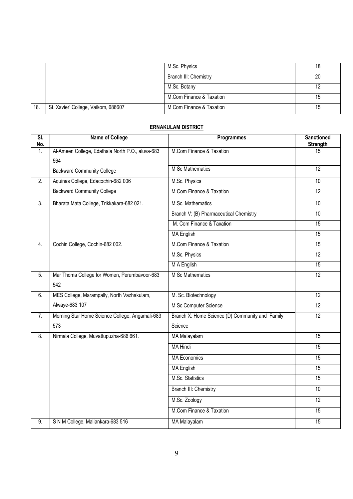|     |                                     | M.Sc. Physics            | 18 |
|-----|-------------------------------------|--------------------------|----|
|     |                                     | Branch III: Chemistry    | 20 |
|     |                                     | M.Sc. Botany             |    |
|     |                                     | M.Com Finance & Taxation | 15 |
| 18. | St. Xavier' College, Vaikom, 686607 | M Com Finance & Taxation |    |

# **ERNAKULAM DISTRICT**

| $\overline{\mathsf{SI}}$ .<br>No. | <b>Name of College</b>                           | Programmes                                      | <b>Sanctioned</b><br><b>Strength</b> |
|-----------------------------------|--------------------------------------------------|-------------------------------------------------|--------------------------------------|
| 1.                                | Al-Ameen College, Edathala North P.O., aluva-683 | M.Com Finance & Taxation                        | 15                                   |
|                                   | 564                                              |                                                 |                                      |
|                                   | <b>Backward Community College</b>                | M Sc Mathematics                                | $\overline{12}$                      |
| $\overline{2}$ .                  | Aquinas College, Edacochin-682 006               | M.Sc. Physics                                   | 10                                   |
|                                   | <b>Backward Community College</b>                | M Com Finance & Taxation                        | 12                                   |
| 3.                                | Bharata Mata College, Trikkakara-682 021.        | M.Sc. Mathematics                               | 10                                   |
|                                   |                                                  | Branch V: (B) Pharmaceutical Chemistry          | 10                                   |
|                                   |                                                  | M. Com Finance & Taxation                       | $\overline{15}$                      |
|                                   |                                                  | <b>MA English</b>                               | 15                                   |
| $\overline{4}$ .                  | Cochin College, Cochin-682 002.                  | M.Com Finance & Taxation                        | 15                                   |
|                                   |                                                  | M.Sc. Physics                                   | $\overline{12}$                      |
|                                   |                                                  | M A English                                     | 15                                   |
| 5.                                | Mar Thoma College for Women, Perumbavoor-683     | M Sc Mathematics                                | 12                                   |
|                                   | 542                                              |                                                 |                                      |
| 6.                                | MES College, Marampally, North Vazhakulam,       | M. Sc. Biotechnology                            | $\overline{12}$                      |
|                                   | Alwaye-683 107                                   | M Sc Computer Science                           | $\overline{12}$                      |
| $\overline{7}$ .                  | Morning Star Home Science College, Angamali-683  | Branch X: Home Science (D) Community and Family | 12                                   |
|                                   | 573                                              | Science                                         |                                      |
| 8.                                | Nirmala College, Muvattupuzha-686 661.           | MA Malayalam                                    | 15                                   |
|                                   |                                                  | <b>MA Hindi</b>                                 | 15                                   |
|                                   |                                                  | <b>MA Economics</b>                             | 15                                   |
|                                   |                                                  | <b>MA English</b>                               | 15                                   |
|                                   |                                                  | M.Sc. Statistics                                | 15                                   |
|                                   |                                                  | Branch III: Chemistry                           | 10                                   |
|                                   |                                                  | M.Sc. Zoology                                   | 12                                   |
|                                   |                                                  | M.Com Finance & Taxation                        | 15                                   |
| 9.                                | S N M College, Maliankara-683 516                | <b>MA Malayalam</b>                             | 15                                   |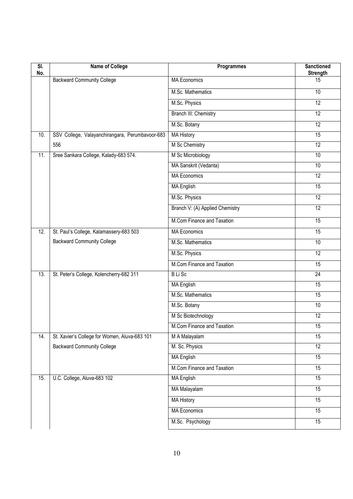| $\overline{\mathsf{SI}}$ .<br>No. | <b>Name of College</b>                          | <b>Programmes</b>               | <b>Sanctioned</b><br>Strength |
|-----------------------------------|-------------------------------------------------|---------------------------------|-------------------------------|
|                                   | <b>Backward Community College</b>               | <b>MA Economics</b>             | 15                            |
|                                   |                                                 | M.Sc. Mathematics               | 10                            |
|                                   |                                                 | M.Sc. Physics                   | $\overline{12}$               |
|                                   |                                                 | Branch III: Chemistry           | $\overline{12}$               |
|                                   |                                                 | M.Sc. Botany                    | 12                            |
| 10.                               | SSV College, Valayanchirangara, Perumbavoor-683 | <b>MA History</b>               | 15                            |
|                                   | 556                                             | M Sc Chemistry                  | 12                            |
| 11.                               | Sree Sankara College, Kalady-683 574.           | M Sc Microbiology               | 10 <sup>1</sup>               |
|                                   |                                                 | MA Sanskrit (Vedanta)           | 10 <sup>°</sup>               |
|                                   |                                                 | <b>MA Economics</b>             | 12 <sup>°</sup>               |
|                                   |                                                 | <b>MA English</b>               | 15                            |
|                                   |                                                 | M.Sc. Physics                   | 12                            |
|                                   |                                                 | Branch V: (A) Applied Chemistry | $\overline{12}$               |
|                                   |                                                 | M.Com Finance and Taxation      | 15                            |
| $\overline{12}$ .                 | St. Paul's College, Kalamassery-683 503         | <b>MA Economics</b>             | 15                            |
|                                   | <b>Backward Community College</b>               | M.Sc. Mathematics               | 10                            |
|                                   |                                                 | M.Sc. Physics                   | 12                            |
|                                   |                                                 | M.Com Finance and Taxation      | $\overline{15}$               |
| 13.                               | St. Peter's College, Kolencherry-682 311        | <b>BLiSc</b>                    | $\overline{24}$               |
|                                   |                                                 | <b>MA English</b>               | 15                            |
|                                   |                                                 | M.Sc. Mathematics               | 15                            |
|                                   |                                                 | M.Sc. Botany                    | 10                            |
|                                   |                                                 | M Sc Biotechnology              | $\overline{12}$               |
|                                   |                                                 | M.Com Finance and Taxation      | 15                            |
| 14.                               | St. Xavier's College for Women, Aluva-683 101   | M A Malayalam                   | 15                            |
|                                   | <b>Backward Community College</b>               | M. Sc. Physics                  | $\overline{12}$               |
|                                   |                                                 | <b>MA English</b>               | 15                            |
|                                   |                                                 | M.Com Finance and Taxation      | $\overline{15}$               |
| 15.                               | U.C. College, Aluva-683 102                     | <b>MA English</b>               | $\overline{15}$               |
|                                   |                                                 | <b>MA Malayalam</b>             | 15                            |
|                                   |                                                 | <b>MA History</b>               | 15                            |
|                                   |                                                 | <b>MA Economics</b>             | $\overline{15}$               |
|                                   |                                                 | M.Sc. Psychology                | 15                            |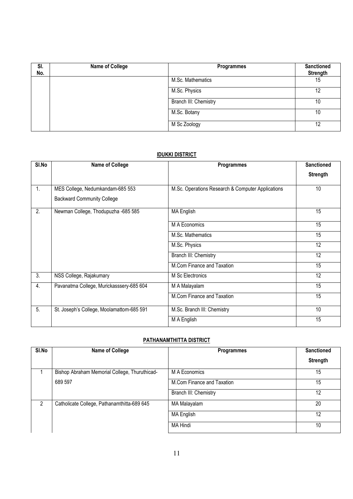| SI.<br>No. | Name of College | Programmes            | Sanctioned<br><b>Strength</b> |
|------------|-----------------|-----------------------|-------------------------------|
|            |                 | M.Sc. Mathematics     | 15                            |
|            |                 | M.Sc. Physics         | 12                            |
|            |                 | Branch III: Chemistry | 10                            |
|            |                 | M.Sc. Botany          | 10                            |
|            |                 | M Sc Zoology          | 12                            |

# **IDUKKI DISTRICT**

| SI.No | Name of College                           | <b>Programmes</b>                                 | <b>Sanctioned</b> |
|-------|-------------------------------------------|---------------------------------------------------|-------------------|
|       |                                           |                                                   | <b>Strength</b>   |
| 1.    | MES College, Nedumkandam-685 553          | M.Sc. Operations Research & Computer Applications | 10                |
|       | <b>Backward Community College</b>         |                                                   |                   |
| 2.    | Newman College, Thodupuzha -685 585       | <b>MA English</b>                                 | 15                |
|       |                                           | M A Economics                                     | 15                |
|       |                                           | M.Sc. Mathematics                                 | 15                |
|       |                                           | M.Sc. Physics                                     | 12                |
|       |                                           | Branch III: Chemistry                             | 12                |
|       |                                           | M.Com Finance and Taxation                        | 15                |
| 3.    | NSS College, Rajakumary                   | M Sc Electronics                                  | 12                |
| 4.    | Pavanatma College, Murickasssery-685 604  | M A Malayalam                                     | 15                |
|       |                                           | M.Com Finance and Taxation                        | 15                |
| 5.    | St. Joseph's College, Moolamattom-685 591 | M.Sc. Branch III: Chemistry                       | 10                |
|       |                                           | M A English                                       | 15                |

# **PATHANAMTHITTA DISTRICT**

| SI.No | <b>Name of College</b>                        | <b>Programmes</b>          | <b>Sanctioned</b> |
|-------|-----------------------------------------------|----------------------------|-------------------|
|       |                                               |                            | <b>Strength</b>   |
|       | Bishop Abraham Memorial College, Thuruthicad- | M A Economics              | 15                |
|       | 689 597                                       | M.Com Finance and Taxation | 15                |
|       |                                               | Branch III: Chemistry      | 12                |
| 2     | Catholicate College, Pathanamthitta-689 645   | MA Malayalam               | 20                |
|       |                                               | MA English                 | 12                |
|       |                                               | MA Hindi                   | 10                |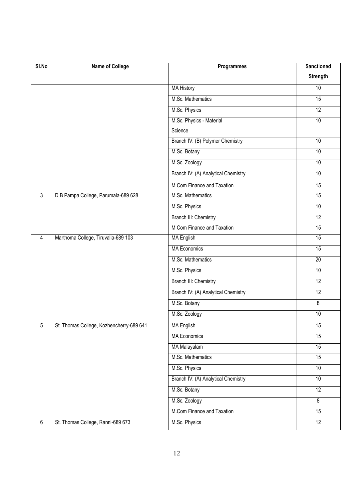| SI.No          | <b>Name of College</b>                   | Programmes                          | <b>Sanctioned</b> |
|----------------|------------------------------------------|-------------------------------------|-------------------|
|                |                                          |                                     | Strength          |
|                |                                          | <b>MA History</b>                   | $\overline{10}$   |
|                |                                          | M.Sc. Mathematics                   | 15                |
|                |                                          | M.Sc. Physics                       | 12                |
|                |                                          | M.Sc. Physics - Material            | 10                |
|                |                                          | Science                             |                   |
|                |                                          | Branch IV: (B) Polymer Chemistry    | 10                |
|                |                                          | M.Sc. Botany                        | 10                |
|                |                                          | M.Sc. Zoology                       | 10                |
|                |                                          | Branch IV: (A) Analytical Chemistry | $\overline{10}$   |
|                |                                          | M Com Finance and Taxation          | 15                |
| $\overline{3}$ | D B Pampa College, Parumala-689 628      | M.Sc. Mathematics                   | 15                |
|                |                                          | M.Sc. Physics                       | 10                |
|                |                                          | Branch III: Chemistry               | 12                |
|                |                                          | M Com Finance and Taxation          | 15                |
| 4              | Marthoma College, Tiruvalla-689 103      | <b>MA English</b>                   | 15                |
|                |                                          | <b>MA Economics</b>                 | $\overline{15}$   |
|                |                                          | M.Sc. Mathematics                   | $\overline{20}$   |
|                |                                          | M.Sc. Physics                       | 10                |
|                |                                          | Branch III: Chemistry               | 12                |
|                |                                          | Branch IV: (A) Analytical Chemistry | 12                |
|                |                                          | M.Sc. Botany                        | $\overline{8}$    |
|                |                                          | M.Sc. Zoology                       | 10                |
| 5              | St. Thomas College, Kozhencherry-689 641 | <b>MA English</b>                   | 15                |
|                |                                          | <b>MA Economics</b>                 | $\overline{15}$   |
|                |                                          | <b>MA Malayalam</b>                 | 15                |
|                |                                          | M.Sc. Mathematics                   | 15                |
|                |                                          | M.Sc. Physics                       | 10                |
|                |                                          | Branch IV: (A) Analytical Chemistry | 10                |
|                |                                          | M.Sc. Botany                        | 12                |
|                |                                          | M.Sc. Zoology                       | $\overline{8}$    |
|                |                                          | M.Com Finance and Taxation          | 15                |
| 6              | St. Thomas College, Ranni-689 673        | M.Sc. Physics                       | 12                |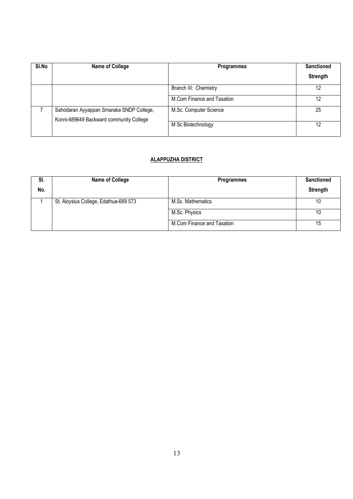| SI.No | <b>Name of College</b>                                                              | <b>Programmes</b>          | <b>Sanctioned</b> |
|-------|-------------------------------------------------------------------------------------|----------------------------|-------------------|
|       |                                                                                     |                            | <b>Strength</b>   |
|       |                                                                                     | Branch III: Chemistry      | 12                |
|       |                                                                                     | M.Com Finance and Taxation | 12                |
|       | Sahodaran Ayyappan Smaraka SNDP College,<br>Konni-689649 Backward community College | M.Sc. Computer Science     | 25                |
|       |                                                                                     | M Sc Biotechnology         | 12                |

# **ALAPPUZHA DISTRICT**

| SI. | Name of College                       | Programmes                 | <b>Sanctioned</b> |
|-----|---------------------------------------|----------------------------|-------------------|
| No. |                                       |                            | Strength          |
|     | St. Aloysius College, Edathua-689 573 | M.Sc. Mathematics          | 10                |
|     |                                       | M.Sc. Physics              | 10                |
|     |                                       | M.Com Finance and Taxation | 15                |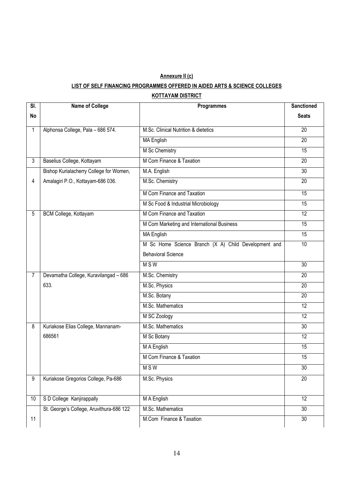# **Annexure II (c)**

# **LIST OF SELF FINANCING PROGRAMMES OFFERED IN AIDED ARTS & SCIENCE COLLEGES**

| SI.            | <b>Name of College</b>                   | Programmes                                           | <b>Sanctioned</b> |
|----------------|------------------------------------------|------------------------------------------------------|-------------------|
| <b>No</b>      |                                          |                                                      | <b>Seats</b>      |
| $\mathbf{1}$   | Alphonsa College, Pala - 686 574.        | M.Sc. Clinical Nutrition & dietetics                 | $\overline{20}$   |
|                |                                          | <b>MA English</b>                                    | 20                |
|                |                                          | M Sc Chemistry                                       | 15                |
| $\mathbf{3}$   | Baselius College, Kottayam               | M Com Finance & Taxation                             | 20                |
|                | Bishop Kurialacherry College for Women,  | M.A. English                                         | 30                |
| 4              | Amalagiri P.O., Kottayam-686 036.        | M.Sc. Chemistry                                      | $\overline{20}$   |
|                |                                          | M Com Finance and Taxation                           | 15                |
|                |                                          | M Sc Food & Industrial Microbiology                  | 15                |
| 5              | BCM College, Kottayam                    | M Com Finance and Taxation                           | $\overline{12}$   |
|                |                                          | M Com Marketing and International Business           | 15                |
|                |                                          | <b>MA English</b>                                    | 15                |
|                |                                          | M Sc Home Science Branch (X A) Child Development and | 10                |
|                |                                          | <b>Behavioral Science</b>                            |                   |
|                |                                          | <b>MSW</b>                                           | $\overline{30}$   |
| $\overline{7}$ | Devamatha College, Kuravilangad - 686    | M.Sc. Chemistry                                      | 20                |
|                | 633.                                     | M.Sc. Physics                                        | 20                |
|                |                                          | M.Sc. Botany                                         | $\overline{20}$   |
|                |                                          | M.Sc. Mathematics                                    | 12                |
|                |                                          | M SC Zoology                                         | $\overline{12}$   |
| 8              | Kuriakose Elias College, Mannanam-       | M.Sc. Mathematics                                    | $\overline{30}$   |
|                | 686561                                   | M Sc Botany                                          | $\overline{12}$   |
|                |                                          | M A English                                          | $\overline{15}$   |
|                |                                          | M Com Finance & Taxation                             | $\overline{15}$   |
|                |                                          | <b>MSW</b>                                           | 30                |
| $\overline{9}$ | Kuriakose Gregorios College, Pa-686      | M.Sc. Physics                                        | $\overline{20}$   |
| 10             | S D College Kanjirappally                | M A English                                          | 12                |
|                | St. George's College, Aruvithura-686 122 | M.Sc. Mathematics                                    | 30                |
| 11             |                                          | M.Com Finance & Taxation                             | 30                |

#### **KOTTAYAM DISTRICT**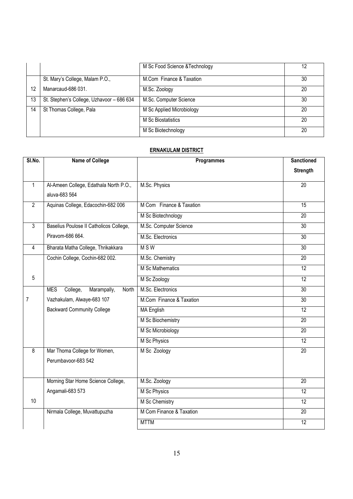|    |                                           | M Sc Food Science & Technology | 12 |
|----|-------------------------------------------|--------------------------------|----|
|    | St. Mary's College, Malam P.O.,           | M.Com Finance & Taxation       | 30 |
| 12 | Manarcaud-686 031.                        | M.Sc. Zoology                  | 20 |
| 13 | St. Stephen's College, Uzhavoor - 686 634 | M.Sc. Computer Science         | 30 |
| 14 | St Thomas College, Pala                   | M Sc Applied Microbiology      | 20 |
|    |                                           | M Sc Biostatistics             | 20 |
|    |                                           | M Sc Biotechnology             | 20 |

# **ERNAKULAM DISTRICT**

| SI.No.         | Name of College                                | Programmes               | <b>Sanctioned</b> |
|----------------|------------------------------------------------|--------------------------|-------------------|
|                |                                                |                          | <b>Strength</b>   |
| $\mathbf{1}$   | Al-Ameen College, Edathala North P.O.,         | M.Sc. Physics            | 20                |
|                | aluva-683 564                                  |                          |                   |
| $\overline{2}$ | Aquinas College, Edacochin-682 006             | M Com Finance & Taxation | 15                |
|                |                                                | M Sc Biotechnology       | 20                |
| $\overline{3}$ | Baselius Poulose II Catholicos College,        | M.Sc. Computer Science   | $\overline{30}$   |
|                | Piravom-686 664.                               | M.Sc. Electronics        | 30                |
| $\overline{4}$ | Bharata Matha College, Thrikakkara             | <b>MSW</b>               | 30                |
|                | Cochin College, Cochin-682 002.                | M.Sc. Chemistry          | 20                |
|                |                                                | <b>M Sc Mathematics</b>  | $\overline{12}$   |
| 5              |                                                | M Sc Zoology             | 12                |
|                | <b>MES</b><br>College,<br>Marampally,<br>North | M.Sc. Electronics        | $\overline{30}$   |
| 7              | Vazhakulam, Alwaye-683 107                     | M.Com Finance & Taxation | 30                |
|                | <b>Backward Community College</b>              | <b>MA English</b>        | 12                |
|                |                                                | M Sc Biochemistry        | $\overline{20}$   |
|                |                                                | M Sc Microbiology        | 20                |
|                |                                                | M Sc Physics             | $\overline{12}$   |
| $\overline{8}$ | Mar Thoma College for Women,                   | M Sc Zoology             | $\overline{20}$   |
|                | Perumbayoor-683 542                            |                          |                   |
|                |                                                |                          |                   |
|                | Morning Star Home Science College,             | M.Sc. Zoology            | 20                |
|                | Angamali-683 573                               | M Sc Physics             | $\overline{12}$   |
| 10             |                                                | M Sc Chemistry           | $\overline{12}$   |
|                | Nirmala College, Muvattupuzha                  | M Com Finance & Taxation | $\overline{20}$   |
|                |                                                | <b>MTTM</b>              | $\overline{12}$   |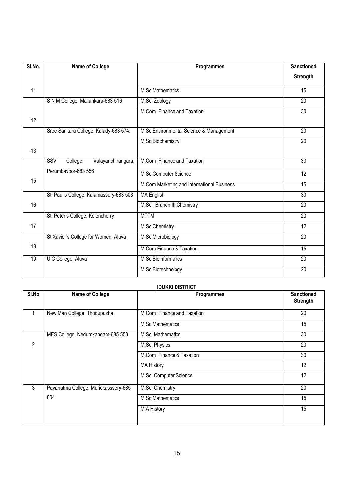| SI.No. | <b>Name of College</b>                  | Programmes                                 | <b>Sanctioned</b> |
|--------|-----------------------------------------|--------------------------------------------|-------------------|
|        |                                         |                                            | <b>Strength</b>   |
| 11     |                                         | <b>M Sc Mathematics</b>                    | $\overline{15}$   |
|        | S N M College, Maliankara-683 516       | M.Sc. Zoology                              | $\overline{20}$   |
|        |                                         | M.Com Finance and Taxation                 | 30                |
| 12     |                                         |                                            |                   |
|        | Sree Sankara College, Kalady-683 574.   | M Sc Environmental Science & Management    | 20                |
|        |                                         | M Sc Biochemistry                          | 20                |
| 13     |                                         |                                            |                   |
|        | SSV<br>College,<br>Valayanchirangara,   | M.Com Finance and Taxation                 | 30                |
|        | Perumbayoor-683 556                     | M Sc Computer Science                      | 12                |
| 15     |                                         | M Com Marketing and International Business | 15                |
|        | St. Paul's College, Kalamassery-683 503 | <b>MA English</b>                          | 30                |
| 16     |                                         | M.Sc. Branch III Chemistry                 | $\overline{20}$   |
|        | St. Peter's College, Kolencherry        | <b>MTTM</b>                                | 20                |
| 17     |                                         | M Sc Chemistry                             | 12                |
|        | St Xavier's College for Women, Aluva    | M Sc Microbiology                          | 20                |
| 18     |                                         | M Com Finance & Taxation                   | $\overline{15}$   |
| 19     | U C College, Aluva                      | M Sc Bioinformatics                        | 20                |
|        |                                         | M Sc Biotechnology                         | 20                |

| SI.No | Name of College                      | <b>Programmes</b>          | <b>Sanctioned</b><br><b>Strength</b> |
|-------|--------------------------------------|----------------------------|--------------------------------------|
| 1     | New Man College, Thodupuzha          | M Com Finance and Taxation | 20                                   |
|       |                                      | M Sc Mathematics           | 15 <sup>15</sup>                     |
|       | MES College, Nedumkandam-685 553     | M.Sc. Mathematics          | 30                                   |
| 2     |                                      | M.Sc. Physics              | 20                                   |
|       |                                      | M.Com Finance & Taxation   | 30                                   |
|       |                                      | <b>MA History</b>          | 12                                   |
|       |                                      | M Sc Computer Science      | 12                                   |
| 3     | Pavanatma College, Murickasssery-685 | M.Sc. Chemistry            | 20                                   |
|       | 604                                  | M Sc Mathematics           | 15                                   |
|       |                                      | M A History                | 15                                   |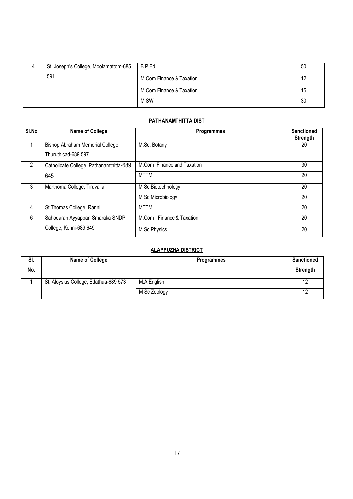| St. Joseph's College, Moolamattom-685 | BPEd                     | 50 |
|---------------------------------------|--------------------------|----|
| 591                                   | M Com Finance & Taxation | 12 |
|                                       | M Com Finance & Taxation | 15 |
|                                       | M SW                     | 30 |

# **PATHANAMTHITTA DIST**

| SI.No          | Name of College                         | <b>Programmes</b>          | <b>Sanctioned</b><br>Strength |
|----------------|-----------------------------------------|----------------------------|-------------------------------|
|                | Bishop Abraham Memorial College,        | M.Sc. Botany               | 20                            |
|                | Thuruthicad-689 597                     |                            |                               |
| $\mathfrak{D}$ | Catholicate College, Pathanamthitta-689 | M.Com Finance and Taxation | 30                            |
|                | 645                                     | <b>MTTM</b>                | 20                            |
| 3              | Marthoma College, Tiruvalla             | M Sc Biotechnology         | 20                            |
|                |                                         | M Sc Microbiology          | 20                            |
| 4              | St Thomas College, Ranni                | <b>MTTM</b>                | 20                            |
| 6              | Sahodaran Ayyappan Smaraka SNDP         | M.Com Finance & Taxation   | 20                            |
|                | College, Konni-689 649                  | M Sc Physics               | 20                            |

#### **ALAPPUZHA DISTRICT**

| SI.<br>No. | <b>Name of College</b>                | <b>Programmes</b> | <b>Sanctioned</b><br><b>Strength</b> |
|------------|---------------------------------------|-------------------|--------------------------------------|
|            | St. Aloysius College, Edathua-689 573 | M.A English       |                                      |
|            |                                       | M Sc Zoology      |                                      |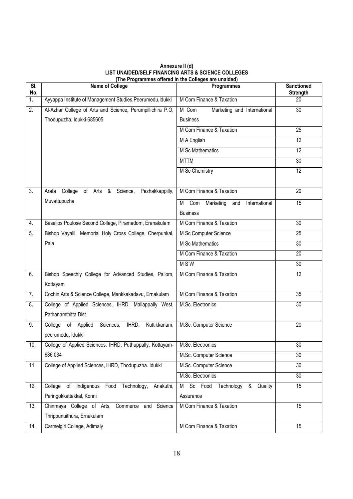| SI.<br>No. | <b>Name of College</b>                                                        | The Flogrammed onered in the coneged are unalded)<br><b>Programmes</b> | <b>Sanctioned</b><br>Strength |
|------------|-------------------------------------------------------------------------------|------------------------------------------------------------------------|-------------------------------|
| 1.         | Ayyappa Institute of Management Studies, Peerumedu, Idukki                    | M Com Finance & Taxation                                               | 20                            |
| 2.         | Al-Azhar College of Arts and Science, Perumpillichira P.O,                    | M Com<br>Marketing and International                                   | 30                            |
|            | Thodupuzha, Idukki-685605                                                     | <b>Business</b>                                                        |                               |
|            |                                                                               | M Com Finance & Taxation                                               | 25                            |
|            |                                                                               | M A English                                                            | $\overline{12}$               |
|            |                                                                               | <b>M Sc Mathematics</b>                                                | 12                            |
|            |                                                                               | <b>MTTM</b>                                                            | $\overline{30}$               |
|            |                                                                               | M Sc Chemistry                                                         | $\overline{12}$               |
|            |                                                                               |                                                                        |                               |
| 3.         | Arafa College of Arts & Science, Pezhakkappilly,                              | M Com Finance & Taxation                                               | 20                            |
|            | Muvattupuzha                                                                  | Com Marketing and<br>International<br>М                                | 15                            |
|            |                                                                               | <b>Business</b>                                                        |                               |
| 4.         | Baselios Poulose Second College, Piramadom, Eranakulam                        | M Com Finance & Taxation                                               | 30                            |
| 5.         | Bishop Vayalil Memorial Holy Cross College, Cherpunkal,                       | M Sc Computer Science                                                  | 25                            |
|            | Pala                                                                          | M Sc Mathematics                                                       | 30                            |
|            |                                                                               | M Com Finance & Taxation                                               | 20                            |
|            |                                                                               | <b>MSW</b>                                                             | 30                            |
| 6.         | Bishop Speechly College for Advanced Studies, Pallom,                         | M Com Finance & Taxation                                               | $\overline{12}$               |
|            | Kottayam                                                                      |                                                                        |                               |
| 7.         | Cochin Arts & Science College, Mankkakadavu, Ernakulam                        | M Com Finance & Taxation                                               | $\overline{35}$               |
| 8.         | College of Applied Sciences, IHRD, Mallappally West,                          | M.Sc. Electronics                                                      | $\overline{30}$               |
|            | Pathanamthitta Dist                                                           |                                                                        |                               |
| 9.         | College of Applied Sciences,<br>IHRD,<br>Kuttikkanam,                         | M.Sc. Computer Science                                                 | 20                            |
|            | peerumedu, Idukki                                                             |                                                                        |                               |
| 10.        | College of Applied Sciences, IHRD, Puthuppally, Kottayam-   M.Sc. Electronics |                                                                        | 30                            |
|            | 686 034                                                                       | M.Sc. Computer Science                                                 | 30                            |
| 11.        | College of Applied Sciences, IHRD, Thodupuzha. Idukki                         | M.Sc. Computer Science                                                 | $\overline{30}$               |
|            |                                                                               | M.Sc. Electronics                                                      | 30                            |
| 12.        | College of Indigenous<br>Food Technology,<br>Anakuthi,                        | Sc Food Technology<br>Quality<br>&<br>M                                | 15                            |
|            | Peringokkattakkal, Konni                                                      | Assurance                                                              |                               |
| 13.        | Chinmaya College of Arts, Commerce and<br>Science                             | M Com Finance & Taxation                                               | 15                            |
|            | Thrippunuithura, Ernakulam                                                    |                                                                        |                               |
| 14.        | Carmelgiri College, Adimaly                                                   | M Com Finance & Taxation                                               | 15                            |

#### **Annexure II (d) LIST UNAIDED/SELF FINANCING ARTS & SCIENCE COLLEGES (The Programmes offered in the Colleges are unaided)**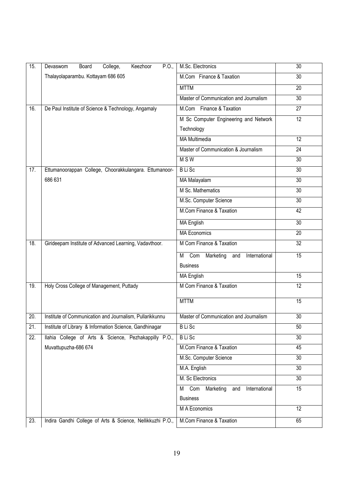| 15. | P.0.,<br>College,<br>Keezhoor<br>Devaswom<br>Board         | M.Sc. Electronics                             | 30              |
|-----|------------------------------------------------------------|-----------------------------------------------|-----------------|
|     | Thalayolaparambu. Kottayam 686 605                         | M.Com Finance & Taxation                      | $\overline{30}$ |
|     |                                                            | <b>MTTM</b>                                   | $\overline{20}$ |
|     |                                                            | Master of Communication and Journalism        | $\overline{30}$ |
| 16. | De Paul Institute of Science & Technology, Angamaly        | M.Com Finance & Taxation                      | 27              |
|     |                                                            | M Sc Computer Engineering and Network         | 12              |
|     |                                                            | Technology                                    |                 |
|     |                                                            | <b>MA Multimedia</b>                          | 12              |
|     |                                                            | Master of Communication & Journalism          | $\overline{24}$ |
|     |                                                            | <b>MSW</b>                                    | 30              |
| 17. | Ettumanoorappan College, Choorakkulangara. Ettumanoor-     | <b>BLiSc</b>                                  | $\overline{30}$ |
|     | 686 631                                                    | MA Malayalam                                  | $\overline{30}$ |
|     |                                                            | M Sc. Mathematics                             | 30              |
|     |                                                            | M.Sc. Computer Science                        | $\overline{30}$ |
|     |                                                            | M.Com Finance & Taxation                      | 42              |
|     |                                                            | <b>MA English</b>                             | $\overline{30}$ |
|     |                                                            | <b>MA Economics</b>                           | $\overline{20}$ |
| 18. | Girideepam Institute of Advanced Learning, Vadavthoor.     | M Com Finance & Taxation                      | $\overline{32}$ |
|     |                                                            | Com Marketing and<br>International<br>M       | 15              |
|     |                                                            | <b>Business</b>                               |                 |
|     |                                                            | <b>MA English</b>                             | 15              |
| 19. | Holy Cross College of Management, Puttady                  | M Com Finance & Taxation                      | $\overline{12}$ |
|     |                                                            |                                               |                 |
|     |                                                            | <b>MTTM</b>                                   | $\overline{15}$ |
| 20. | Institute of Communication and Journalism, Pullarikkunnu   | Master of Communication and Journalism        | 30              |
| 21. | Institute of Library & Information Science, Gandhinagar    | <b>BLiSc</b>                                  | 50              |
| 22. | Ilahia College of Arts & Science, Pezhakappilly P.O.,      | <b>BLiSc</b>                                  | 30              |
|     | Muvattupuzha-686 674                                       | M.Com Finance & Taxation                      | 45              |
|     |                                                            | M.Sc. Computer Science                        | 30              |
|     |                                                            | M.A. English                                  | 30              |
|     |                                                            | M. Sc Electronics                             | $\overline{30}$ |
|     |                                                            | Com<br>Marketing<br>International<br>and<br>М | 15              |
|     |                                                            | <b>Business</b>                               |                 |
|     |                                                            | M A Economics                                 | 12              |
| 23. | Indira Gandhi College of Arts & Science, Nellikkuzhi P.O., | M.Com Finance & Taxation                      | 65              |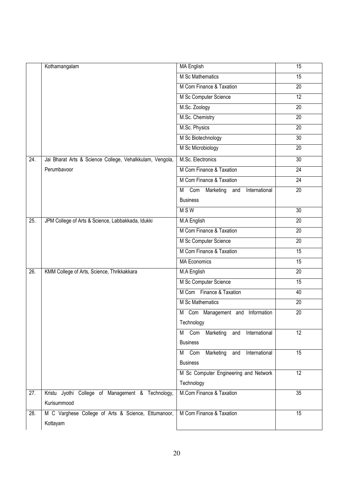|                   | Kothamangalam                                            | <b>MA English</b>                             | 15              |
|-------------------|----------------------------------------------------------|-----------------------------------------------|-----------------|
|                   |                                                          | <b>M Sc Mathematics</b>                       | $\overline{15}$ |
|                   |                                                          | M Com Finance & Taxation                      | $\overline{20}$ |
|                   |                                                          | M Sc Computer Science                         | $\overline{12}$ |
|                   |                                                          | M.Sc. Zoology                                 | $\overline{20}$ |
|                   |                                                          | M.Sc. Chemistry                               | $\overline{20}$ |
|                   |                                                          | M.Sc. Physics                                 | $\overline{20}$ |
|                   |                                                          | M Sc Biotechnology                            | $\overline{30}$ |
|                   |                                                          | M Sc Microbiology                             | 20              |
| $\overline{24}$ . | Jai Bharat Arts & Science College, Vehalkkulam, Vengola, | M.Sc. Electronics                             | 30              |
|                   | Perumbavoor                                              | M Com Finance & Taxation                      | $\overline{24}$ |
|                   |                                                          | M Com Finance & Taxation                      | $\overline{24}$ |
|                   |                                                          | Com Marketing and<br>International<br>М       | $\overline{20}$ |
|                   |                                                          | <b>Business</b>                               |                 |
|                   |                                                          | <b>MSW</b>                                    | 30 <sup>°</sup> |
| 25.               | JPM College of Arts & Science, Labbakkada, Idukki        | M.A English                                   | 20              |
|                   |                                                          | M Com Finance & Taxation                      | $\overline{20}$ |
|                   |                                                          | M Sc Computer Science                         | $\overline{20}$ |
|                   |                                                          | M Com Finance & Taxation                      | $\overline{15}$ |
|                   |                                                          | <b>MA Economics</b>                           | 15              |
| 26.               | KMM College of Arts, Science, Thrikkakkara               | M.A English                                   | $\overline{20}$ |
|                   |                                                          | M Sc Computer Science                         | 15              |
|                   |                                                          | M Com Finance & Taxation                      | 40              |
|                   |                                                          | M Sc Mathematics                              | 20              |
|                   |                                                          | M Com Management and Information              | 20              |
|                   |                                                          | Technology                                    |                 |
|                   |                                                          | International<br>Marketing<br>М<br>Com<br>and | $\overline{12}$ |
|                   |                                                          | <b>Business</b>                               |                 |
|                   |                                                          | Marketing<br>International<br>and<br>Com<br>М | 15              |
|                   |                                                          | <b>Business</b>                               |                 |
|                   |                                                          | M Sc Computer Engineering and Network         | $\overline{12}$ |
|                   |                                                          | Technology                                    |                 |
| 27.               | Kristu Jyothi College of Management & Technology,        | M.Com Finance & Taxation                      | 35              |
|                   | Kurisummood                                              |                                               |                 |
| 28.               | M C Varghese College of Arts & Science, Ettumanoor,      | M Com Finance & Taxation                      | 15              |
|                   | Kottayam                                                 |                                               |                 |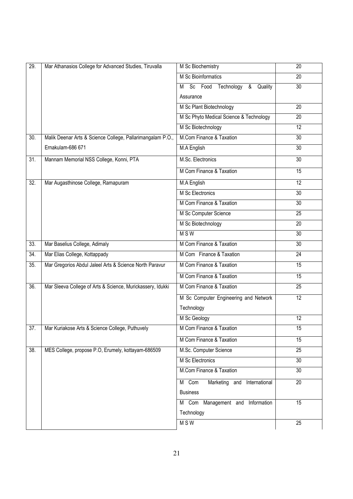| 29.               | Mar Athanasios College for Advanced Studies, Tiruvalla     | M Sc Biochemistry                       | 20              |
|-------------------|------------------------------------------------------------|-----------------------------------------|-----------------|
|                   |                                                            | <b>M Sc Bioinformatics</b>              | $\overline{20}$ |
|                   |                                                            | Sc Food Technology<br>&<br>Quality<br>M | $\overline{30}$ |
|                   |                                                            | Assurance                               |                 |
|                   |                                                            | M Sc Plant Biotechnology                | 20              |
|                   |                                                            | M Sc Phyto Medical Science & Technology | $\overline{20}$ |
|                   |                                                            | M Sc Biotechnology                      | 12              |
| 30.               | Malik Deenar Arts & Science College, Pallarimangalam P.O., | M.Com Finance & Taxation                | 30              |
|                   | Ernakulam-686 671                                          | M.A English                             | $\overline{30}$ |
| 31.               | Mannam Memorial NSS College, Konni, PTA                    | M.Sc. Electronics                       | $\overline{30}$ |
|                   |                                                            | M Com Finance & Taxation                | $\overline{15}$ |
| 32.               | Mar Augasthinose College, Ramapuram                        | M.A English                             | 12              |
|                   |                                                            | M Sc Electronics                        | 30              |
|                   |                                                            | M Com Finance & Taxation                | $\overline{30}$ |
|                   |                                                            | M Sc Computer Science                   | 25              |
|                   |                                                            | M Sc Biotechnology                      | $\overline{20}$ |
|                   |                                                            | <b>MSW</b>                              | $\overline{30}$ |
| 33.               | Mar Baselius College, Adimaly                              | M Com Finance & Taxation                | 30              |
| 34.               | Mar Elias College, Kottappady                              | M Com Finance & Taxation                | 24              |
| $\overline{35}$ . | Mar Gregorios Abdul Jaleel Arts & Science North Paravur    | M Com Finance & Taxation                | $\overline{15}$ |
|                   |                                                            | M Com Finance & Taxation                | $\overline{15}$ |
| 36.               | Mar Sleeva College of Arts & Science, Murickassery, Idukki | M Com Finance & Taxation                | 25              |
|                   |                                                            | M Sc Computer Engineering and Network   | 12              |
|                   |                                                            | Technology                              |                 |
|                   |                                                            | M Sc Geology                            | $\overline{12}$ |
| $\overline{37}$ . | Mar Kuriakose Arts & Science College, Puthuvely            | M Com Finance & Taxation                | $\overline{15}$ |
|                   |                                                            | M Com Finance & Taxation                | 15              |
| 38.               | MES College, propose P.O, Erumely, kottayam-686509         | M.Sc. Computer Science                  | $\overline{25}$ |
|                   |                                                            | M Sc Electronics                        | $\overline{30}$ |
|                   |                                                            | M.Com Finance & Taxation                | $\overline{30}$ |
|                   |                                                            | M Com<br>Marketing and<br>International | 20              |
|                   |                                                            | <b>Business</b>                         |                 |
|                   |                                                            | M Com Management and Information        | 15              |
|                   |                                                            | Technology                              |                 |
|                   |                                                            | <b>MSW</b>                              | $\overline{25}$ |
|                   |                                                            |                                         |                 |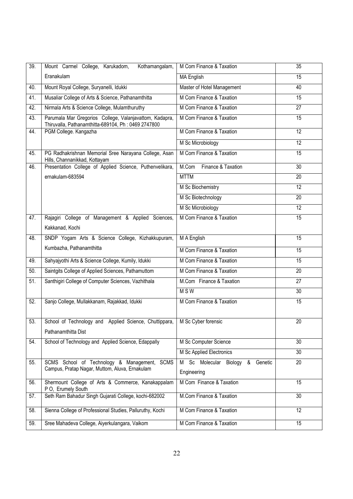| 39. | Mount Carmel College, Karukadom,<br>Kothamangalam,                                                             | M Com Finance & Taxation                | 35              |
|-----|----------------------------------------------------------------------------------------------------------------|-----------------------------------------|-----------------|
|     | Eranakulam                                                                                                     | <b>MA English</b>                       | 15              |
| 40. | Mount Royal College, Suryanelli, Idukki                                                                        | Master of Hotel Management              | 40              |
| 41. | Musaliar College of Arts & Science, Pathanamthitta                                                             | M Com Finance & Taxation                | 15              |
| 42. | Nirmala Arts & Science College, Mulamthuruthy                                                                  | M Com Finance & Taxation                | $\overline{27}$ |
| 43. | Parumala Mar Gregorios College, Valanjavattom, Kadapra,<br>Thiruvalla, Pathanamthitta-689104, Ph: 0469 2747800 | M Com Finance & Taxation                | 15              |
| 44. | PGM College. Kangazha                                                                                          | M Com Finance & Taxation                | 12              |
|     |                                                                                                                | M Sc Microbiology                       | 12              |
| 45. | PG Radhakrishnan Memorial Sree Narayana College, Asan<br>Hills, Channanikkad, Kottayam                         | M Com Finance & Taxation                | 15              |
| 46. | Presentation College of Applied Science, Puthenvelikara,                                                       | M.Com<br>Finance & Taxation             | $\overline{30}$ |
|     | ernakulam-683594                                                                                               | <b>MTTM</b>                             | $\overline{20}$ |
|     |                                                                                                                | M Sc Biochemistry                       | $\overline{12}$ |
|     |                                                                                                                | M Sc Biotechnology                      | $\overline{20}$ |
|     |                                                                                                                | M Sc Microbiology                       | $\overline{12}$ |
| 47. | Rajagiri College of Management & Applied Sciences,<br>Kakkanad, Kochi                                          | M Com Finance & Taxation                | 15              |
| 48. | SNDP Yogam Arts & Science College, Kizhakkupuram,                                                              | M A English                             | 15              |
|     | Kumbazha, Pathanamthitta                                                                                       | M Com Finance & Taxation                | 15              |
| 49. | Sahyajyothi Arts & Science College, Kumily, Idukki                                                             | M Com Finance & Taxation                | $\overline{15}$ |
| 50. | Saintgits College of Applied Sciences, Pathamuttom                                                             | M Com Finance & Taxation                | 20              |
| 51. | Santhigiri College of Computer Sciences, Vazhithala                                                            | M.Com Finance & Taxation                | $\overline{27}$ |
|     |                                                                                                                | <b>MSW</b>                              | $\overline{30}$ |
| 52. | Sanjo College, Mullakkanam, Rajakkad, Idukki                                                                   | M Com Finance & Taxation                | $\overline{15}$ |
|     |                                                                                                                |                                         |                 |
| 53. | School of Technology and Applied Science, Chuttippara,                                                         | M Sc Cyber forensic                     | 20              |
|     | Pathanamthitta Dist                                                                                            |                                         |                 |
| 54. | School of Technology and Applied Science, Edappally                                                            | M Sc Computer Science                   | 30              |
|     |                                                                                                                | M Sc Applied Electronics                | 30              |
| 55. | SCMS School of Technology & Management, SCMS<br>Campus, Pratap Nagar, Muttom, Aluva, Ernakulam                 | Sc Molecular Biology & Genetic<br>M     | 20              |
|     |                                                                                                                | Engineering<br>M Com Finance & Taxation | $\overline{15}$ |
| 56. | Shermount College of Arts & Commerce, Kanakappalam<br>P O, Erumely South                                       |                                         |                 |
| 57. | Seth Ram Bahadur Singh Gujarati College, kochi-682002                                                          | M.Com Finance & Taxation                | $\overline{30}$ |
| 58. | Sienna College of Professional Studies, Palluruthy, Kochi                                                      | M Com Finance & Taxation                | 12              |
| 59. | Sree Mahadeva College, Aiyerkulangara, Vaikom                                                                  | M Com Finance & Taxation                | 15              |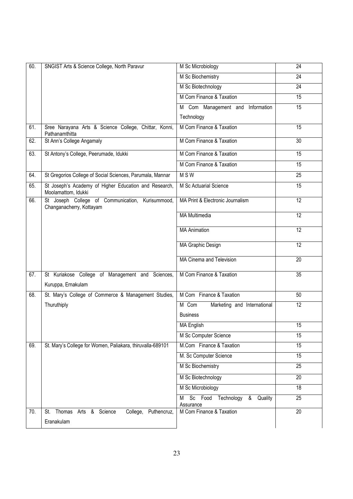| 60. | SNGIST Arts & Science College, North Paravur                                 | M Sc Microbiology                                    | 24              |
|-----|------------------------------------------------------------------------------|------------------------------------------------------|-----------------|
|     |                                                                              | M Sc Biochemistry                                    | $\overline{24}$ |
|     |                                                                              | M Sc Biotechnology                                   | $\overline{24}$ |
|     |                                                                              | M Com Finance & Taxation                             | $\overline{15}$ |
|     |                                                                              | M Com Management and Information                     | 15              |
|     |                                                                              | Technology                                           |                 |
| 61. | Sree Narayana Arts & Science College, Chittar, Konni,<br>Pathanamthitta      | M Com Finance & Taxation                             | 15              |
| 62. | St Ann's College Angamaly                                                    | M Com Finance & Taxation                             | 30              |
| 63. | St Antony's College, Peerumade, Idukki                                       | M Com Finance & Taxation                             | $\overline{15}$ |
|     |                                                                              | M Com Finance & Taxation                             | 15              |
| 64. | St Gregorios College of Social Sciences, Parumala, Mannar                    | <b>MSW</b>                                           | 25              |
| 65. | St Joseph's Academy of Higher Education and Research,<br>Moolamattom, Idukki | M Sc Actuarial Science                               | 15              |
| 66. | St Joseph College of Communication, Kurisummood,<br>Changanacherry, Kottayam | MA Print & Electronic Journalism                     | 12              |
|     |                                                                              | <b>MA Multimedia</b>                                 | 12              |
|     |                                                                              | <b>MA Animation</b>                                  | $\overline{12}$ |
|     |                                                                              | MA Graphic Design                                    | $\overline{12}$ |
|     |                                                                              | MA Cinema and Television                             | $\overline{20}$ |
| 67. | St Kuriakose College of Management and Sciences,                             | M Com Finance & Taxation                             | $\overline{35}$ |
|     | Kuruppa, Ernakulam                                                           |                                                      |                 |
| 68. | St. Mary's College of Commerce & Management Studies,                         | M Com Finance & Taxation                             | 50              |
|     | Thuruthiply                                                                  | M Com<br>Marketing and International                 | $\overline{12}$ |
|     |                                                                              | <b>Business</b>                                      |                 |
|     |                                                                              | <b>MA English</b>                                    | 15              |
|     |                                                                              | M Sc Computer Science                                | 15              |
| 69. | St. Mary's College for Women, Paliakara, thiruvalla-689101                   | M.Com Finance & Taxation                             | $\overline{15}$ |
|     |                                                                              | M. Sc Computer Science                               | $\overline{15}$ |
|     |                                                                              | M Sc Biochemistry                                    | $\overline{25}$ |
|     |                                                                              | M Sc Biotechnology                                   | $\overline{20}$ |
|     |                                                                              | M Sc Microbiology                                    | $\overline{18}$ |
|     |                                                                              | Sc Food Technology<br>&<br>Quality<br>M<br>Assurance | 25              |
| 70. | Thomas<br>Arts & Science<br>College,<br>Puthencruz,<br>St.                   | M Com Finance & Taxation                             | 20              |
|     | Eranakulam                                                                   |                                                      |                 |